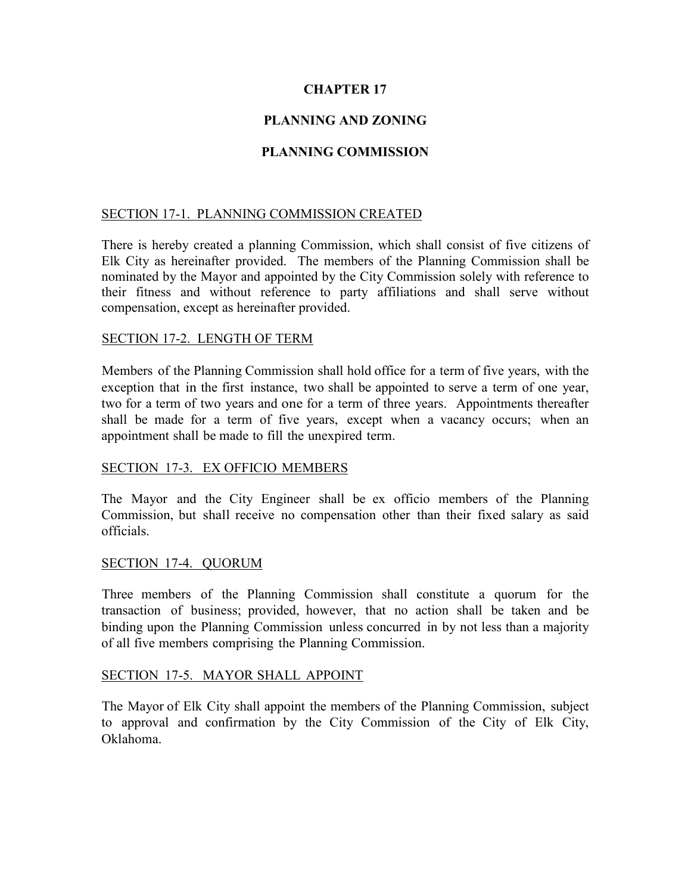# **CHAPTER 17**

# **PLANNING AND ZONING**

## **PLANNING COMMISSION**

## SECTION 17-1. PLANNING COMMISSION CREATED

There is hereby created a planning Commission, which shall consist of five citizens of Elk City as hereinafter provided. The members of the Planning Commission shall be nominated by the Mayor and appointed by the City Commission solely with reference to their fitness and without reference to party affiliations and shall serve without compensation, except as hereinafter provided.

### SECTION 17-2. LENGTH OF TERM

Members of the Planning Commission shall hold office for a term of five years, with the exception that in the first instance, two shall be appointed to serve a term of one year, two for a term of two years and one for a term of three years. Appointments thereafter shall be made for a term of five years, except when a vacancy occurs; when an appointment shall be made to fill the unexpired term.

### SECTION 17-3. EX OFFICIO MEMBERS

The Mayor and the City Engineer shall be ex officio members of the Planning Commission, but shall receive no compensation other than their fixed salary as said officials.

#### SECTION 17-4. QUORUM

Three members of the Planning Commission shall constitute a quorum for the transaction of business; provided, however, that no action shall be taken and be binding upon the Planning Commission unless concurred in by not less than a majority of all five members comprising the Planning Commission.

#### SECTION 17-5. MAYOR SHALL APPOINT

The Mayor of Elk City shall appoint the members of the Planning Commission, subject to approval and confirmation by the City Commission of the City of Elk City, Oklahoma.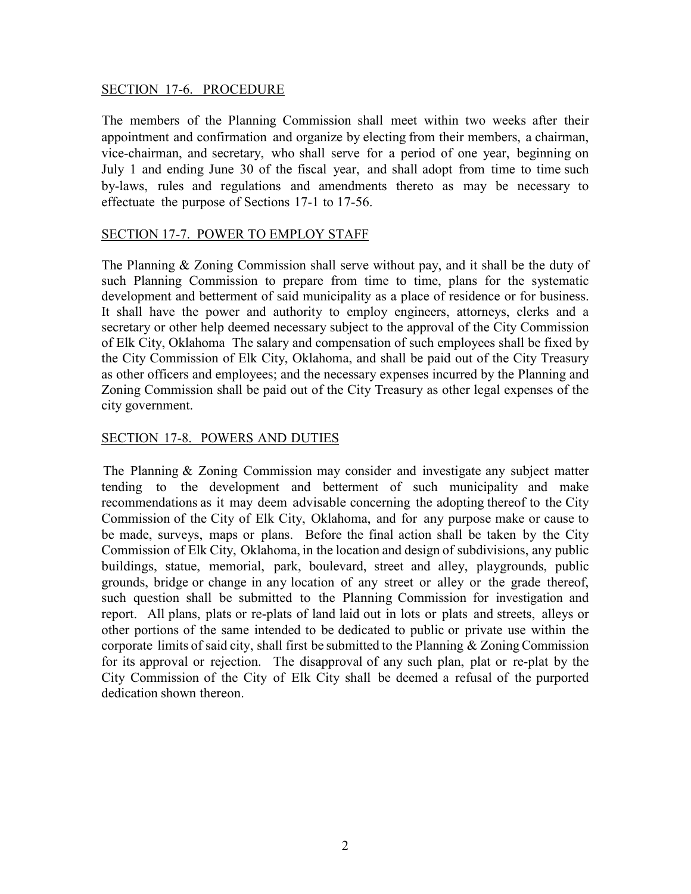### SECTION 17-6. PROCEDURE

The members of the Planning Commission shall meet within two weeks after their appointment and confirmation and organize by electing from their members, a chairman, vice-chairman, and secretary, who shall serve for a period of one year, beginning on July 1 and ending June 30 of the fiscal year, and shall adopt from time to time such by-laws, rules and regulations and amendments thereto as may be necessary to effectuate the purpose of Sections 17-1 to 17-56.

## SECTION 17-7. POWER TO EMPLOY STAFF

The Planning & Zoning Commission shall serve without pay, and it shall be the duty of such Planning Commission to prepare from time to time, plans for the systematic development and betterment of said municipality as a place of residence or for business. It shall have the power and authority to employ engineers, attorneys, clerks and a secretary or other help deemed necessary subject to the approval of the City Commission of Elk City, Oklahoma The salary and compensation of such employees shall be fixed by the City Commission of Elk City, Oklahoma, and shall be paid out of the City Treasury as other officers and employees; and the necessary expenses incurred by the Planning and Zoning Commission shall be paid out of the City Treasury as other legal expenses of the city government.

### SECTION 17-8. POWERS AND DUTIES

The Planning & Zoning Commission may consider and investigate any subject matter tending to the development and betterment of such municipality and make recommendations as it may deem advisable concerning the adopting thereof to the City Commission of the City of Elk City, Oklahoma, and for any purpose make or cause to be made, surveys, maps or plans. Before the final action shall be taken by the City Commission of Elk City, Oklahoma, in the location and design of subdivisions, any public buildings, statue, memorial, park, boulevard, street and alley, playgrounds, public grounds, bridge or change in any location of any street or alley or the grade thereof, such question shall be submitted to the Planning Commission for investigation and report. All plans, plats or re-plats of land laid out in lots or plats and streets, alleys or other portions of the same intended to be dedicated to public or private use within the corporate limits of said city, shall first be submitted to the Planning & Zoning Commission for its approval or rejection. The disapproval of any such plan, plat or re-plat by the City Commission of the City of Elk City shall be deemed a refusal of the purported dedication shown thereon.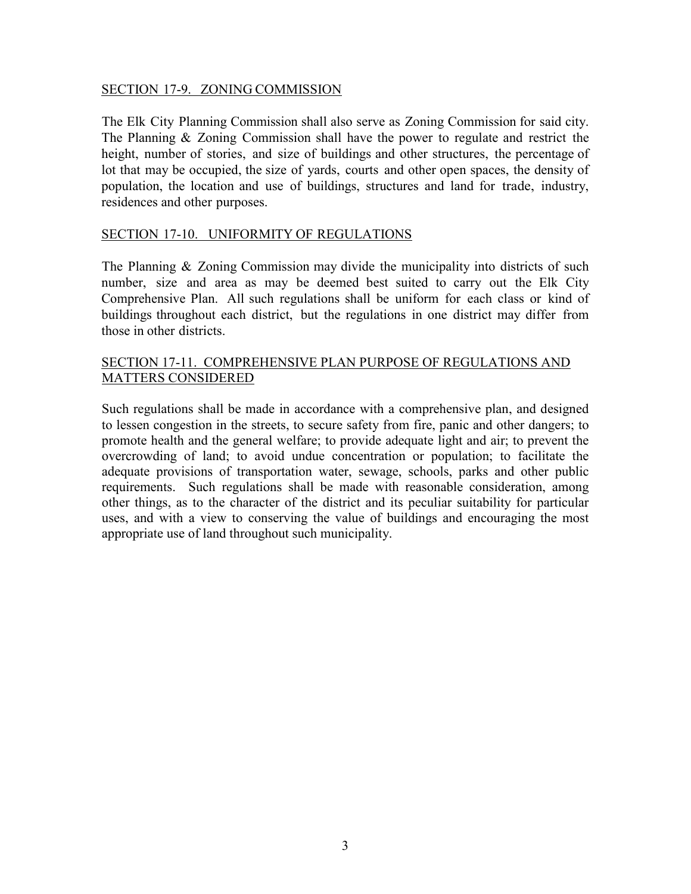### SECTION 17-9. ZONING COMMISSION

The Elk City Planning Commission shall also serve as Zoning Commission for said city. The Planning & Zoning Commission shall have the power to regulate and restrict the height, number of stories, and size of buildings and other structures, the percentage of lot that may be occupied, the size of yards, courts and other open spaces, the density of population, the location and use of buildings, structures and land for trade, industry, residences and other purposes.

## SECTION 17-10. UNIFORMITY OF REGULATIONS

The Planning & Zoning Commission may divide the municipality into districts of such number, size and area as may be deemed best suited to carry out the Elk City Comprehensive Plan. All such regulations shall be uniform for each class or kind of buildings throughout each district, but the regulations in one district may differ from those in other districts.

## SECTION 17-11. COMPREHENSIVE PLAN PURPOSE OF REGULATIONS AND MATTERS CONSIDERED

Such regulations shall be made in accordance with a comprehensive plan, and designed to lessen congestion in the streets, to secure safety from fire, panic and other dangers; to promote health and the general welfare; to provide adequate light and air; to prevent the overcrowding of land; to avoid undue concentration or population; to facilitate the adequate provisions of transportation water, sewage, schools, parks and other public requirements. Such regulations shall be made with reasonable consideration, among other things, as to the character of the district and its peculiar suitability for particular uses, and with a view to conserving the value of buildings and encouraging the most appropriate use of land throughout such municipality.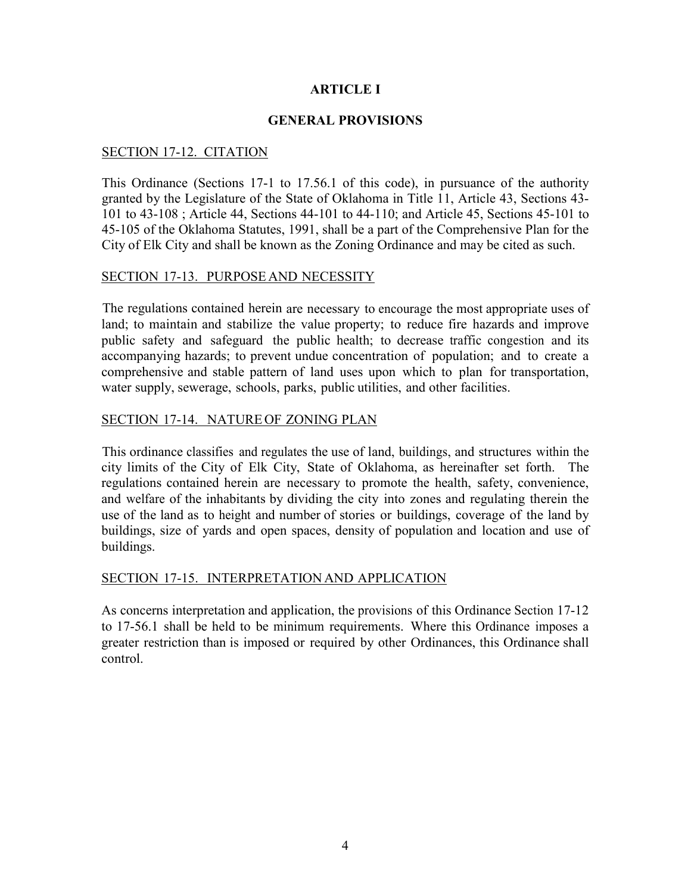## **ARTICLE I**

### **GENERAL PROVISIONS**

### SECTION 17-12. CITATION

This Ordinance (Sections 17-1 to 17.56.1 of this code), in pursuance of the authority granted by the Legislature of the State of Oklahoma in Title 11, Article 43, Sections 43- 101 to 43-108 ; Article 44, Sections 44-101 to 44-110; and Article 45, Sections 45-101 to 45-105 of the Oklahoma Statutes, 1991, shall be a part of the Comprehensive Plan for the City of Elk City and shall be known as the Zoning Ordinance and may be cited as such.

#### SECTION 17-13. PURPOSE AND NECESSITY

The regulations contained herein are necessary to encourage the most appropriate uses of land; to maintain and stabilize the value property; to reduce fire hazards and improve public safety and safeguard the public health; to decrease traffic congestion and its accompanying hazards; to prevent undue concentration of population; and to create a comprehensive and stable pattern of land uses upon which to plan for transportation, water supply, sewerage, schools, parks, public utilities, and other facilities.

## SECTION 17-14. NATURE OF ZONING PLAN

This ordinance classifies and regulates the use of land, buildings, and structures within the city limits of the City of Elk City, State of Oklahoma, as hereinafter set forth. The regulations contained herein are necessary to promote the health, safety, convenience, and welfare of the inhabitants by dividing the city into zones and regulating therein the use of the land as to height and number of stories or buildings, coverage of the land by buildings, size of yards and open spaces, density of population and location and use of buildings.

### SECTION 17-15. INTERPRETATION AND APPLICATION

As concerns interpretation and application, the provisions of this Ordinance Section 17-12 to 17-56.1 shall be held to be minimum requirements. Where this Ordinance imposes a greater restriction than is imposed or required by other Ordinances, this Ordinance shall control.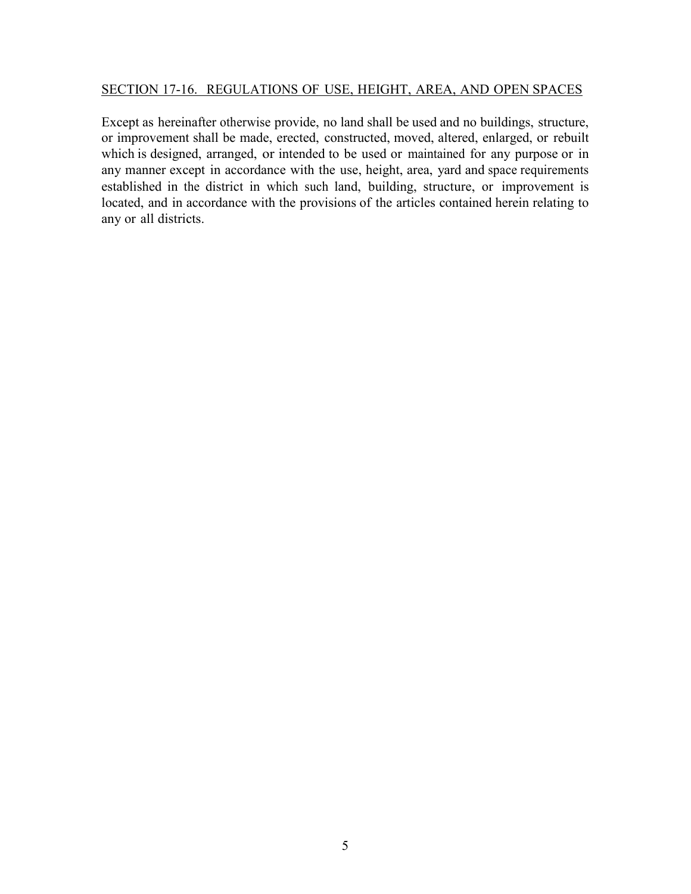### SECTION 17-16. REGULATIONS OF USE, HEIGHT, AREA, AND OPEN SPACES

Except as hereinafter otherwise provide, no land shall be used and no buildings, structure, or improvement shall be made, erected, constructed, moved, altered, enlarged, or rebuilt which is designed, arranged, or intended to be used or maintained for any purpose or in any manner except in accordance with the use, height, area, yard and space requirements established in the district in which such land, building, structure, or improvement is located, and in accordance with the provisions of the articles contained herein relating to any or all districts.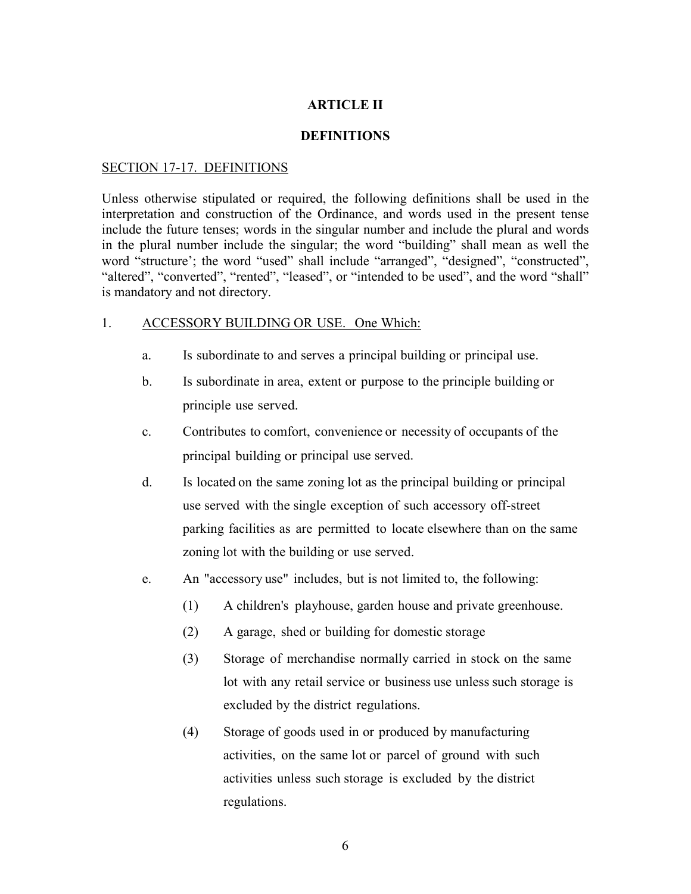## **ARTICLE II**

#### **DEFINITIONS**

#### SECTION 17-17. DEFINITIONS

Unless otherwise stipulated or required, the following definitions shall be used in the interpretation and construction of the Ordinance, and words used in the present tense include the future tenses; words in the singular number and include the plural and words in the plural number include the singular; the word "building" shall mean as well the word "structure'; the word "used" shall include "arranged", "designed", "constructed", "altered", "converted", "rented", "leased", or "intended to be used", and the word "shall" is mandatory and not directory.

#### 1. ACCESSORY BUILDING OR USE. One Which:

- a. Is subordinate to and serves a principal building or principal use.
- b. Is subordinate in area, extent or purpose to the principle building or principle use served.
- c. Contributes to comfort, convenience or necessity of occupants of the principal building or principal use served.
- d. Is located on the same zoning lot as the principal building or principal use served with the single exception of such accessory off-street parking facilities as are permitted to locate elsewhere than on the same zoning lot with the building or use served.
- e. An "accessory use" includes, but is not limited to, the following:
	- (1) A children's playhouse, garden house and private greenhouse.
	- (2) A garage, shed or building for domestic storage
	- (3) Storage of merchandise normally carried in stock on the same lot with any retail service or business use unless such storage is excluded by the district regulations.
	- (4) Storage of goods used in or produced by manufacturing activities, on the same lot or parcel of ground with such activities unless such storage is excluded by the district regulations.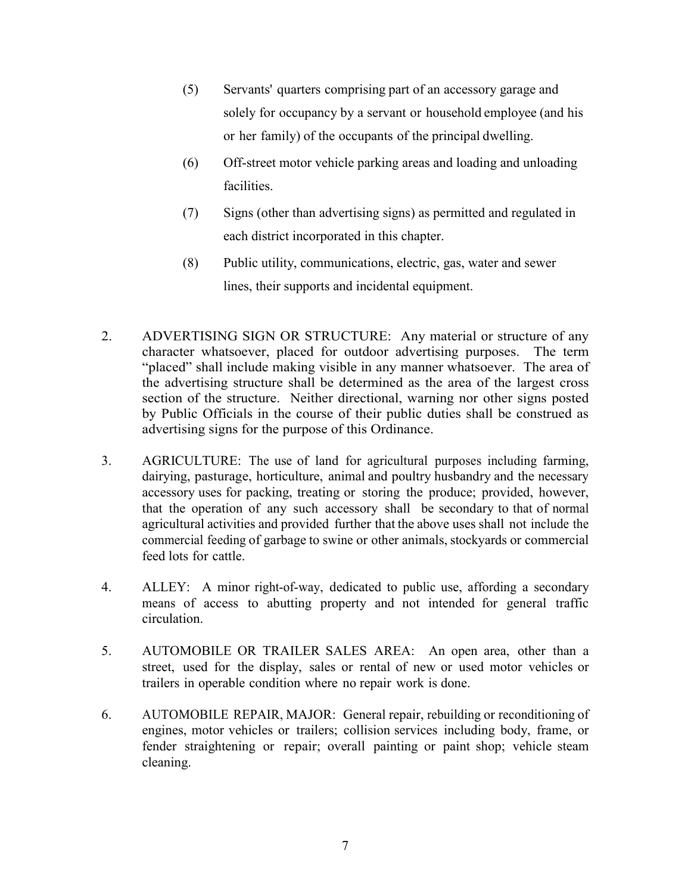- (5) Servants' quarters comprising part of an accessory garage and solely for occupancy by a servant or household employee (and his or her family) of the occupants of the principal dwelling.
- (6) Off-street motor vehicle parking areas and loading and unloading facilities.
- (7) Signs (other than advertising signs) as permitted and regulated in each district incorporated in this chapter.
- (8) Public utility, communications, electric, gas, water and sewer lines, their supports and incidental equipment.
- 2. ADVERTISING SIGN OR STRUCTURE: Any material or structure of any character whatsoever, placed for outdoor advertising purposes. The term "placed" shall include making visible in any manner whatsoever. The area of the advertising structure shall be determined as the area of the largest cross section of the structure. Neither directional, warning nor other signs posted by Public Officials in the course of their public duties shall be construed as advertising signs for the purpose of this Ordinance.
- 3. AGRICULTURE: The use of land for agricultural purposes including farming, dairying, pasturage, horticulture, animal and poultry husbandry and the necessary accessory uses for packing, treating or storing the produce; provided, however, that the operation of any such accessory shall be secondary to that of normal agricultural activities and provided further that the above uses shall not include the commercial feeding of garbage to swine or other animals, stockyards or commercial feed lots for cattle.
- 4. ALLEY: A minor right-of-way, dedicated to public use, affording a secondary means of access to abutting property and not intended for general traffic circulation.
- 5. AUTOMOBILE OR TRAILER SALES AREA: An open area, other than a street, used for the display, sales or rental of new or used motor vehicles or trailers in operable condition where no repair work is done.
- 6. AUTOMOBILE REPAIR, MAJOR: General repair, rebuilding or reconditioning of engines, motor vehicles or trailers; collision services including body, frame, or fender straightening or repair; overall painting or paint shop; vehicle steam cleaning.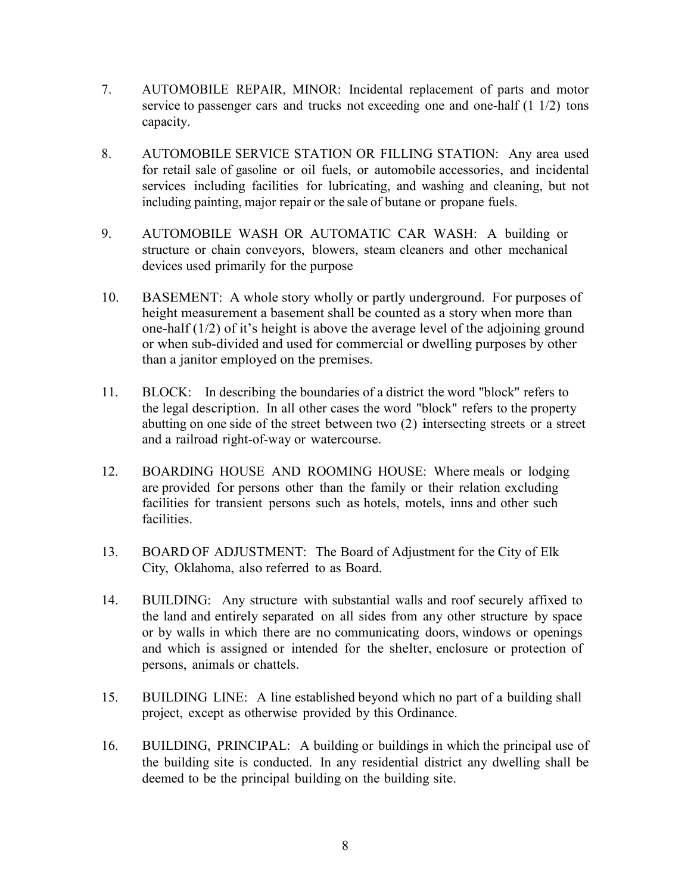- 7. AUTOMOBILE REPAIR, MINOR: Incidental replacement of parts and motor service to passenger cars and trucks not exceeding one and one-half  $(1\ 1/2)$  tons capacity.
- 8. AUTOMOBILE SERVICE STATION OR FILLING STATION: Any area used for retail sale of gasoline or oil fuels, or automobile accessories, and incidental services including facilities for lubricating, and washing and cleaning, but not including painting, major repair or the sale of butane or propane fuels.
- 9. AUTOMOBILE WASH OR AUTOMATIC CAR WASH: A building or structure or chain conveyors, blowers, steam cleaners and other mechanical devices used primarily for the purpose
- 10. BASEMENT: A whole story wholly or partly underground. For purposes of height measurement a basement shall be counted as a story when more than one-half (1/2) of it's height is above the average level of the adjoining ground or when sub-divided and used for commercial or dwelling purposes by other than a janitor employed on the premises.
- 11. BLOCK: In describing the boundaries of a district the word "block" refers to the legal description. In all other cases the word "block" refers to the property abutting on one side of the street between two (2) intersecting streets or a street and a railroad right-of-way or watercourse.
- 12. BOARDING HOUSE AND ROOMING HOUSE: Where meals or lodging are provided for persons other than the family or their relation excluding facilities for transient persons such as hotels, motels, inns and other such facilities.
- 13. BOARD OF ADJUSTMENT: The Board of Adjustment for the City of Elk City, Oklahoma, also referred to as Board.
- 14. BUILDING: Any structure with substantial walls and roof securely affixed to the land and entirely separated on all sides from any other structure by space or by walls in which there are no communicating doors, windows or openings and which is assigned or intended for the shelter, enclosure or protection of persons, animals or chattels.
- 15. BUILDING LINE: A line established beyond which no part of a building shall project, except as otherwise provided by this Ordinance.
- 16. BUILDING, PRINCIPAL: A building or buildings in which the principal use of the building site is conducted. In any residential district any dwelling shall be deemed to be the principal building on the building site.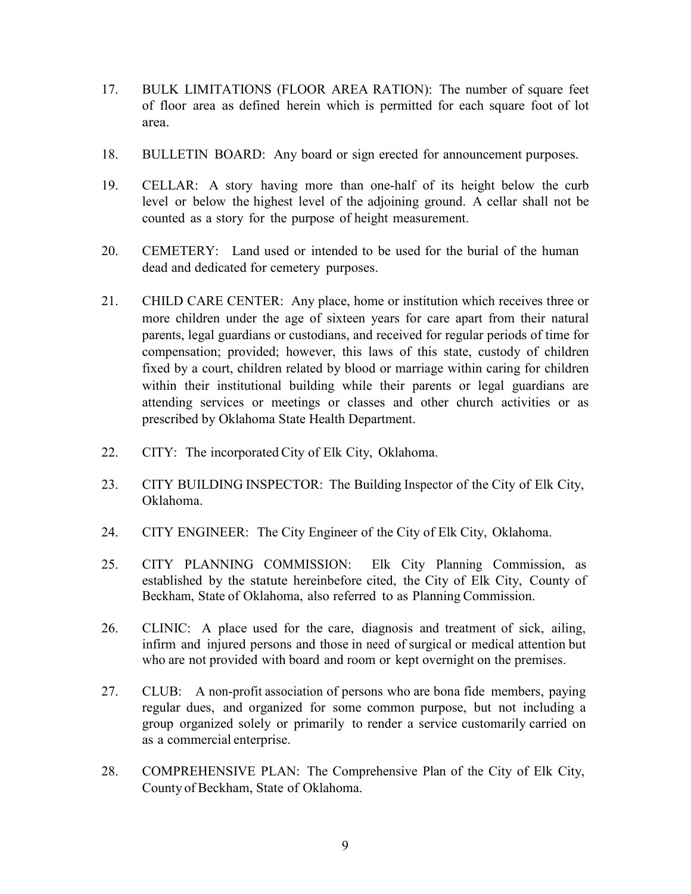- 17. BULK LIMITATIONS (FLOOR AREA RATION): The number of square feet of floor area as defined herein which is permitted for each square foot of lot area.
- 18. BULLETIN BOARD: Any board or sign erected for announcement purposes.
- 19. CELLAR: A story having more than one-half of its height below the curb level or below the highest level of the adjoining ground. A cellar shall not be counted as a story for the purpose of height measurement.
- 20. CEMETERY: Land used or intended to be used for the burial of the human dead and dedicated for cemetery purposes.
- 21. CHILD CARE CENTER: Any place, home or institution which receives three or more children under the age of sixteen years for care apart from their natural parents, legal guardians or custodians, and received for regular periods of time for compensation; provided; however, this laws of this state, custody of children fixed by a court, children related by blood or marriage within caring for children within their institutional building while their parents or legal guardians are attending services or meetings or classes and other church activities or as prescribed by Oklahoma State Health Department.
- 22. CITY: The incorporated City of Elk City, Oklahoma.
- 23. CITY BUILDING INSPECTOR: The Building Inspector of the City of Elk City, Oklahoma.
- 24. CITY ENGINEER: The City Engineer of the City of Elk City, Oklahoma.
- 25. CITY PLANNING COMMISSION: Elk City Planning Commission, as established by the statute hereinbefore cited, the City of Elk City, County of Beckham, State of Oklahoma, also referred to as Planning Commission.
- 26. CLINIC: A place used for the care, diagnosis and treatment of sick, ailing, infirm and injured persons and those in need of surgical or medical attention but who are not provided with board and room or kept overnight on the premises.
- 27. CLUB: A non-profit association of persons who are bona fide members, paying regular dues, and organized for some common purpose, but not including a group organized solely or primarily to render a service customarily carried on as a commercial enterprise.
- 28. COMPREHENSIVE PLAN: The Comprehensive Plan of the City of Elk City, County of Beckham, State of Oklahoma.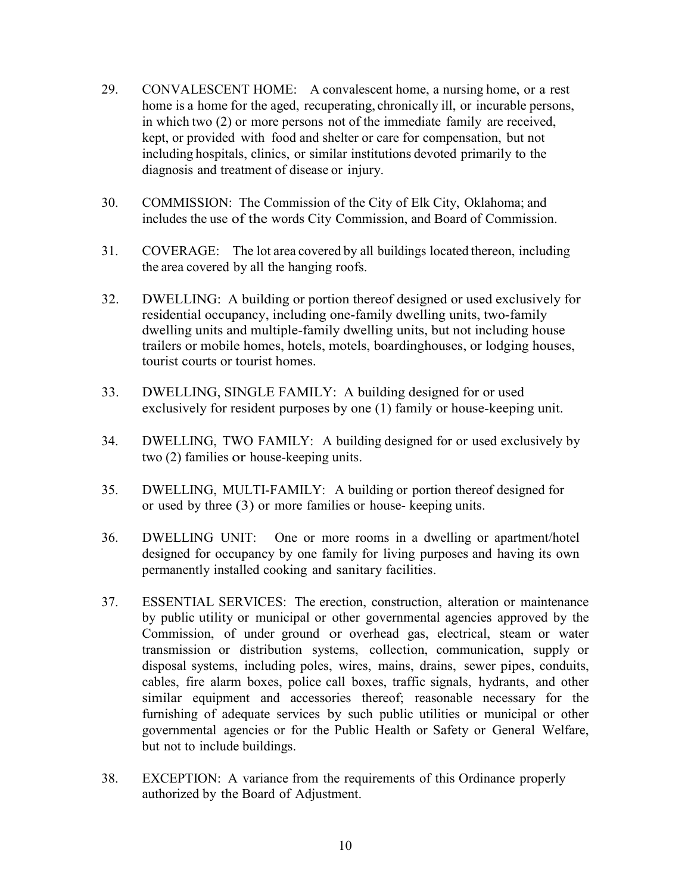- 29. CONVALESCENT HOME: A convalescent home, a nursing home, or a rest home is a home for the aged, recuperating, chronically ill, or incurable persons, in which two (2) or more persons not of the immediate family are received, kept, or provided with food and shelter or care for compensation, but not including hospitals, clinics, or similar institutions devoted primarily to the diagnosis and treatment of disease or injury.
- 30. COMMISSION: The Commission of the City of Elk City, Oklahoma; and includes the use of the words City Commission, and Board of Commission.
- 31. COVERAGE: The lot area covered by all buildings located thereon, including the area covered by all the hanging roofs.
- 32. DWELLING: A building or portion thereof designed or used exclusively for residential occupancy, including one-family dwelling units, two-family dwelling units and multiple-family dwelling units, but not including house trailers or mobile homes, hotels, motels, boardinghouses, or lodging houses, tourist courts or tourist homes.
- 33. DWELLING, SINGLE FAMILY: A building designed for or used exclusively for resident purposes by one (1) family or house-keeping unit.
- 34. DWELLING, TWO FAMILY: A building designed for or used exclusively by two (2) families or house-keeping units.
- 35. DWELLING, MULTI-FAMILY: A building or portion thereof designed for or used by three (3) or more families or house- keeping units.
- 36. DWELLING UNIT: One or more rooms in a dwelling or apartment/hotel designed for occupancy by one family for living purposes and having its own permanently installed cooking and sanitary facilities.
- 37. ESSENTIAL SERVICES: The erection, construction, alteration or maintenance by public utility or municipal or other governmental agencies approved by the Commission, of under ground or overhead gas, electrical, steam or water transmission or distribution systems, collection, communication, supply or disposal systems, including poles, wires, mains, drains, sewer pipes, conduits, cables, fire alarm boxes, police call boxes, traffic signals, hydrants, and other similar equipment and accessories thereof; reasonable necessary for the furnishing of adequate services by such public utilities or municipal or other governmental agencies or for the Public Health or Safety or General Welfare, but not to include buildings.
- 38. EXCEPTION: A variance from the requirements of this Ordinance properly authorized by the Board of Adjustment.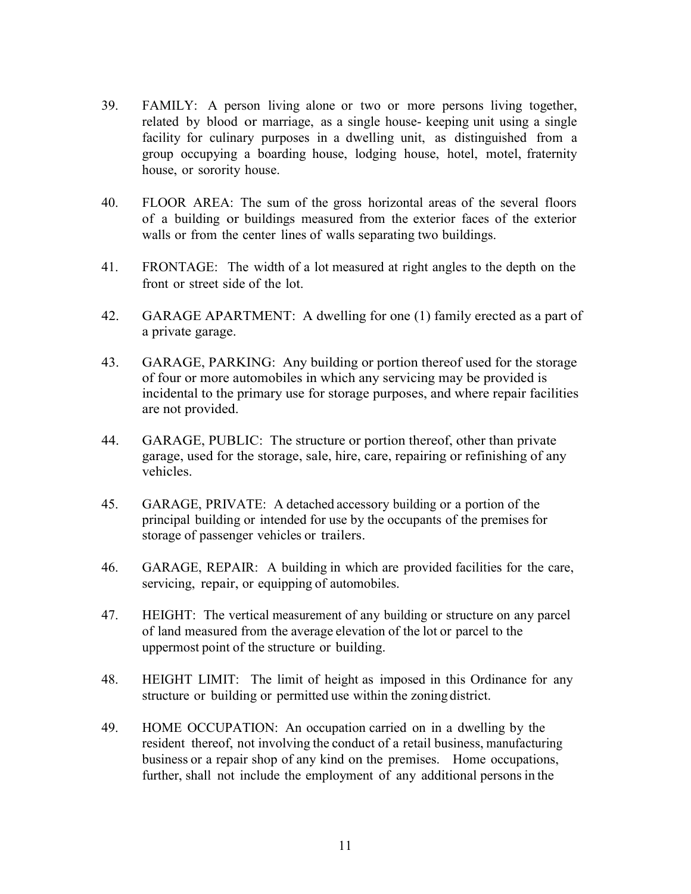- 39. FAMILY: A person living alone or two or more persons living together, related by blood or marriage, as a single house- keeping unit using a single facility for culinary purposes in a dwelling unit, as distinguished from a group occupying a boarding house, lodging house, hotel, motel, fraternity house, or sorority house.
- 40. FLOOR AREA: The sum of the gross horizontal areas of the several floors of a building or buildings measured from the exterior faces of the exterior walls or from the center lines of walls separating two buildings.
- 41. FRONTAGE: The width of a lot measured at right angles to the depth on the front or street side of the lot.
- 42. GARAGE APARTMENT: A dwelling for one (1) family erected as a part of a private garage.
- 43. GARAGE, PARKING: Any building or portion thereof used for the storage of four or more automobiles in which any servicing may be provided is incidental to the primary use for storage purposes, and where repair facilities are not provided.
- 44. GARAGE, PUBLIC: The structure or portion thereof, other than private garage, used for the storage, sale, hire, care, repairing or refinishing of any vehicles.
- 45. GARAGE, PRIVATE: A detached accessory building or a portion of the principal building or intended for use by the occupants of the premises for storage of passenger vehicles or trailers.
- 46. GARAGE, REPAIR: A building in which are provided facilities for the care, servicing, repair, or equipping of automobiles.
- 47. HEIGHT: The vertical measurement of any building or structure on any parcel of land measured from the average elevation of the lot or parcel to the uppermost point of the structure or building.
- 48. HEIGHT LIMIT: The limit of height as imposed in this Ordinance for any structure or building or permitted use within the zoning district.
- 49. HOME OCCUPATION: An occupation carried on in a dwelling by the resident thereof, not involving the conduct of a retail business, manufacturing business or a repair shop of any kind on the premises. Home occupations, further, shall not include the employment of any additional persons in the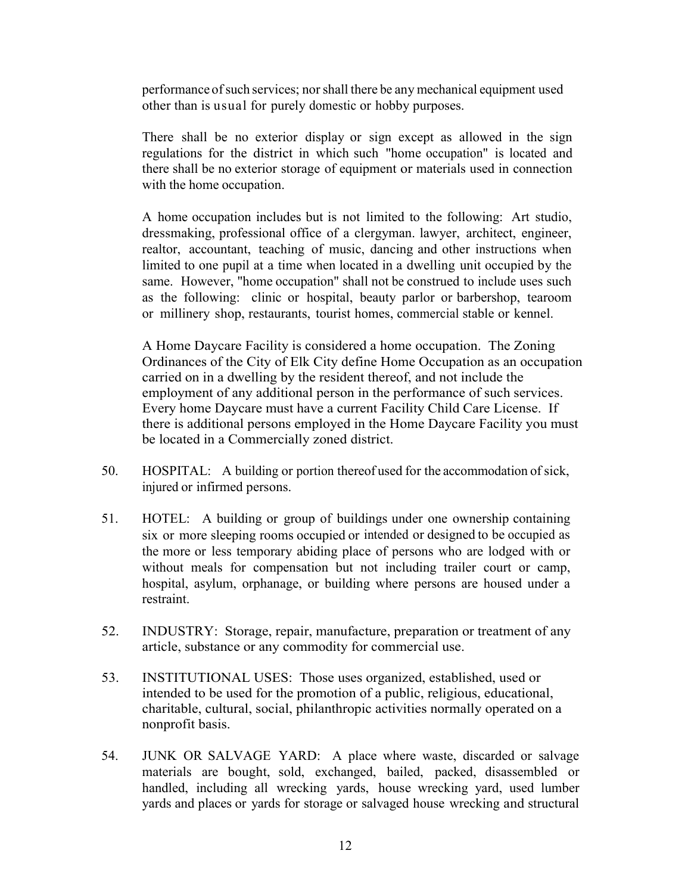performance of such services; nor shall there be any mechanical equipment used other than is usual for purely domestic or hobby purposes.

There shall be no exterior display or sign except as allowed in the sign regulations for the district in which such "home occupation" is located and there shall be no exterior storage of equipment or materials used in connection with the home occupation.

A home occupation includes but is not limited to the following: Art studio, dressmaking, professional office of a clergyman. lawyer, architect, engineer, realtor, accountant, teaching of music, dancing and other instructions when limited to one pupil at a time when located in a dwelling unit occupied by the same. However, "home occupation" shall not be construed to include uses such as the following: clinic or hospital, beauty parlor or barbershop, tearoom or millinery shop, restaurants, tourist homes, commercial stable or kennel.

A Home Daycare Facility is considered a home occupation. The Zoning Ordinances of the City of Elk City define Home Occupation as an occupation carried on in a dwelling by the resident thereof, and not include the employment of any additional person in the performance of such services. Every home Daycare must have a current Facility Child Care License. If there is additional persons employed in the Home Daycare Facility you must be located in a Commercially zoned district.

- 50. HOSPITAL: A building or portion thereof used for the accommodation of sick, injured or infirmed persons.
- 51. HOTEL: A building or group of buildings under one ownership containing six or more sleeping rooms occupied or intended or designed to be occupied as the more or less temporary abiding place of persons who are lodged with or without meals for compensation but not including trailer court or camp, hospital, asylum, orphanage, or building where persons are housed under a restraint.
- 52. INDUSTRY: Storage, repair, manufacture, preparation or treatment of any article, substance or any commodity for commercial use.
- 53. INSTITUTIONAL USES: Those uses organized, established, used or intended to be used for the promotion of a public, religious, educational, charitable, cultural, social, philanthropic activities normally operated on a nonprofit basis.
- 54. JUNK OR SALVAGE YARD: A place where waste, discarded or salvage materials are bought, sold, exchanged, bailed, packed, disassembled or handled, including all wrecking yards, house wrecking yard, used lumber yards and places or yards for storage or salvaged house wrecking and structural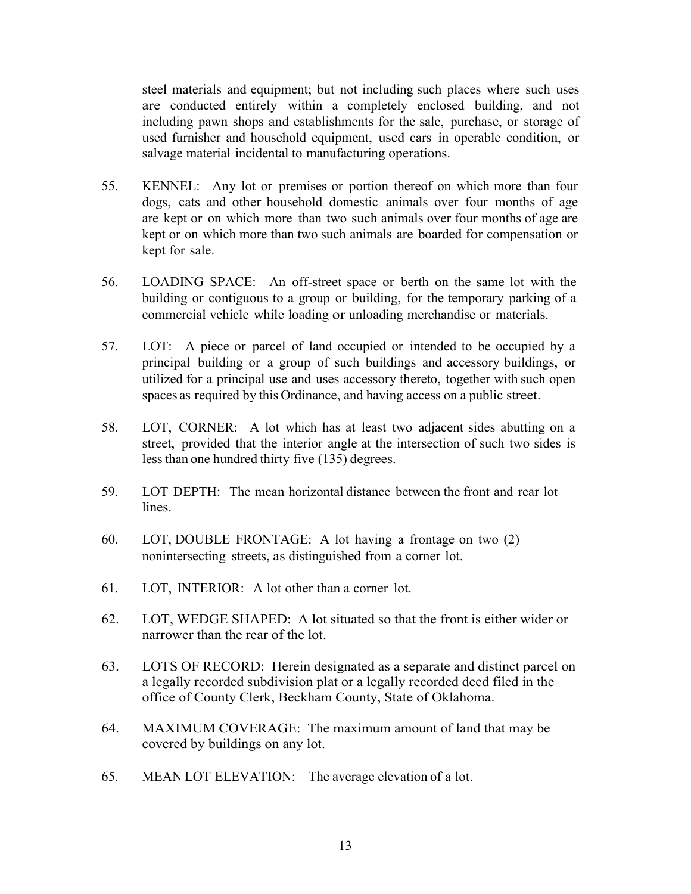steel materials and equipment; but not including such places where such uses are conducted entirely within a completely enclosed building, and not including pawn shops and establishments for the sale, purchase, or storage of used furnisher and household equipment, used cars in operable condition, or salvage material incidental to manufacturing operations.

- 55. KENNEL: Any lot or premises or portion thereof on which more than four dogs, cats and other household domestic animals over four months of age are kept or on which more than two such animals over four months of age are kept or on which more than two such animals are boarded for compensation or kept for sale.
- 56. LOADING SPACE: An off-street space or berth on the same lot with the building or contiguous to a group or building, for the temporary parking of a commercial vehicle while loading or unloading merchandise or materials.
- 57. LOT: A piece or parcel of land occupied or intended to be occupied by a principal building or a group of such buildings and accessory buildings, or utilized for a principal use and uses accessory thereto, together with such open spaces as required by this Ordinance, and having access on a public street.
- 58. LOT, CORNER: A lot which has at least two adjacent sides abutting on a street, provided that the interior angle at the intersection of such two sides is less than one hundred thirty five (135) degrees.
- 59. LOT DEPTH: The mean horizontal distance between the front and rear lot lines.
- 60. LOT, DOUBLE FRONTAGE: A lot having a frontage on two (2) nonintersecting streets, as distinguished from a corner lot.
- 61. LOT, INTERIOR: A lot other than a corner lot.
- 62. LOT, WEDGE SHAPED: A lot situated so that the front is either wider or narrower than the rear of the lot.
- 63. LOTS OF RECORD: Herein designated as a separate and distinct parcel on a legally recorded subdivision plat or a legally recorded deed filed in the office of County Clerk, Beckham County, State of Oklahoma.
- 64. MAXIMUM COVERAGE: The maximum amount of land that may be covered by buildings on any lot.
- 65. MEAN LOT ELEVATION: The average elevation of a lot.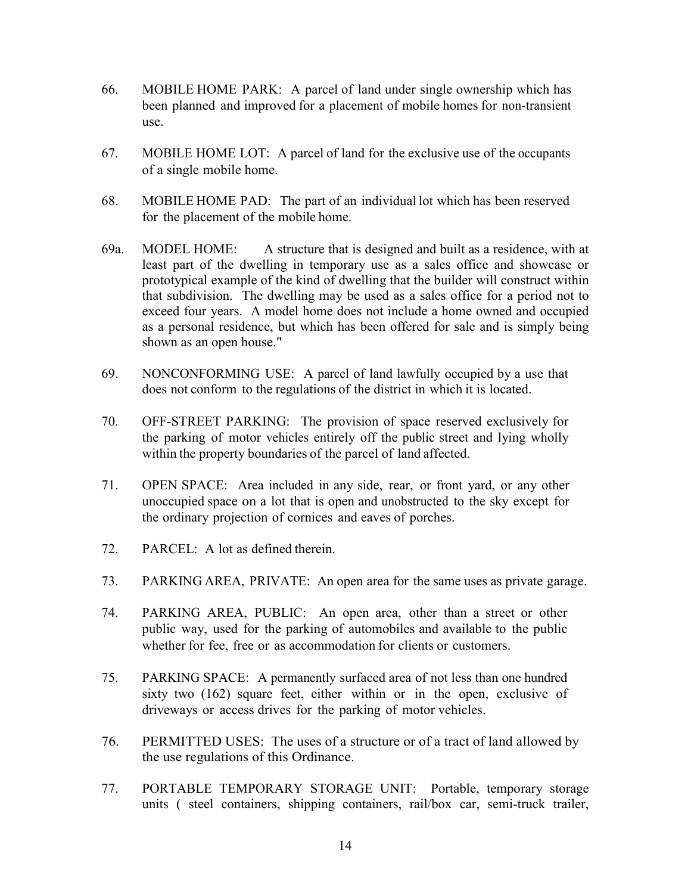- 66. MOBILE HOME PARK: A parcel of land under single ownership which has been planned and improved for a placement of mobile homes for non-transient use.
- 67. MOBILE HOME LOT: A parcel of land for the exclusive use of the occupants of a single mobile home.
- 68. MOBILE HOME PAD: The part of an individual lot which has been reserved for the placement of the mobile home.
- 69a. MODEL HOME: A structure that is designed and built as a residence, with at least part of the dwelling in temporary use as a sales office and showcase or prototypical example of the kind of dwelling that the builder will construct within that subdivision. The dwelling may be used as a sales office for a period not to exceed four years. A model home does not include a home owned and occupied as a personal residence, but which has been offered for sale and is simply being shown as an open house."
- 69. NONCONFORMING USE: A parcel of land lawfully occupied by a use that does not conform to the regulations of the district in which it is located.
- 70. OFF-STREET PARKING: The provision of space reserved exclusively for the parking of motor vehicles entirely off the public street and lying wholly within the property boundaries of the parcel of land affected.
- 71. OPEN SPACE: Area included in any side, rear, or front yard, or any other unoccupied space on a lot that is open and unobstructed to the sky except for the ordinary projection of cornices and eaves of porches.
- 72. PARCEL: A lot as defined therein.
- 73. PARKING AREA, PRIVATE: An open area for the same uses as private garage.
- 74. PARKING AREA, PUBLIC: An open area, other than a street or other public way, used for the parking of automobiles and available to the public whether for fee, free or as accommodation for clients or customers.
- 75. PARKING SPACE: A permanently surfaced area of not less than one hundred sixty two (162) square feet, either within or in the open, exclusive of driveways or access drives for the parking of motor vehicles.
- 76. PERMITTED USES: The uses of a structure or of a tract of land allowed by the use regulations of this Ordinance.
- 77. PORTABLE TEMPORARY STORAGE UNIT: Portable, temporary storage units ( steel containers, shipping containers, rail/box car, semi-truck trailer,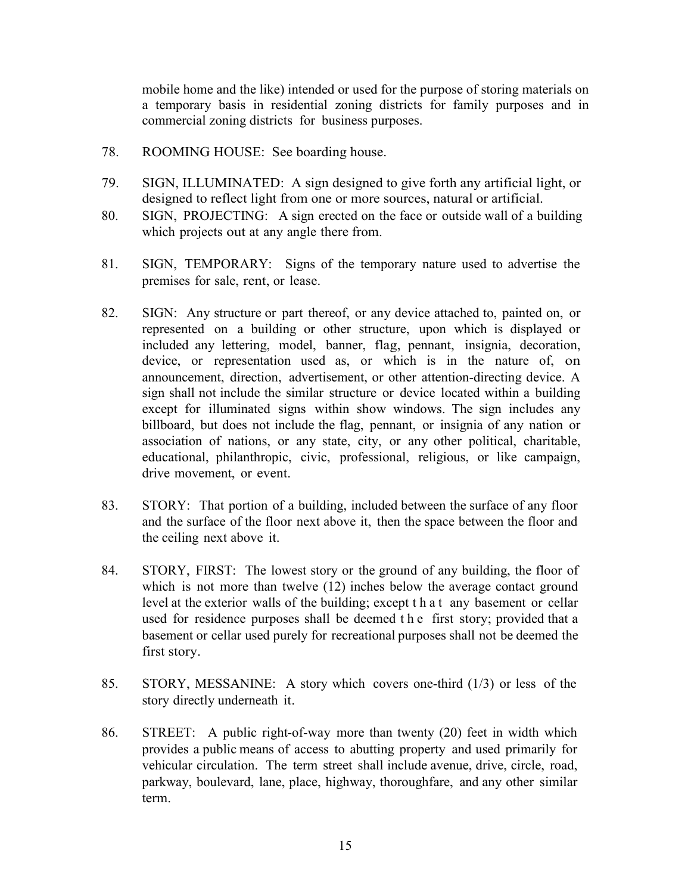mobile home and the like) intended or used for the purpose of storing materials on a temporary basis in residential zoning districts for family purposes and in commercial zoning districts for business purposes.

- 78. ROOMING HOUSE: See boarding house.
- 79. SIGN, ILLUMINATED: A sign designed to give forth any artificial light, or designed to reflect light from one or more sources, natural or artificial.
- 80. SIGN, PROJECTING: A sign erected on the face or outside wall of a building which projects out at any angle there from.
- 81. SIGN, TEMPORARY: Signs of the temporary nature used to advertise the premises for sale, rent, or lease.
- 82. SIGN: Any structure or part thereof, or any device attached to, painted on, or represented on a building or other structure, upon which is displayed or included any lettering, model, banner, flag, pennant, insignia, decoration, device, or representation used as, or which is in the nature of, on announcement, direction, advertisement, or other attention-directing device. A sign shall not include the similar structure or device located within a building except for illuminated signs within show windows. The sign includes any billboard, but does not include the flag, pennant, or insignia of any nation or association of nations, or any state, city, or any other political, charitable, educational, philanthropic, civic, professional, religious, or like campaign, drive movement, or event.
- 83. STORY: That portion of a building, included between the surface of any floor and the surface of the floor next above it, then the space between the floor and the ceiling next above it.
- 84. STORY, FIRST: The lowest story or the ground of any building, the floor of which is not more than twelve (12) inches below the average contact ground level at the exterior walls of the building; except that any basement or cellar used for residence purposes shall be deemed the first story; provided that a basement or cellar used purely for recreational purposes shall not be deemed the first story.
- 85. STORY, MESSANINE: A story which covers one-third (1/3) or less of the story directly underneath it.
- 86. STREET: A public right-of-way more than twenty (20) feet in width which provides a public means of access to abutting property and used primarily for vehicular circulation. The term street shall include avenue, drive, circle, road, parkway, boulevard, lane, place, highway, thoroughfare, and any other similar term.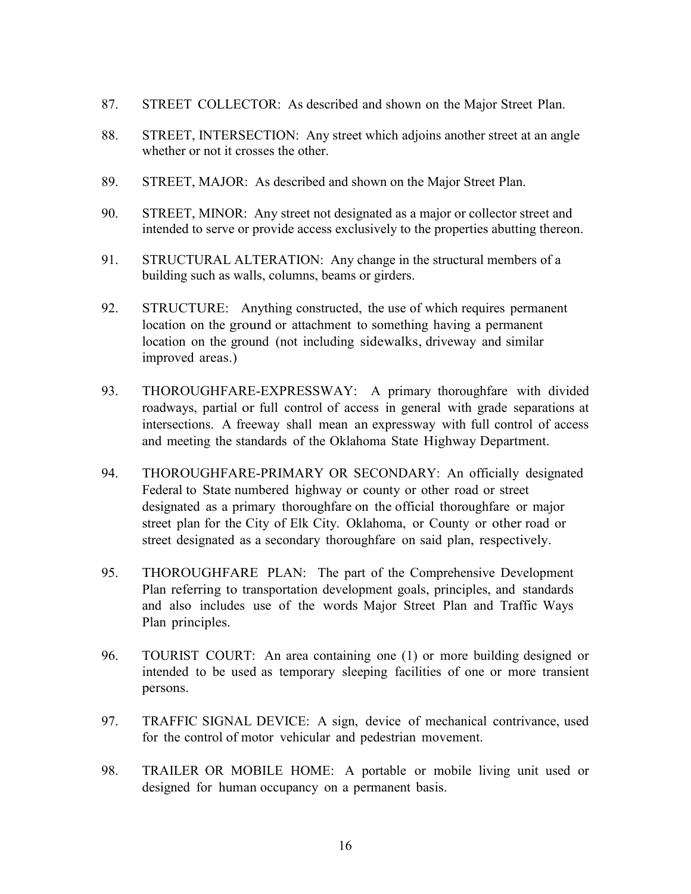- 87. STREET COLLECTOR: As described and shown on the Major Street Plan.
- 88. STREET, INTERSECTION: Any street which adjoins another street at an angle whether or not it crosses the other.
- 89. STREET, MAJOR: As described and shown on the Major Street Plan.
- 90. STREET, MINOR: Any street not designated as a major or collector street and intended to serve or provide access exclusively to the properties abutting thereon.
- 91. STRUCTURAL ALTERATION: Any change in the structural members of a building such as walls, columns, beams or girders.
- 92. STRUCTURE: Anything constructed, the use of which requires permanent location on the ground or attachment to something having a permanent location on the ground (not including sidewalks, driveway and similar improved areas.)
- 93. THOROUGHFARE-EXPRESSWAY: A primary thoroughfare with divided roadways, partial or full control of access in general with grade separations at intersections. A freeway shall mean an expressway with full control of access and meeting the standards of the Oklahoma State Highway Department.
- 94. THOROUGHFARE-PRIMARY OR SECONDARY: An officially designated Federal to State numbered highway or county or other road or street designated as a primary thoroughfare on the official thoroughfare or major street plan for the City of Elk City. Oklahoma, or County or other road or street designated as a secondary thoroughfare on said plan, respectively.
- 95. THOROUGHFARE PLAN: The part of the Comprehensive Development Plan referring to transportation development goals, principles, and standards and also includes use of the words Major Street Plan and Traffic Ways Plan principles.
- 96. TOURIST COURT: An area containing one (1) or more building designed or intended to be used as temporary sleeping facilities of one or more transient persons.
- 97. TRAFFIC SIGNAL DEVICE: A sign, device of mechanical contrivance, used for the control of motor vehicular and pedestrian movement.
- 98. TRAILER OR MOBILE HOME: A portable or mobile living unit used or designed for human occupancy on a permanent basis.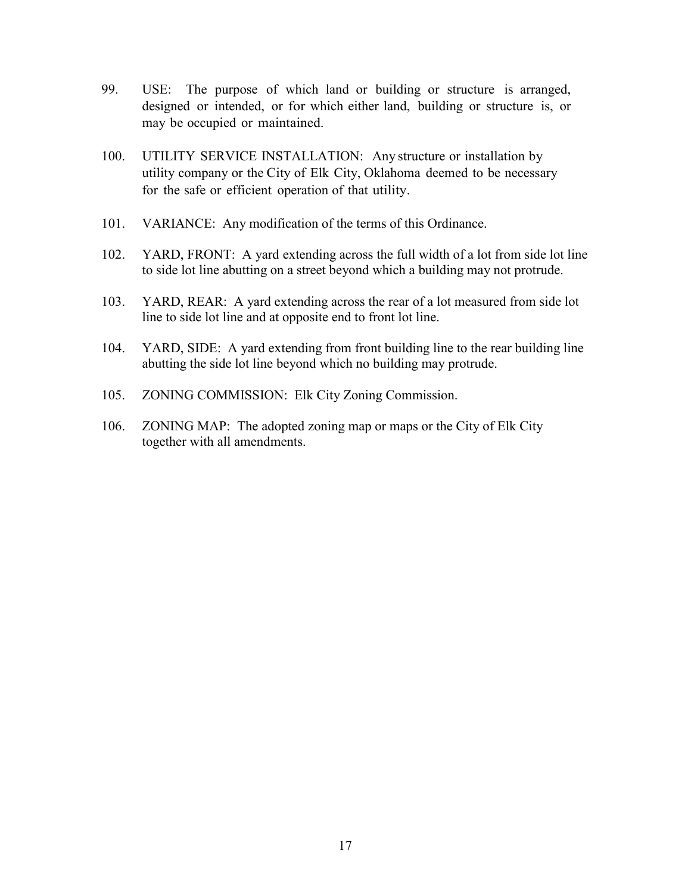- 99. USE: The purpose of which land or building or structure is arranged, designed or intended, or for which either land, building or structure is, or may be occupied or maintained.
- 100. UTILITY SERVICE INSTALLATION: Any structure or installation by utility company or the City of Elk City, Oklahoma deemed to be necessary for the safe or efficient operation of that utility.
- 101. VARIANCE: Any modification of the terms of this Ordinance.
- 102. YARD, FRONT: A yard extending across the full width of a lot from side lot line to side lot line abutting on a street beyond which a building may not protrude.
- 103. YARD, REAR: A yard extending across the rear of a lot measured from side lot line to side lot line and at opposite end to front lot line.
- 104. YARD, SIDE: A yard extending from front building line to the rear building line abutting the side lot line beyond which no building may protrude.
- 105. ZONING COMMISSION: Elk City Zoning Commission.
- 106. ZONING MAP: The adopted zoning map or maps or the City of Elk City together with all amendments.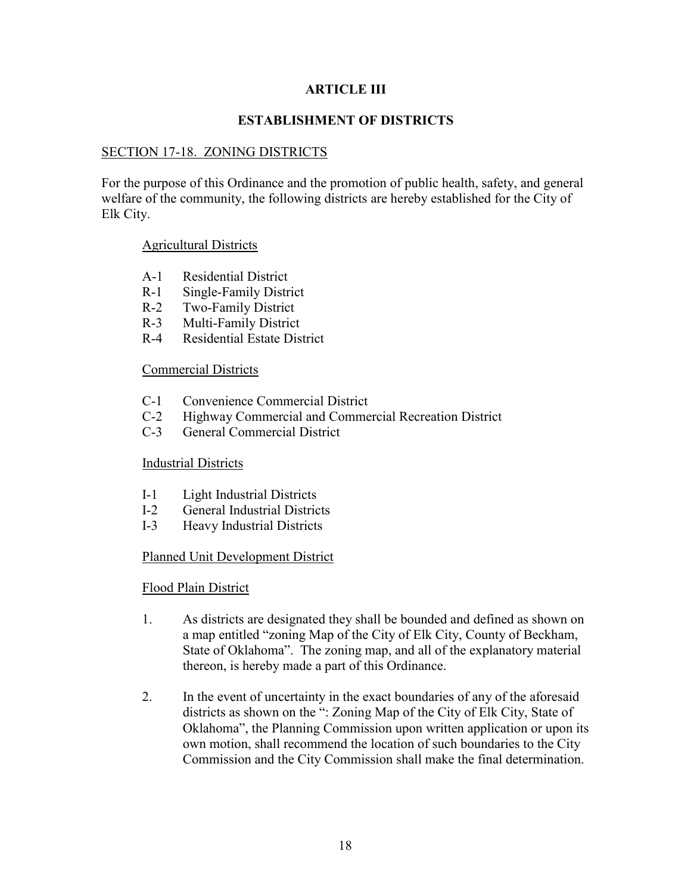## **ARTICLE III**

## **ESTABLISHMENT OF DISTRICTS**

### SECTION 17-18. ZONING DISTRICTS

For the purpose of this Ordinance and the promotion of public health, safety, and general welfare of the community, the following districts are hereby established for the City of Elk City.

#### Agricultural Districts

- A-1 Residential District
- R-1 Single-Family District
- R-2 Two-Family District
- R-3 Multi-Family District
- R-4 Residential Estate District

#### Commercial Districts

- C-1 Convenience Commercial District
- C-2 Highway Commercial and Commercial Recreation District
- C-3 General Commercial District

### Industrial Districts

- I-1 Light Industrial Districts
- I-2 General Industrial Districts
- I-3 Heavy Industrial Districts

### Planned Unit Development District

#### Flood Plain District

- 1. As districts are designated they shall be bounded and defined as shown on a map entitled "zoning Map of the City of Elk City, County of Beckham, State of Oklahoma". The zoning map, and all of the explanatory material thereon, is hereby made a part of this Ordinance.
- 2. In the event of uncertainty in the exact boundaries of any of the aforesaid districts as shown on the ": Zoning Map of the City of Elk City, State of Oklahoma", the Planning Commission upon written application or upon its own motion, shall recommend the location of such boundaries to the City Commission and the City Commission shall make the final determination.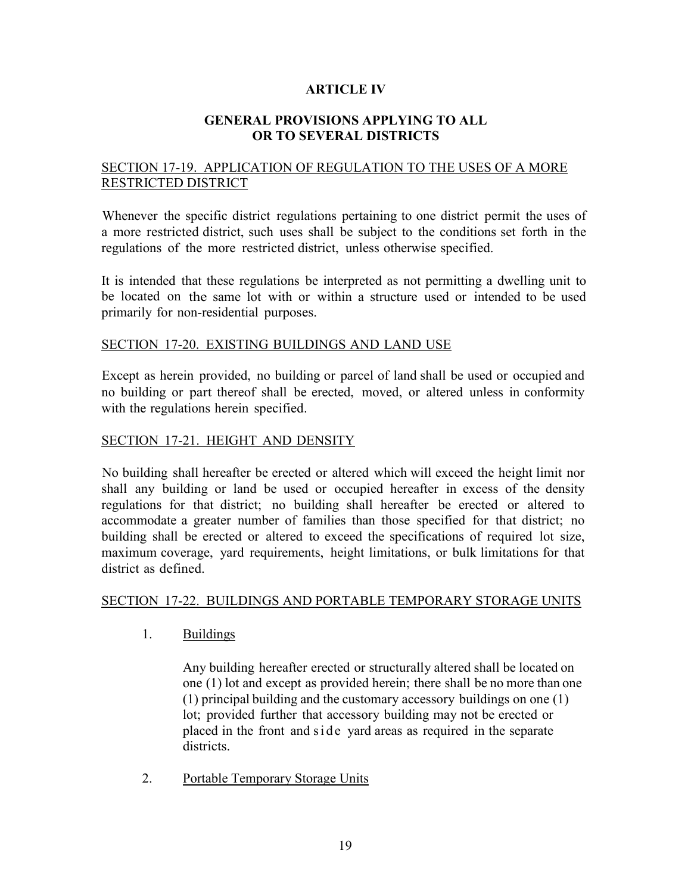## **ARTICLE IV**

### **GENERAL PROVISIONS APPLYING TO ALL OR TO SEVERAL DISTRICTS**

# SECTION 17-19. APPLICATION OF REGULATION TO THE USES OF A MORE RESTRICTED DISTRICT

Whenever the specific district regulations pertaining to one district permit the uses of a more restricted district, such uses shall be subject to the conditions set forth in the regulations of the more restricted district, unless otherwise specified.

It is intended that these regulations be interpreted as not permitting a dwelling unit to be located on the same lot with or within a structure used or intended to be used primarily for non-residential purposes.

### SECTION 17-20. EXISTING BUILDINGS AND LAND USE

Except as herein provided, no building or parcel of land shall be used or occupied and no building or part thereof shall be erected, moved, or altered unless in conformity with the regulations herein specified.

### SECTION 17-21. HEIGHT AND DENSITY

No building shall hereafter be erected or altered which will exceed the height limit nor shall any building or land be used or occupied hereafter in excess of the density regulations for that district; no building shall hereafter be erected or altered to accommodate a greater number of families than those specified for that district; no building shall be erected or altered to exceed the specifications of required lot size, maximum coverage, yard requirements, height limitations, or bulk limitations for that district as defined.

### SECTION 17-22. BUILDINGS AND PORTABLE TEMPORARY STORAGE UNITS

1. Buildings

Any building hereafter erected or structurally altered shall be located on one (1) lot and except as provided herein; there shall be no more than one (1) principal building and the customary accessory buildings on one (1) lot; provided further that accessory building may not be erected or placed in the front and side yard areas as required in the separate districts.

2. Portable Temporary Storage Units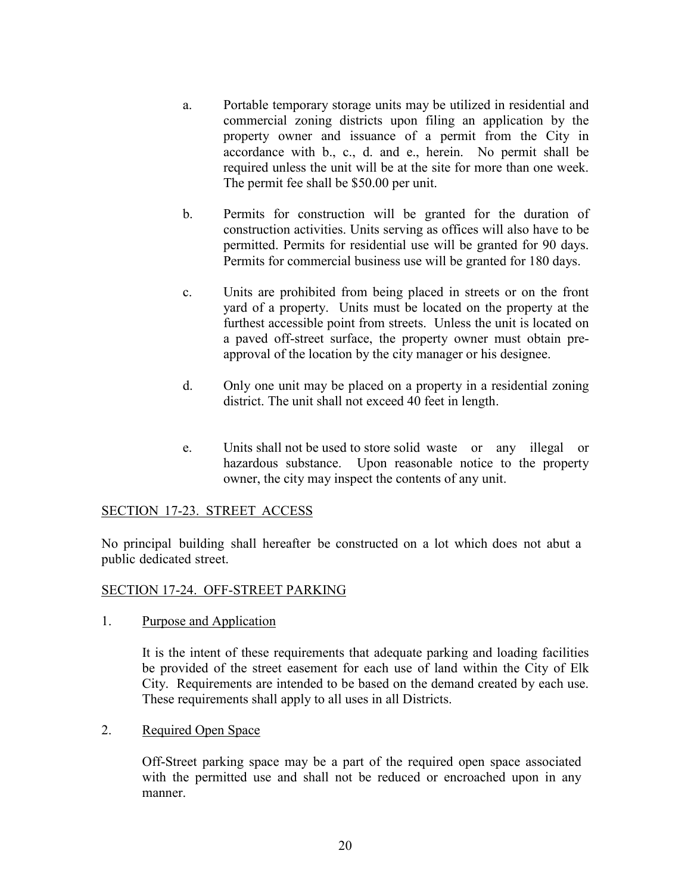- a. Portable temporary storage units may be utilized in residential and commercial zoning districts upon filing an application by the property owner and issuance of a permit from the City in accordance with b., c., d. and e., herein. No permit shall be required unless the unit will be at the site for more than one week. The permit fee shall be \$50.00 per unit.
- b. Permits for construction will be granted for the duration of construction activities. Units serving as offices will also have to be permitted. Permits for residential use will be granted for 90 days. Permits for commercial business use will be granted for 180 days.
- c. Units are prohibited from being placed in streets or on the front yard of a property. Units must be located on the property at the furthest accessible point from streets. Unless the unit is located on a paved off-street surface, the property owner must obtain preapproval of the location by the city manager or his designee.
- d. Only one unit may be placed on a property in a residential zoning district. The unit shall not exceed 40 feet in length.
- e. Units shall not be used to store solid waste or any illegal or hazardous substance. Upon reasonable notice to the property owner, the city may inspect the contents of any unit.

# SECTION 17-23. STREET ACCESS

No principal building shall hereafter be constructed on a lot which does not abut a public dedicated street.

# SECTION 17-24. OFF-STREET PARKING

1. Purpose and Application

It is the intent of these requirements that adequate parking and loading facilities be provided of the street easement for each use of land within the City of Elk City. Requirements are intended to be based on the demand created by each use. These requirements shall apply to all uses in all Districts.

### 2. Required Open Space

Off-Street parking space may be a part of the required open space associated with the permitted use and shall not be reduced or encroached upon in any manner.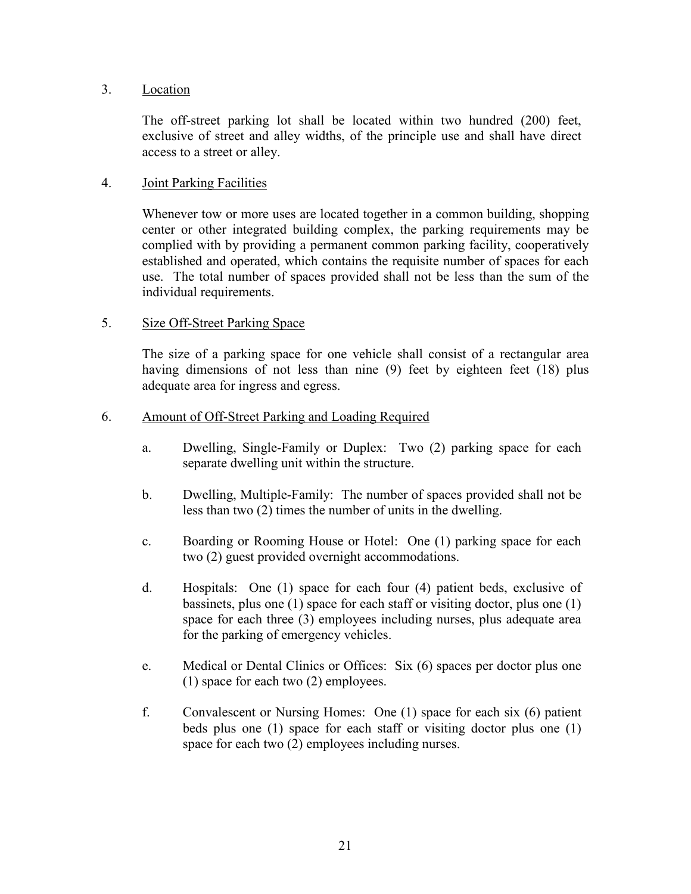## 3. Location

The off-street parking lot shall be located within two hundred (200) feet, exclusive of street and alley widths, of the principle use and shall have direct access to a street or alley.

## 4. Joint Parking Facilities

Whenever tow or more uses are located together in a common building, shopping center or other integrated building complex, the parking requirements may be complied with by providing a permanent common parking facility, cooperatively established and operated, which contains the requisite number of spaces for each use. The total number of spaces provided shall not be less than the sum of the individual requirements.

## 5. Size Off-Street Parking Space

The size of a parking space for one vehicle shall consist of a rectangular area having dimensions of not less than nine (9) feet by eighteen feet (18) plus adequate area for ingress and egress.

### 6. Amount of Off-Street Parking and Loading Required

- a. Dwelling, Single-Family or Duplex: Two (2) parking space for each separate dwelling unit within the structure.
- b. Dwelling, Multiple-Family: The number of spaces provided shall not be less than two (2) times the number of units in the dwelling.
- c. Boarding or Rooming House or Hotel: One (1) parking space for each two (2) guest provided overnight accommodations.
- d. Hospitals: One (1) space for each four (4) patient beds, exclusive of bassinets, plus one (1) space for each staff or visiting doctor, plus one (1) space for each three (3) employees including nurses, plus adequate area for the parking of emergency vehicles.
- e. Medical or Dental Clinics or Offices: Six (6) spaces per doctor plus one (1) space for each two (2) employees.
- f. Convalescent or Nursing Homes: One (1) space for each six (6) patient beds plus one (1) space for each staff or visiting doctor plus one (1) space for each two (2) employees including nurses.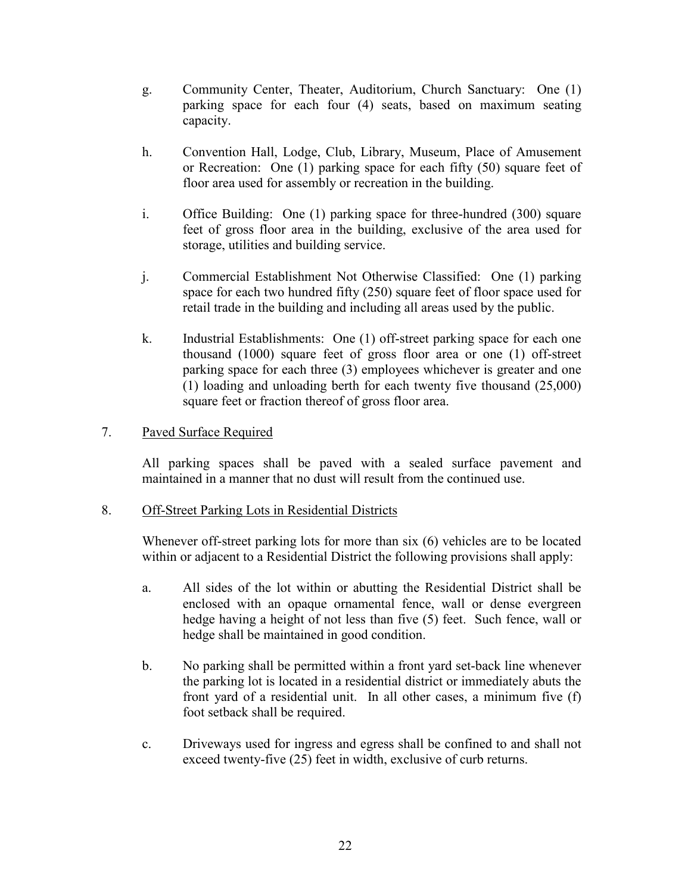- g. Community Center, Theater, Auditorium, Church Sanctuary: One (1) parking space for each four (4) seats, based on maximum seating capacity.
- h. Convention Hall, Lodge, Club, Library, Museum, Place of Amusement or Recreation: One (1) parking space for each fifty (50) square feet of floor area used for assembly or recreation in the building.
- i. Office Building: One (1) parking space for three-hundred (300) square feet of gross floor area in the building, exclusive of the area used for storage, utilities and building service.
- j. Commercial Establishment Not Otherwise Classified: One (1) parking space for each two hundred fifty (250) square feet of floor space used for retail trade in the building and including all areas used by the public.
- k. Industrial Establishments: One (1) off-street parking space for each one thousand (1000) square feet of gross floor area or one (1) off-street parking space for each three (3) employees whichever is greater and one (1) loading and unloading berth for each twenty five thousand (25,000) square feet or fraction thereof of gross floor area.

## 7. Paved Surface Required

All parking spaces shall be paved with a sealed surface pavement and maintained in a manner that no dust will result from the continued use.

### 8. Off-Street Parking Lots in Residential Districts

Whenever off-street parking lots for more than six (6) vehicles are to be located within or adjacent to a Residential District the following provisions shall apply:

- a. All sides of the lot within or abutting the Residential District shall be enclosed with an opaque ornamental fence, wall or dense evergreen hedge having a height of not less than five (5) feet. Such fence, wall or hedge shall be maintained in good condition.
- b. No parking shall be permitted within a front yard set-back line whenever the parking lot is located in a residential district or immediately abuts the front yard of a residential unit. In all other cases, a minimum five (f) foot setback shall be required.
- c. Driveways used for ingress and egress shall be confined to and shall not exceed twenty-five (25) feet in width, exclusive of curb returns.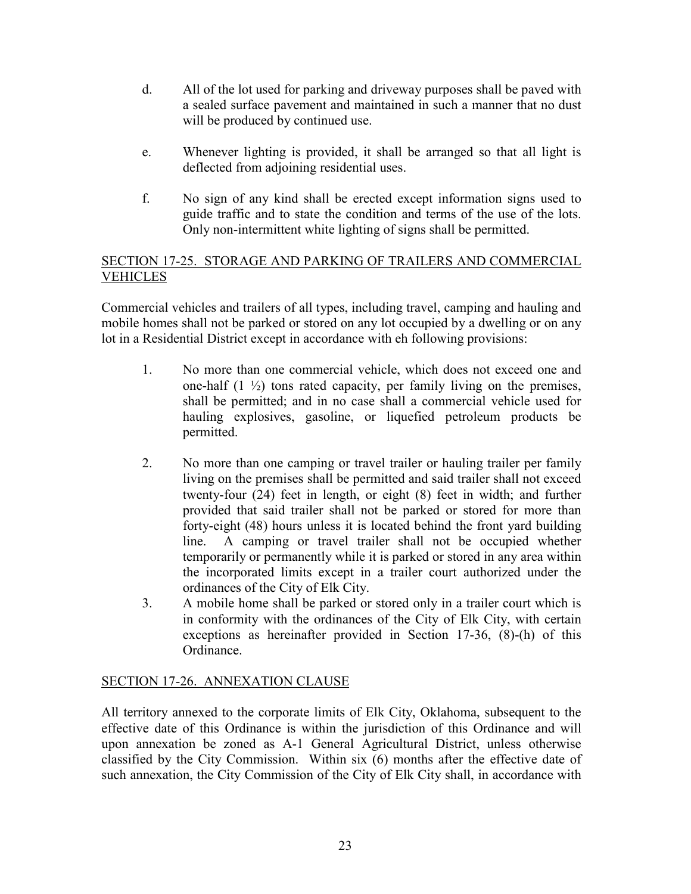- d. All of the lot used for parking and driveway purposes shall be paved with a sealed surface pavement and maintained in such a manner that no dust will be produced by continued use.
- e. Whenever lighting is provided, it shall be arranged so that all light is deflected from adjoining residential uses.
- f. No sign of any kind shall be erected except information signs used to guide traffic and to state the condition and terms of the use of the lots. Only non-intermittent white lighting of signs shall be permitted.

# SECTION 17-25. STORAGE AND PARKING OF TRAILERS AND COMMERCIAL **VEHICLES**

Commercial vehicles and trailers of all types, including travel, camping and hauling and mobile homes shall not be parked or stored on any lot occupied by a dwelling or on any lot in a Residential District except in accordance with eh following provisions:

- 1. No more than one commercial vehicle, which does not exceed one and one-half  $(1 \frac{1}{2})$  tons rated capacity, per family living on the premises, shall be permitted; and in no case shall a commercial vehicle used for hauling explosives, gasoline, or liquefied petroleum products be permitted.
- 2. No more than one camping or travel trailer or hauling trailer per family living on the premises shall be permitted and said trailer shall not exceed twenty-four (24) feet in length, or eight (8) feet in width; and further provided that said trailer shall not be parked or stored for more than forty-eight (48) hours unless it is located behind the front yard building line. A camping or travel trailer shall not be occupied whether temporarily or permanently while it is parked or stored in any area within the incorporated limits except in a trailer court authorized under the ordinances of the City of Elk City.
- 3. A mobile home shall be parked or stored only in a trailer court which is in conformity with the ordinances of the City of Elk City, with certain exceptions as hereinafter provided in Section 17-36, (8)-(h) of this Ordinance.

# SECTION 17-26. ANNEXATION CLAUSE

All territory annexed to the corporate limits of Elk City, Oklahoma, subsequent to the effective date of this Ordinance is within the jurisdiction of this Ordinance and will upon annexation be zoned as A-1 General Agricultural District, unless otherwise classified by the City Commission. Within six (6) months after the effective date of such annexation, the City Commission of the City of Elk City shall, in accordance with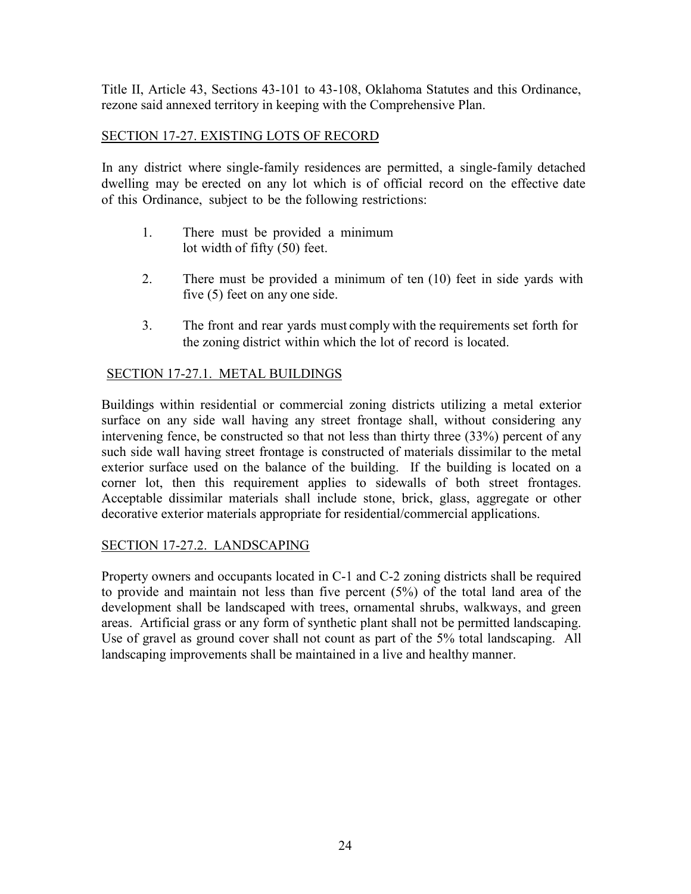Title II, Article 43, Sections 43-101 to 43-108, Oklahoma Statutes and this Ordinance, rezone said annexed territory in keeping with the Comprehensive Plan.

# SECTION 17-27. EXISTING LOTS OF RECORD

In any district where single-family residences are permitted, a single-family detached dwelling may be erected on any lot which is of official record on the effective date of this Ordinance, subject to be the following restrictions:

- 1. There must be provided a minimum lot width of fifty (50) feet.
- 2. There must be provided a minimum of ten (10) feet in side yards with five (5) feet on any one side.
- 3. The front and rear yards must comply with the requirements set forth for the zoning district within which the lot of record is located.

# SECTION 17-27.1. METAL BUILDINGS

Buildings within residential or commercial zoning districts utilizing a metal exterior surface on any side wall having any street frontage shall, without considering any intervening fence, be constructed so that not less than thirty three (33%) percent of any such side wall having street frontage is constructed of materials dissimilar to the metal exterior surface used on the balance of the building. If the building is located on a corner lot, then this requirement applies to sidewalls of both street frontages. Acceptable dissimilar materials shall include stone, brick, glass, aggregate or other decorative exterior materials appropriate for residential/commercial applications.

# SECTION 17-27.2. LANDSCAPING

Property owners and occupants located in C-1 and C-2 zoning districts shall be required to provide and maintain not less than five percent (5%) of the total land area of the development shall be landscaped with trees, ornamental shrubs, walkways, and green areas. Artificial grass or any form of synthetic plant shall not be permitted landscaping. Use of gravel as ground cover shall not count as part of the 5% total landscaping. All landscaping improvements shall be maintained in a live and healthy manner.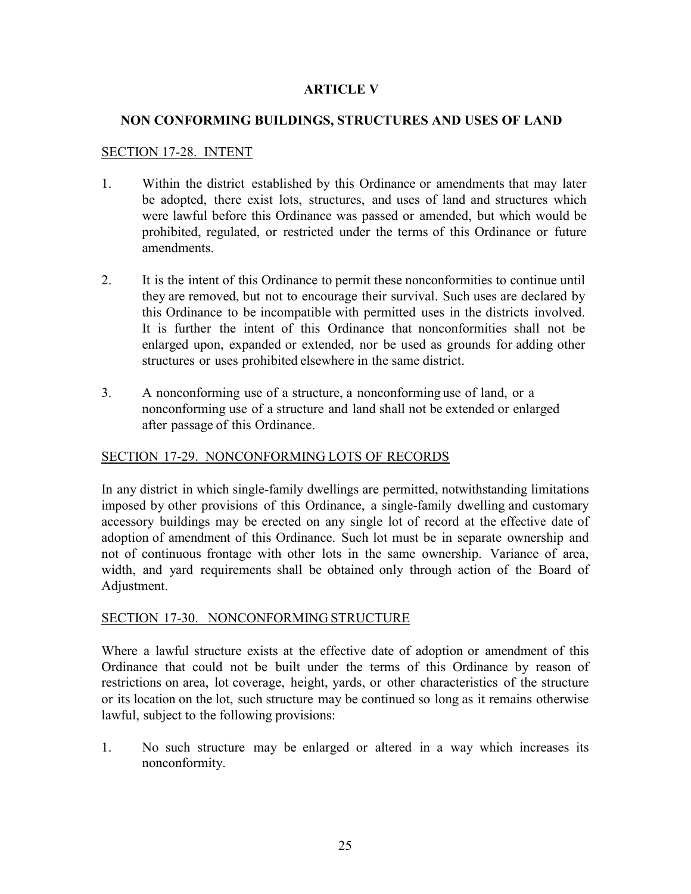## **ARTICLE V**

## **NON CONFORMING BUILDINGS, STRUCTURES AND USES OF LAND**

### SECTION 17-28. INTENT

- 1. Within the district established by this Ordinance or amendments that may later be adopted, there exist lots, structures, and uses of land and structures which were lawful before this Ordinance was passed or amended, but which would be prohibited, regulated, or restricted under the terms of this Ordinance or future amendments.
- 2. It is the intent of this Ordinance to permit these nonconformities to continue until they are removed, but not to encourage their survival. Such uses are declared by this Ordinance to be incompatible with permitted uses in the districts involved. It is further the intent of this Ordinance that nonconformities shall not be enlarged upon, expanded or extended, nor be used as grounds for adding other structures or uses prohibited elsewhere in the same district.
- 3. A nonconforming use of a structure, a nonconforming use of land, or a nonconforming use of a structure and land shall not be extended or enlarged after passage of this Ordinance.

# SECTION 17-29. NONCONFORMING LOTS OF RECORDS

In any district in which single-family dwellings are permitted, notwithstanding limitations imposed by other provisions of this Ordinance, a single-family dwelling and customary accessory buildings may be erected on any single lot of record at the effective date of adoption of amendment of this Ordinance. Such lot must be in separate ownership and not of continuous frontage with other lots in the same ownership. Variance of area, width, and yard requirements shall be obtained only through action of the Board of Adjustment.

### SECTION 17-30. NONCONFORMING STRUCTURE

Where a lawful structure exists at the effective date of adoption or amendment of this Ordinance that could not be built under the terms of this Ordinance by reason of restrictions on area, lot coverage, height, yards, or other characteristics of the structure or its location on the lot, such structure may be continued so long as it remains otherwise lawful, subject to the following provisions:

1. No such structure may be enlarged or altered in a way which increases its nonconformity.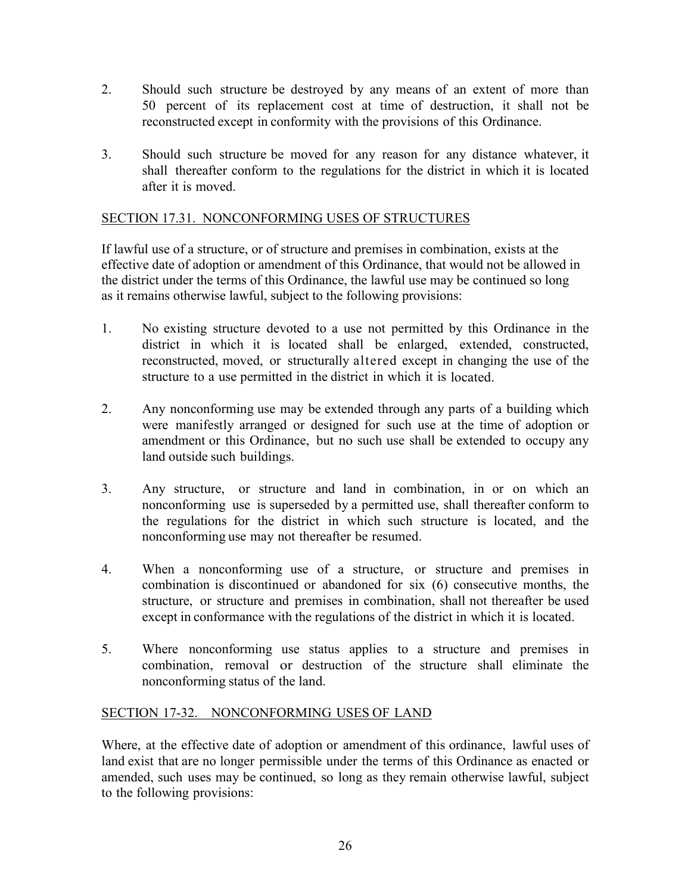- 2. Should such structure be destroyed by any means of an extent of more than 50 percent of its replacement cost at time of destruction, it shall not be reconstructed except in conformity with the provisions of this Ordinance.
- 3. Should such structure be moved for any reason for any distance whatever, it shall thereafter conform to the regulations for the district in which it is located after it is moved.

# SECTION 17.31. NONCONFORMING USES OF STRUCTURES

If lawful use of a structure, or of structure and premises in combination, exists at the effective date of adoption or amendment of this Ordinance, that would not be allowed in the district under the terms of this Ordinance, the lawful use may be continued so long as it remains otherwise lawful, subject to the following provisions:

- 1. No existing structure devoted to a use not permitted by this Ordinance in the district in which it is located shall be enlarged, extended, constructed, reconstructed, moved, or structurally altered except in changing the use of the structure to a use permitted in the district in which it is located.
- 2. Any nonconforming use may be extended through any parts of a building which were manifestly arranged or designed for such use at the time of adoption or amendment or this Ordinance, but no such use shall be extended to occupy any land outside such buildings.
- 3. Any structure, or structure and land in combination, in or on which an nonconforming use is superseded by a permitted use, shall thereafter conform to the regulations for the district in which such structure is located, and the nonconforming use may not thereafter be resumed.
- 4. When a nonconforming use of a structure, or structure and premises in combination is discontinued or abandoned for six (6) consecutive months, the structure, or structure and premises in combination, shall not thereafter be used except in conformance with the regulations of the district in which it is located.
- 5. Where nonconforming use status applies to a structure and premises in combination, removal or destruction of the structure shall eliminate the nonconforming status of the land.

# SECTION 17-32. NONCONFORMING USES OF LAND

Where, at the effective date of adoption or amendment of this ordinance, lawful uses of land exist that are no longer permissible under the terms of this Ordinance as enacted or amended, such uses may be continued, so long as they remain otherwise lawful, subject to the following provisions: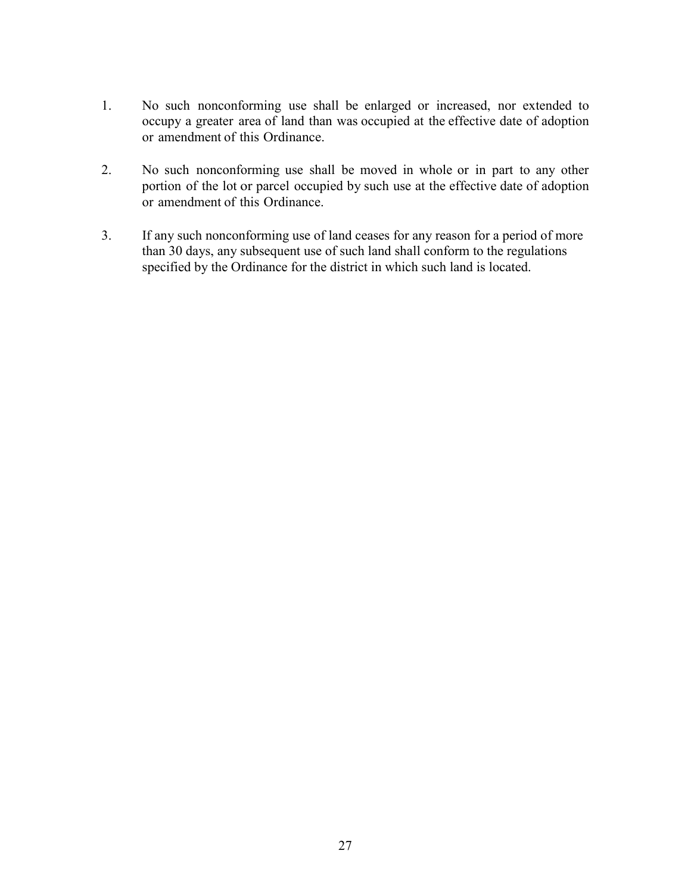- 1. No such nonconforming use shall be enlarged or increased, nor extended to occupy a greater area of land than was occupied at the effective date of adoption or amendment of this Ordinance.
- 2. No such nonconforming use shall be moved in whole or in part to any other portion of the lot or parcel occupied by such use at the effective date of adoption or amendment of this Ordinance.
- 3. If any such nonconforming use of land ceases for any reason for a period of more than 30 days, any subsequent use of such land shall conform to the regulations specified by the Ordinance for the district in which such land is located.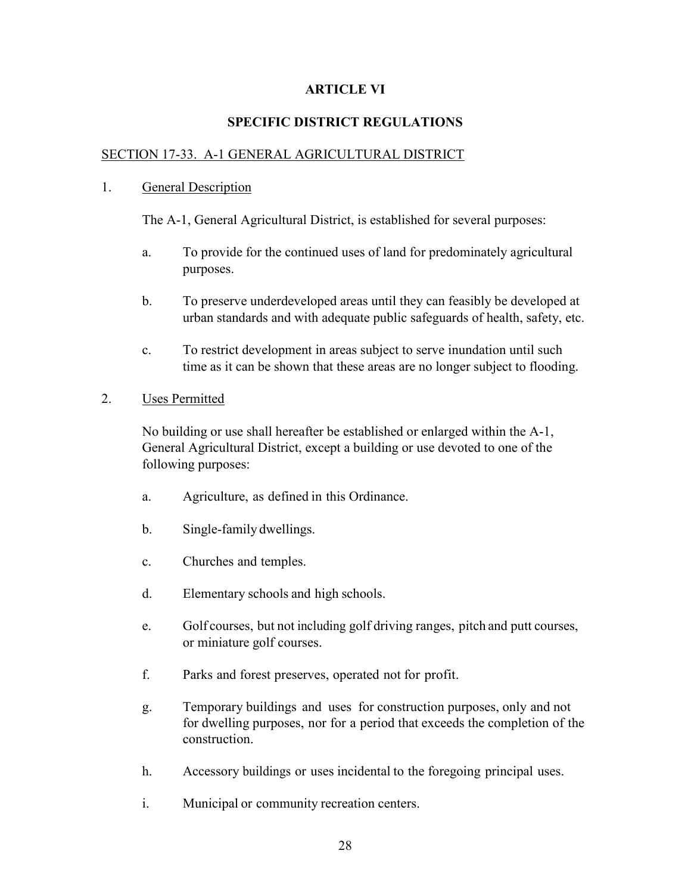## **ARTICLE VI**

# **SPECIFIC DISTRICT REGULATIONS**

### SECTION 17-33. A-1 GENERAL AGRICULTURAL DISTRICT

#### 1. General Description

The A-1, General Agricultural District, is established for several purposes:

- a. To provide for the continued uses of land for predominately agricultural purposes.
- b. To preserve underdeveloped areas until they can feasibly be developed at urban standards and with adequate public safeguards of health, safety, etc.
- c. To restrict development in areas subject to serve inundation until such time as it can be shown that these areas are no longer subject to flooding.
- 2. Uses Permitted

No building or use shall hereafter be established or enlarged within the A-1, General Agricultural District, except a building or use devoted to one of the following purposes:

- a. Agriculture, as defined in this Ordinance.
- b. Single-family dwellings.
- c. Churches and temples.
- d. Elementary schools and high schools.
- e. Golf courses, but not including golf driving ranges, pitch and putt courses, or miniature golf courses.
- f. Parks and forest preserves, operated not for profit.
- g. Temporary buildings and uses for construction purposes, only and not for dwelling purposes, nor for a period that exceeds the completion of the construction.
- h. Accessory buildings or uses incidental to the foregoing principal uses.
- i. Municipal or community recreation centers.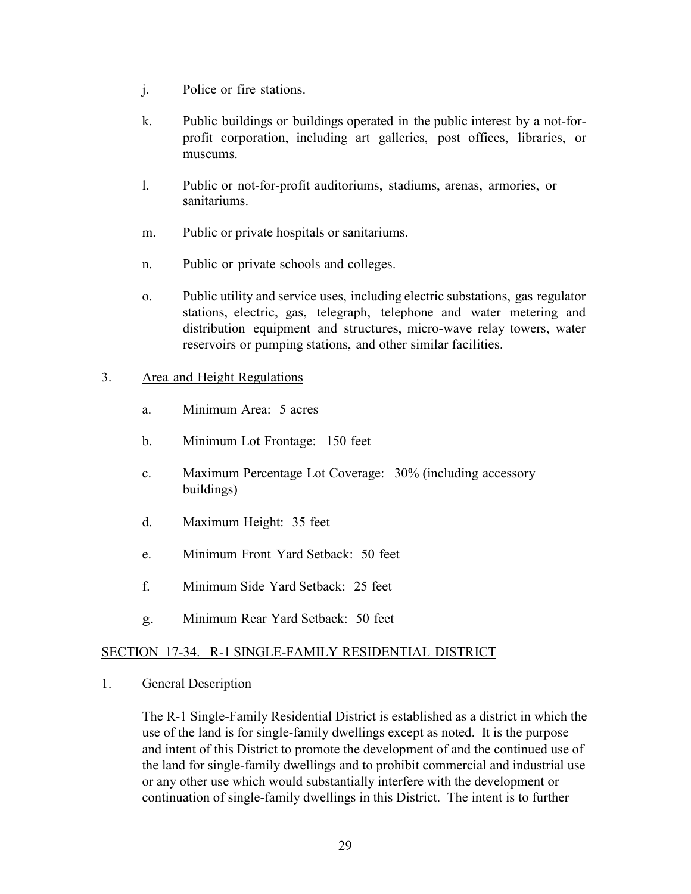- j. Police or fire stations.
- k. Public buildings or buildings operated in the public interest by a not-forprofit corporation, including art galleries, post offices, libraries, or museums.
- l. Public or not-for-profit auditoriums, stadiums, arenas, armories, or sanitariums.
- m. Public or private hospitals or sanitariums.
- n. Public or private schools and colleges.
- o. Public utility and service uses, including electric substations, gas regulator stations, electric, gas, telegraph, telephone and water metering and distribution equipment and structures, micro-wave relay towers, water reservoirs or pumping stations, and other similar facilities.

## 3. Area and Height Regulations

- a. Minimum Area: 5 acres
- b. Minimum Lot Frontage: 150 feet
- c. Maximum Percentage Lot Coverage: 30% (including accessory buildings)
- d. Maximum Height: 35 feet
- e. Minimum Front Yard Setback: 50 feet
- f. Minimum Side Yard Setback: 25 feet
- g. Minimum Rear Yard Setback: 50 feet

# SECTION 17-34. R-1 SINGLE-FAMILY RESIDENTIAL DISTRICT

1. General Description

The R-1 Single-Family Residential District is established as a district in which the use of the land is for single-family dwellings except as noted. It is the purpose and intent of this District to promote the development of and the continued use of the land for single-family dwellings and to prohibit commercial and industrial use or any other use which would substantially interfere with the development or continuation of single-family dwellings in this District. The intent is to further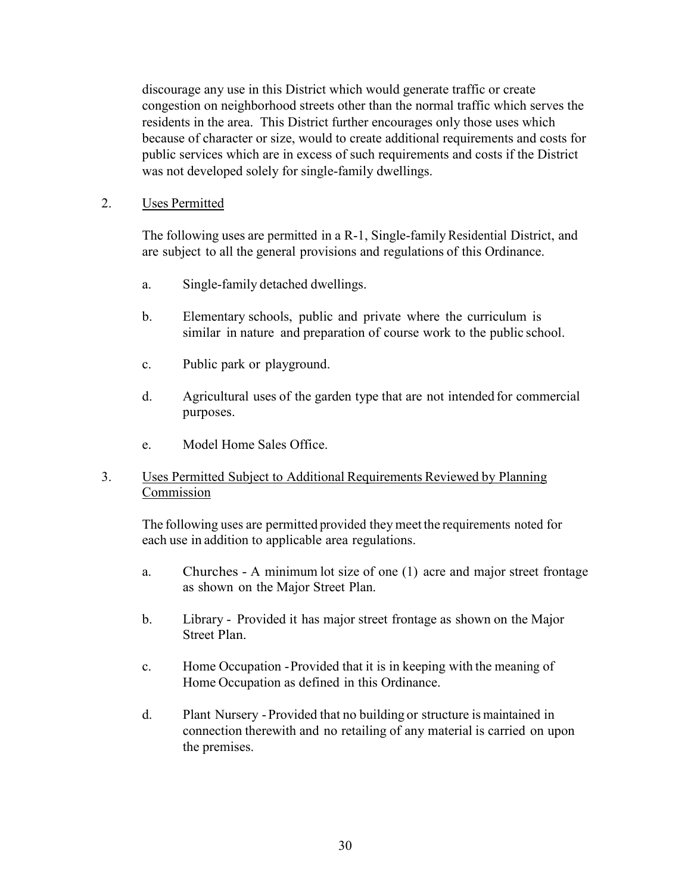discourage any use in this District which would generate traffic or create congestion on neighborhood streets other than the normal traffic which serves the residents in the area. This District further encourages only those uses which because of character or size, would to create additional requirements and costs for public services which are in excess of such requirements and costs if the District was not developed solely for single-family dwellings.

## 2. Uses Permitted

The following uses are permitted in a R-1, Single-family Residential District, and are subject to all the general provisions and regulations of this Ordinance.

- a. Single-family detached dwellings.
- b. Elementary schools, public and private where the curriculum is similar in nature and preparation of course work to the public school.
- c. Public park or playground.
- d. Agricultural uses of the garden type that are not intended for commercial purposes.
- e. Model Home Sales Office.

# 3. Uses Permitted Subject to Additional Requirements Reviewed by Planning Commission

The following uses are permitted provided they meet the requirements noted for each use in addition to applicable area regulations.

- a. Churches A minimum lot size of one (1) acre and major street frontage as shown on the Major Street Plan.
- b. Library Provided it has major street frontage as shown on the Major Street Plan.
- c. Home Occupation -Provided that it is in keeping with the meaning of Home Occupation as defined in this Ordinance.
- d. Plant Nursery Provided that no building or structure is maintained in connection therewith and no retailing of any material is carried on upon the premises.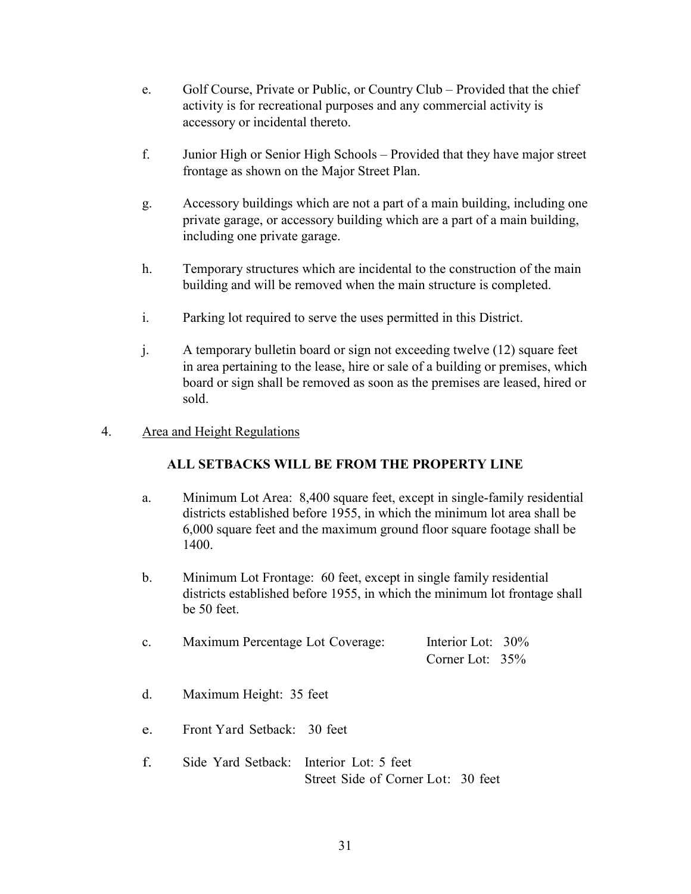- e. Golf Course, Private or Public, or Country Club Provided that the chief activity is for recreational purposes and any commercial activity is accessory or incidental thereto.
- f. Junior High or Senior High Schools Provided that they have major street frontage as shown on the Major Street Plan.
- g. Accessory buildings which are not a part of a main building, including one private garage, or accessory building which are a part of a main building, including one private garage.
- h. Temporary structures which are incidental to the construction of the main building and will be removed when the main structure is completed.
- i. Parking lot required to serve the uses permitted in this District.
- j. A temporary bulletin board or sign not exceeding twelve (12) square feet in area pertaining to the lease, hire or sale of a building or premises, which board or sign shall be removed as soon as the premises are leased, hired or sold.

## 4. Area and Height Regulations

# **ALL SETBACKS WILL BE FROM THE PROPERTY LINE**

- a. Minimum Lot Area: 8,400 square feet, except in single-family residential districts established before 1955, in which the minimum lot area shall be 6,000 square feet and the maximum ground floor square footage shall be 1400.
- b. Minimum Lot Frontage: 60 feet, except in single family residential districts established before 1955, in which the minimum lot frontage shall be 50 feet.

| Maximum Percentage Lot Coverage: | Interior Lot: 30% |  |
|----------------------------------|-------------------|--|
|                                  | Corner Lot: $35%$ |  |

- d. Maximum Height: 35 feet
- e. Front Yard Setback: 30 feet
- f. Side Yard Setback: Interior Lot: 5 feet Street Side of Corner Lot: 30 feet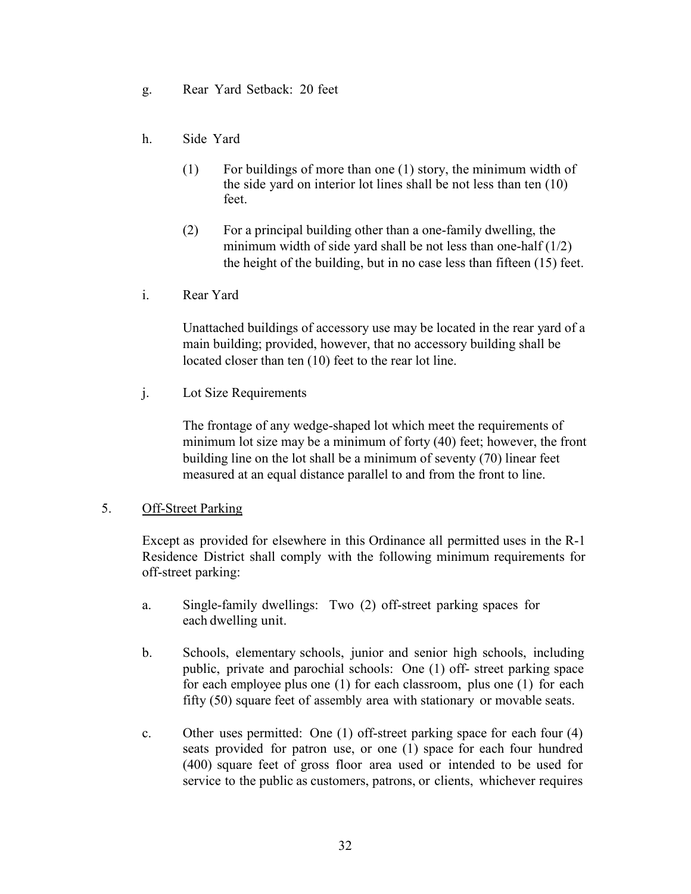- g. Rear Yard Setback: 20 feet
- h. Side Yard
	- (1) For buildings of more than one (1) story, the minimum width of the side yard on interior lot lines shall be not less than ten (10) feet.
	- (2) For a principal building other than a one-family dwelling, the minimum width of side yard shall be not less than one-half  $(1/2)$ the height of the building, but in no case less than fifteen (15) feet.
- i. Rear Yard

Unattached buildings of accessory use may be located in the rear yard of a main building; provided, however, that no accessory building shall be located closer than ten (10) feet to the rear lot line.

j. Lot Size Requirements

The frontage of any wedge-shaped lot which meet the requirements of minimum lot size may be a minimum of forty (40) feet; however, the front building line on the lot shall be a minimum of seventy (70) linear feet measured at an equal distance parallel to and from the front to line.

### 5. Off-Street Parking

Except as provided for elsewhere in this Ordinance all permitted uses in the R-1 Residence District shall comply with the following minimum requirements for off-street parking:

- a. Single-family dwellings: Two (2) off-street parking spaces for each dwelling unit.
- b. Schools, elementary schools, junior and senior high schools, including public, private and parochial schools: One (1) off- street parking space for each employee plus one (1) for each classroom, plus one (1) for each fifty (50) square feet of assembly area with stationary or movable seats.
- c. Other uses permitted: One (1) off-street parking space for each four (4) seats provided for patron use, or one (1) space for each four hundred (400) square feet of gross floor area used or intended to be used for service to the public as customers, patrons, or clients, whichever requires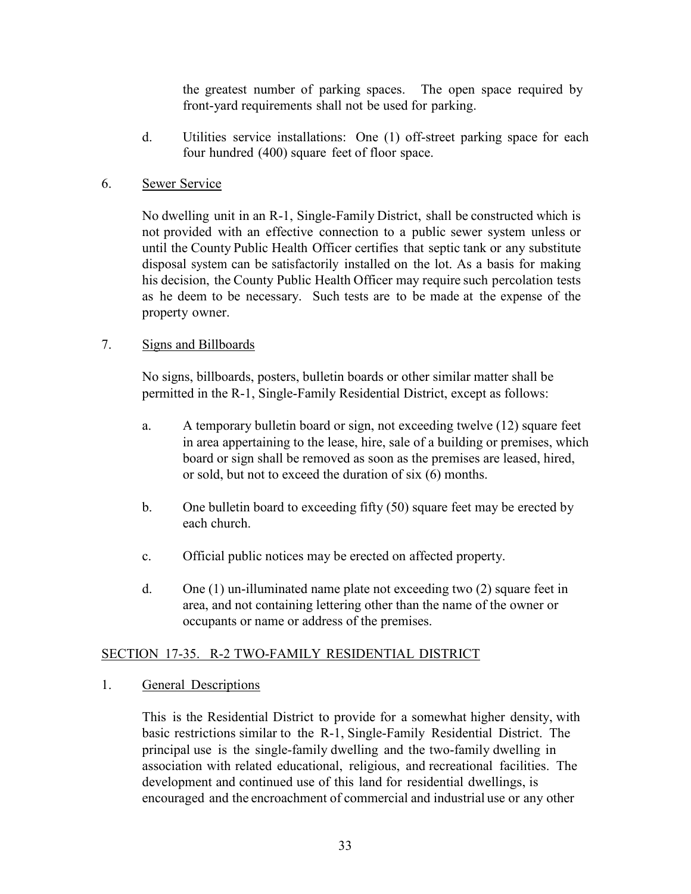the greatest number of parking spaces. The open space required by front-yard requirements shall not be used for parking.

d. Utilities service installations: One (1) off-street parking space for each four hundred (400) square feet of floor space.

# 6. Sewer Service

No dwelling unit in an R-1, Single-Family District, shall be constructed which is not provided with an effective connection to a public sewer system unless or until the County Public Health Officer certifies that septic tank or any substitute disposal system can be satisfactorily installed on the lot. As a basis for making his decision, the County Public Health Officer may require such percolation tests as he deem to be necessary. Such tests are to be made at the expense of the property owner.

# 7. Signs and Billboards

No signs, billboards, posters, bulletin boards or other similar matter shall be permitted in the R-1, Single-Family Residential District, except as follows:

- a. A temporary bulletin board or sign, not exceeding twelve (12) square feet in area appertaining to the lease, hire, sale of a building or premises, which board or sign shall be removed as soon as the premises are leased, hired, or sold, but not to exceed the duration of six (6) months.
- b. One bulletin board to exceeding fifty (50) square feet may be erected by each church.
- c. Official public notices may be erected on affected property.
- d. One (1) un-illuminated name plate not exceeding two (2) square feet in area, and not containing lettering other than the name of the owner or occupants or name or address of the premises.

# SECTION 17-35. R-2 TWO-FAMILY RESIDENTIAL DISTRICT

# 1. General Descriptions

This is the Residential District to provide for a somewhat higher density, with basic restrictions similar to the R-1, Single-Family Residential District. The principal use is the single-family dwelling and the two-family dwelling in association with related educational, religious, and recreational facilities. The development and continued use of this land for residential dwellings, is encouraged and the encroachment of commercial and industrial use or any other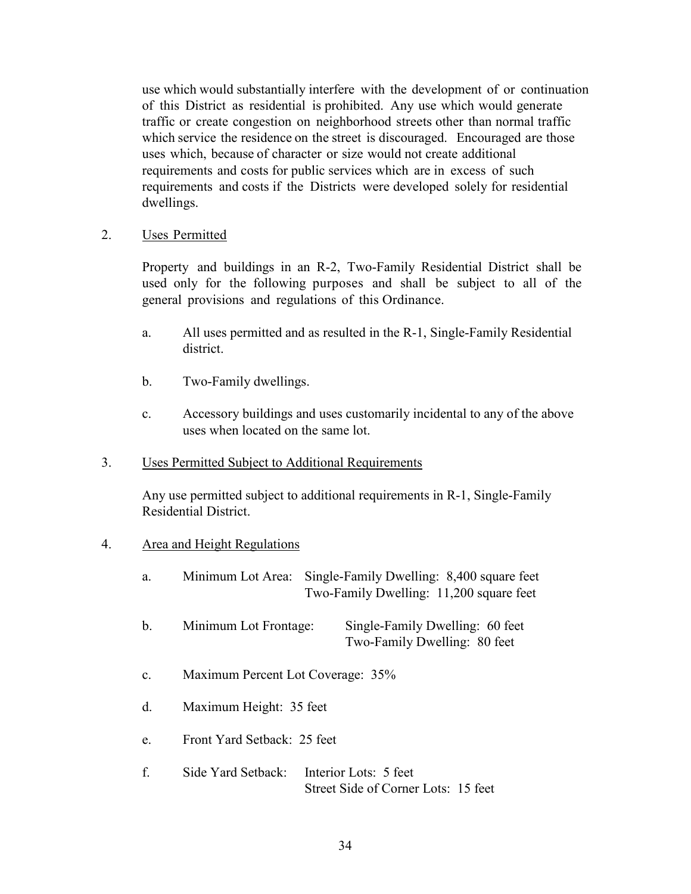use which would substantially interfere with the development of or continuation of this District as residential is prohibited. Any use which would generate traffic or create congestion on neighborhood streets other than normal traffic which service the residence on the street is discouraged. Encouraged are those uses which, because of character or size would not create additional requirements and costs for public services which are in excess of such requirements and costs if the Districts were developed solely for residential dwellings.

### 2. Uses Permitted

Property and buildings in an R-2, Two-Family Residential District shall be used only for the following purposes and shall be subject to all of the general provisions and regulations of this Ordinance.

- a. All uses permitted and as resulted in the R-1, Single-Family Residential district.
- b. Two-Family dwellings.
- c. Accessory buildings and uses customarily incidental to any of the above uses when located on the same lot.
- 3. Uses Permitted Subject to Additional Requirements

Any use permitted subject to additional requirements in R-1, Single-Family Residential District.

### 4. Area and Height Regulations

| a.             | Minimum Lot Area:                 | Single-Family Dwelling: 8,400 square feet<br>Two-Family Dwelling: 11,200 square feet |
|----------------|-----------------------------------|--------------------------------------------------------------------------------------|
| $\mathbf b$ .  | Minimum Lot Frontage:             | Single-Family Dwelling: 60 feet<br>Two-Family Dwelling: 80 feet                      |
| $\mathbf{c}$ . | Maximum Percent Lot Coverage: 35% |                                                                                      |
| $\mathbf{d}$ . | Maximum Height: 35 feet           |                                                                                      |
| e.             | Front Yard Setback: 25 feet       |                                                                                      |
| f.             | Side Yard Setback:                | Interior Lots: 5 feet                                                                |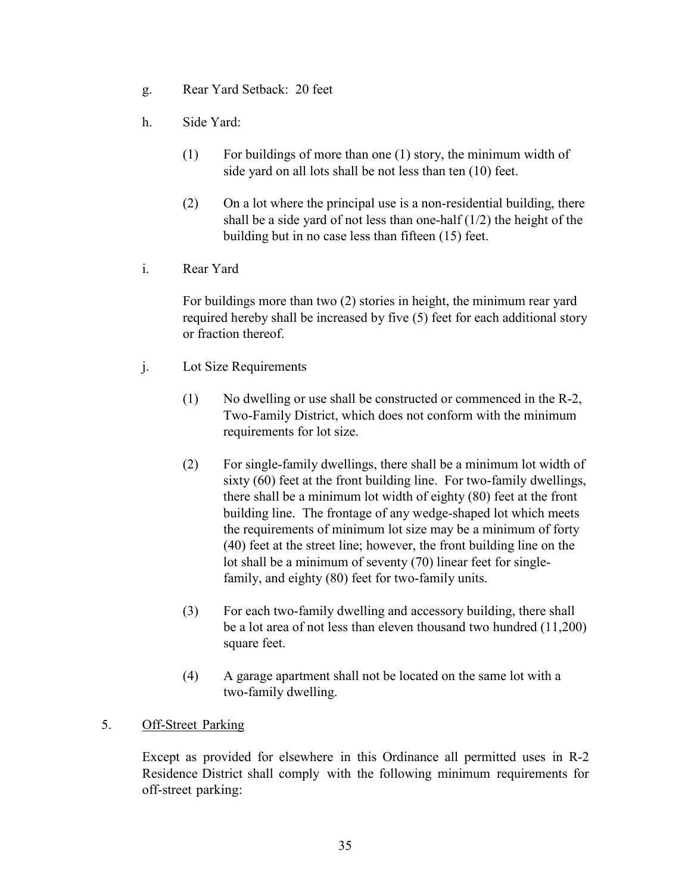- g. Rear Yard Setback: 20 feet
- h. Side Yard:
	- (1) For buildings of more than one (1) story, the minimum width of side yard on all lots shall be not less than ten (10) feet.
	- (2) On a lot where the principal use is a non-residential building, there shall be a side yard of not less than one-half  $(1/2)$  the height of the building but in no case less than fifteen (15) feet.
- i. Rear Yard

For buildings more than two (2) stories in height, the minimum rear yard required hereby shall be increased by five (5) feet for each additional story or fraction thereof.

- j. Lot Size Requirements
	- (1) No dwelling or use shall be constructed or commenced in the R-2, Two-Family District, which does not conform with the minimum requirements for lot size.
	- (2) For single-family dwellings, there shall be a minimum lot width of sixty (60) feet at the front building line. For two-family dwellings, there shall be a minimum lot width of eighty (80) feet at the front building line. The frontage of any wedge-shaped lot which meets the requirements of minimum lot size may be a minimum of forty (40) feet at the street line; however, the front building line on the lot shall be a minimum of seventy (70) linear feet for singlefamily, and eighty (80) feet for two-family units.
	- (3) For each two-family dwelling and accessory building, there shall be a lot area of not less than eleven thousand two hundred (11,200) square feet.
	- (4) A garage apartment shall not be located on the same lot with a two-family dwelling.

# 5. Off-Street Parking

Except as provided for elsewhere in this Ordinance all permitted uses in R-2 Residence District shall comply with the following minimum requirements for off-street parking: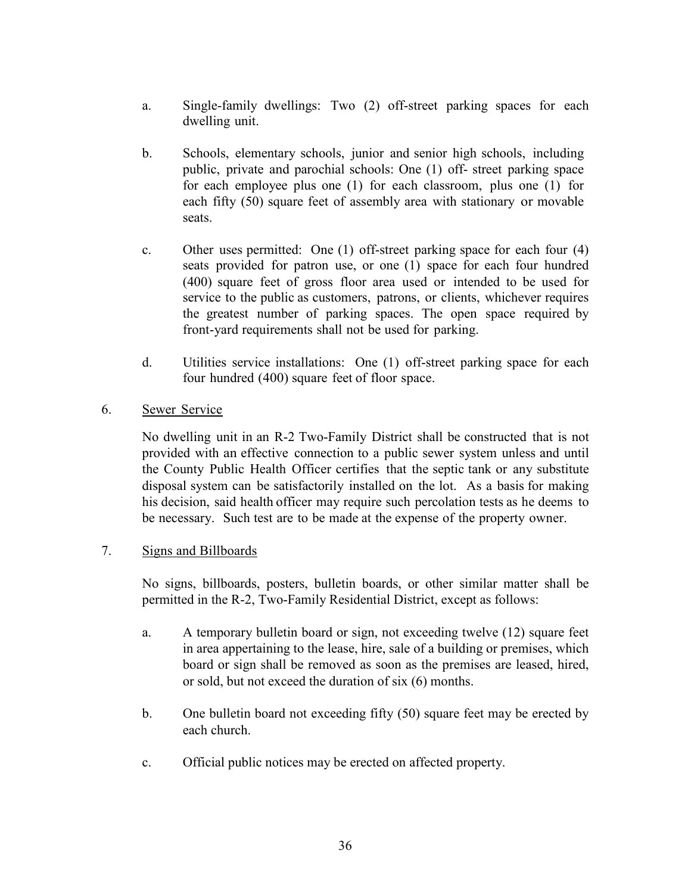- a. Single-family dwellings: Two (2) off-street parking spaces for each dwelling unit.
- b. Schools, elementary schools, junior and senior high schools, including public, private and parochial schools: One (1) off- street parking space for each employee plus one (1) for each classroom, plus one (1) for each fifty (50) square feet of assembly area with stationary or movable seats.
- c. Other uses permitted: One (1) off-street parking space for each four (4) seats provided for patron use, or one (1) space for each four hundred (400) square feet of gross floor area used or intended to be used for service to the public as customers, patrons, or clients, whichever requires the greatest number of parking spaces. The open space required by front-yard requirements shall not be used for parking.
- d. Utilities service installations: One (1) off-street parking space for each four hundred (400) square feet of floor space.

# 6. Sewer Service

No dwelling unit in an R-2 Two-Family District shall be constructed that is not provided with an effective connection to a public sewer system unless and until the County Public Health Officer certifies that the septic tank or any substitute disposal system can be satisfactorily installed on the lot. As a basis for making his decision, said health officer may require such percolation tests as he deems to be necessary. Such test are to be made at the expense of the property owner.

### 7. Signs and Billboards

No signs, billboards, posters, bulletin boards, or other similar matter shall be permitted in the R-2, Two-Family Residential District, except as follows:

- a. A temporary bulletin board or sign, not exceeding twelve (12) square feet in area appertaining to the lease, hire, sale of a building or premises, which board or sign shall be removed as soon as the premises are leased, hired, or sold, but not exceed the duration of six (6) months.
- b. One bulletin board not exceeding fifty (50) square feet may be erected by each church.
- c. Official public notices may be erected on affected property.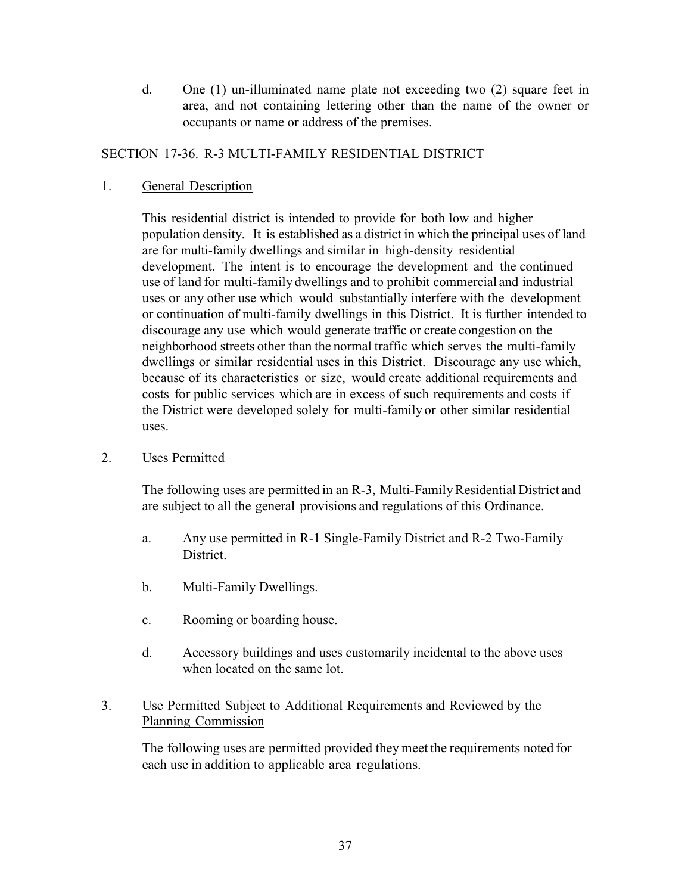d. One (1) un-illuminated name plate not exceeding two (2) square feet in area, and not containing lettering other than the name of the owner or occupants or name or address of the premises.

### SECTION 17-36. R-3 MULTI-FAMILY RESIDENTIAL DISTRICT

### 1. General Description

This residential district is intended to provide for both low and higher population density. It is established as a district in which the principal uses of land are for multi-family dwellings and similar in high-density residential development. The intent is to encourage the development and the continued use of land for multi-family dwellings and to prohibit commercial and industrial uses or any other use which would substantially interfere with the development or continuation of multi-family dwellings in this District. It is further intended to discourage any use which would generate traffic or create congestion on the neighborhood streets other than the normal traffic which serves the multi-family dwellings or similar residential uses in this District. Discourage any use which, because of its characteristics or size, would create additional requirements and costs for public services which are in excess of such requirements and costs if the District were developed solely for multi-family or other similar residential uses.

2. Uses Permitted

The following uses are permitted in an R-3, Multi-Family Residential District and are subject to all the general provisions and regulations of this Ordinance.

- a. Any use permitted in R-1 Single-Family District and R-2 Two-Family District.
- b. Multi-Family Dwellings.
- c. Rooming or boarding house.
- d. Accessory buildings and uses customarily incidental to the above uses when located on the same lot.

### 3. Use Permitted Subject to Additional Requirements and Reviewed by the Planning Commission

The following uses are permitted provided they meet the requirements noted for each use in addition to applicable area regulations.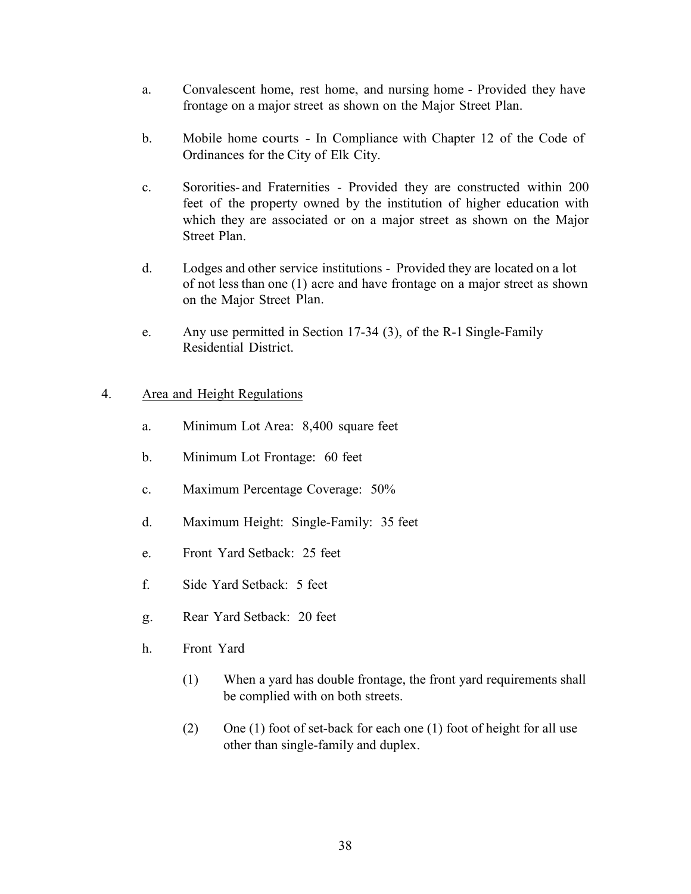- a. Convalescent home, rest home, and nursing home Provided they have frontage on a major street as shown on the Major Street Plan.
- b. Mobile home courts In Compliance with Chapter 12 of the Code of Ordinances for the City of Elk City.
- c. Sororities- and Fraternities Provided they are constructed within 200 feet of the property owned by the institution of higher education with which they are associated or on a major street as shown on the Major Street Plan.
- d. Lodges and other service institutions Provided they are located on a lot of not less than one (1) acre and have frontage on a major street as shown on the Major Street Plan.
- e. Any use permitted in Section 17-34 (3), of the R-1 Single-Family Residential District.

### 4. Area and Height Regulations

- a. Minimum Lot Area: 8,400 square feet
- b. Minimum Lot Frontage: 60 feet
- c. Maximum Percentage Coverage: 50%
- d. Maximum Height: Single-Family: 35 feet
- e. Front Yard Setback: 25 feet
- f. Side Yard Setback: 5 feet
- g. Rear Yard Setback: 20 feet
- h. Front Yard
	- (1) When a yard has double frontage, the front yard requirements shall be complied with on both streets.
	- (2) One (1) foot of set-back for each one (1) foot of height for all use other than single-family and duplex.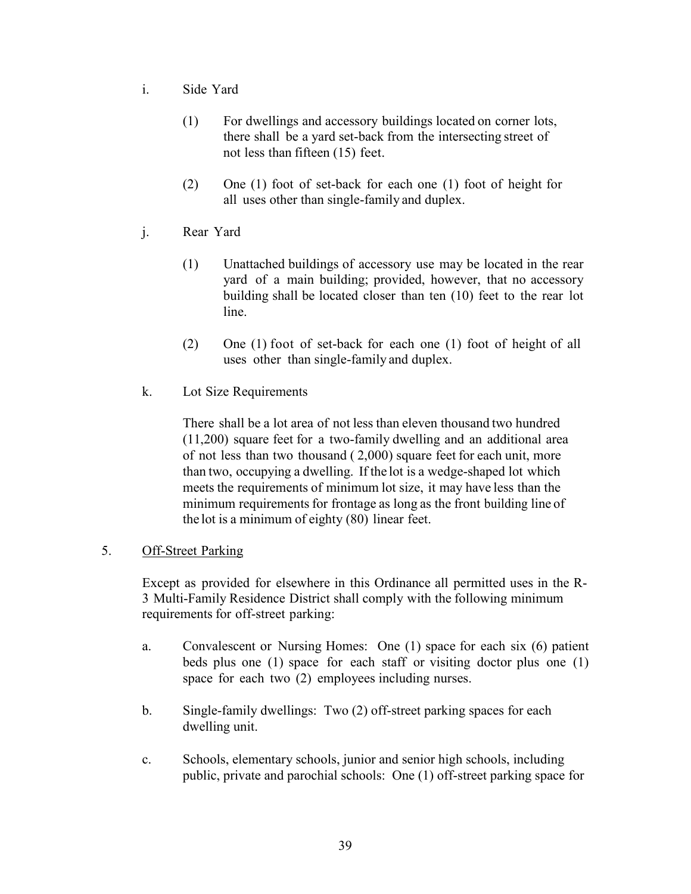- i. Side Yard
	- (1) For dwellings and accessory buildings located on corner lots, there shall be a yard set-back from the intersecting street of not less than fifteen (15) feet.
	- (2) One (1) foot of set-back for each one (1) foot of height for all uses other than single-family and duplex.
- j. Rear Yard
	- (1) Unattached buildings of accessory use may be located in the rear yard of a main building; provided, however, that no accessory building shall be located closer than ten (10) feet to the rear lot line.
	- (2) One (1) foot of set-back for each one (1) foot of height of all uses other than single-family and duplex.
- k. Lot Size Requirements

There shall be a lot area of not less than eleven thousand two hundred (11,200) square feet for a two-family dwelling and an additional area of not less than two thousand ( 2,000) square feet for each unit, more than two, occupying a dwelling. If the lot is a wedge-shaped lot which meets the requirements of minimum lot size, it may have less than the minimum requirements for frontage as long as the front building line of the lot is a minimum of eighty (80) linear feet.

## 5. Off-Street Parking

Except as provided for elsewhere in this Ordinance all permitted uses in the R-3 Multi-Family Residence District shall comply with the following minimum requirements for off-street parking:

- a. Convalescent or Nursing Homes: One (1) space for each six (6) patient beds plus one (1) space for each staff or visiting doctor plus one (1) space for each two (2) employees including nurses.
- b. Single-family dwellings: Two (2) off-street parking spaces for each dwelling unit.
- c. Schools, elementary schools, junior and senior high schools, including public, private and parochial schools: One (1) off-street parking space for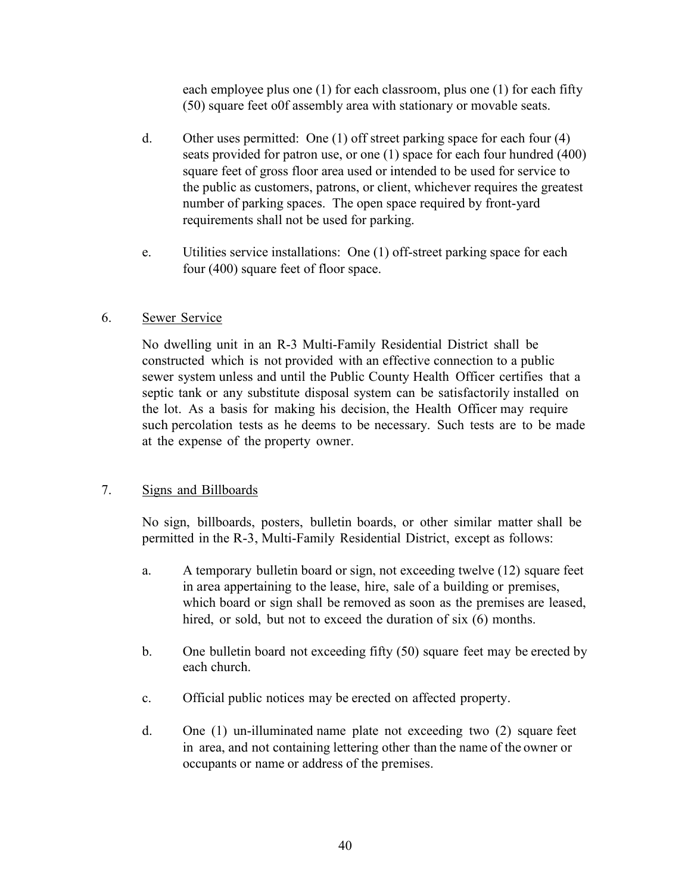each employee plus one (1) for each classroom, plus one (1) for each fifty (50) square feet o0f assembly area with stationary or movable seats.

- d. Other uses permitted: One (1) off street parking space for each four (4) seats provided for patron use, or one (1) space for each four hundred (400) square feet of gross floor area used or intended to be used for service to the public as customers, patrons, or client, whichever requires the greatest number of parking spaces. The open space required by front-yard requirements shall not be used for parking.
- e. Utilities service installations: One (1) off-street parking space for each four (400) square feet of floor space.

### 6. Sewer Service

No dwelling unit in an R-3 Multi-Family Residential District shall be constructed which is not provided with an effective connection to a public sewer system unless and until the Public County Health Officer certifies that a septic tank or any substitute disposal system can be satisfactorily installed on the lot. As a basis for making his decision, the Health Officer may require such percolation tests as he deems to be necessary. Such tests are to be made at the expense of the property owner.

## 7. Signs and Billboards

No sign, billboards, posters, bulletin boards, or other similar matter shall be permitted in the R-3, Multi-Family Residential District, except as follows:

- a. A temporary bulletin board or sign, not exceeding twelve (12) square feet in area appertaining to the lease, hire, sale of a building or premises, which board or sign shall be removed as soon as the premises are leased, hired, or sold, but not to exceed the duration of six (6) months.
- b. One bulletin board not exceeding fifty (50) square feet may be erected by each church.
- c. Official public notices may be erected on affected property.
- d. One (1) un-illuminated name plate not exceeding two (2) square feet in area, and not containing lettering other than the name of the owner or occupants or name or address of the premises.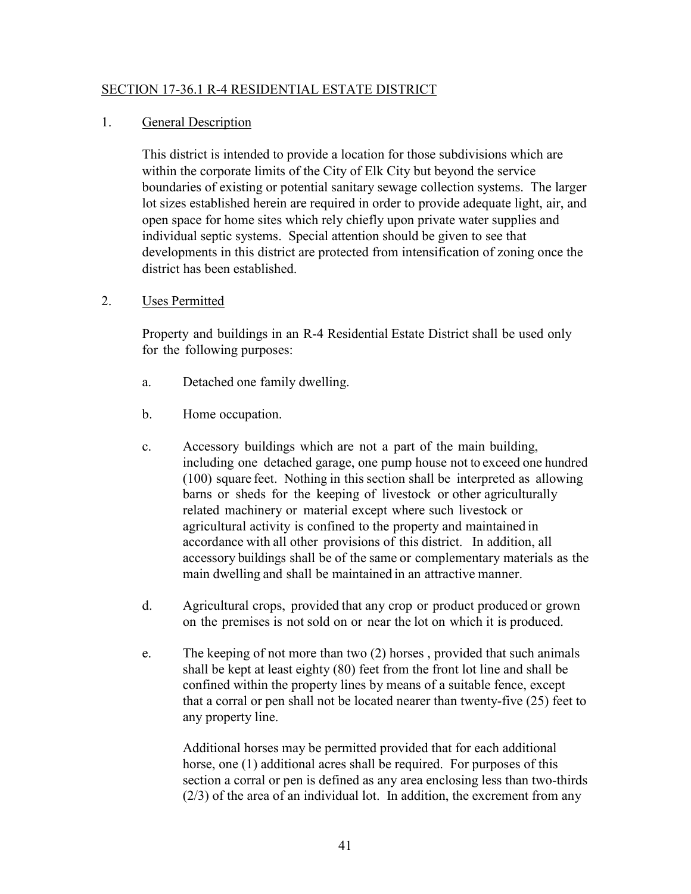### SECTION 17-36.1 R-4 RESIDENTIAL ESTATE DISTRICT

#### 1. General Description

This district is intended to provide a location for those subdivisions which are within the corporate limits of the City of Elk City but beyond the service boundaries of existing or potential sanitary sewage collection systems. The larger lot sizes established herein are required in order to provide adequate light, air, and open space for home sites which rely chiefly upon private water supplies and individual septic systems. Special attention should be given to see that developments in this district are protected from intensification of zoning once the district has been established.

#### 2. Uses Permitted

Property and buildings in an R-4 Residential Estate District shall be used only for the following purposes:

- a. Detached one family dwelling.
- b. Home occupation.
- c. Accessory buildings which are not a part of the main building, including one detached garage, one pump house not to exceed one hundred (100) square feet. Nothing in this section shall be interpreted as allowing barns or sheds for the keeping of livestock or other agriculturally related machinery or material except where such livestock or agricultural activity is confined to the property and maintained in accordance with all other provisions of this district. In addition, all accessory buildings shall be of the same or complementary materials as the main dwelling and shall be maintained in an attractive manner.
- d. Agricultural crops, provided that any crop or product produced or grown on the premises is not sold on or near the lot on which it is produced.
- e. The keeping of not more than two (2) horses , provided that such animals shall be kept at least eighty (80) feet from the front lot line and shall be confined within the property lines by means of a suitable fence, except that a corral or pen shall not be located nearer than twenty-five (25) feet to any property line.

Additional horses may be permitted provided that for each additional horse, one (1) additional acres shall be required. For purposes of this section a corral or pen is defined as any area enclosing less than two-thirds (2/3) of the area of an individual lot. In addition, the excrement from any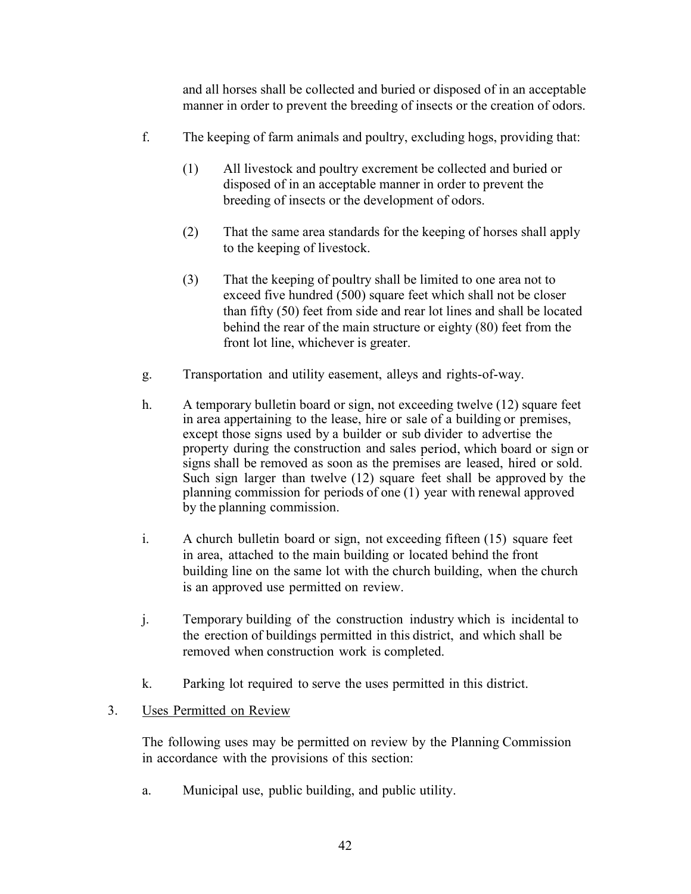and all horses shall be collected and buried or disposed of in an acceptable manner in order to prevent the breeding of insects or the creation of odors.

- f. The keeping of farm animals and poultry, excluding hogs, providing that:
	- (1) All livestock and poultry excrement be collected and buried or disposed of in an acceptable manner in order to prevent the breeding of insects or the development of odors.
	- (2) That the same area standards for the keeping of horses shall apply to the keeping of livestock.
	- (3) That the keeping of poultry shall be limited to one area not to exceed five hundred (500) square feet which shall not be closer than fifty (50) feet from side and rear lot lines and shall be located behind the rear of the main structure or eighty (80) feet from the front lot line, whichever is greater.
- g. Transportation and utility easement, alleys and rights-of-way.
- h. A temporary bulletin board or sign, not exceeding twelve (12) square feet in area appertaining to the lease, hire or sale of a building or premises, except those signs used by a builder or sub divider to advertise the property during the construction and sales period, which board or sign or signs shall be removed as soon as the premises are leased, hired or sold. Such sign larger than twelve (12) square feet shall be approved by the planning commission for periods of one (1) year with renewal approved by the planning commission.
- i. A church bulletin board or sign, not exceeding fifteen (15) square feet in area, attached to the main building or located behind the front building line on the same lot with the church building, when the church is an approved use permitted on review.
- j. Temporary building of the construction industry which is incidental to the erection of buildings permitted in this district, and which shall be removed when construction work is completed.
- k. Parking lot required to serve the uses permitted in this district.

## 3. Uses Permitted on Review

The following uses may be permitted on review by the Planning Commission in accordance with the provisions of this section:

a. Municipal use, public building, and public utility.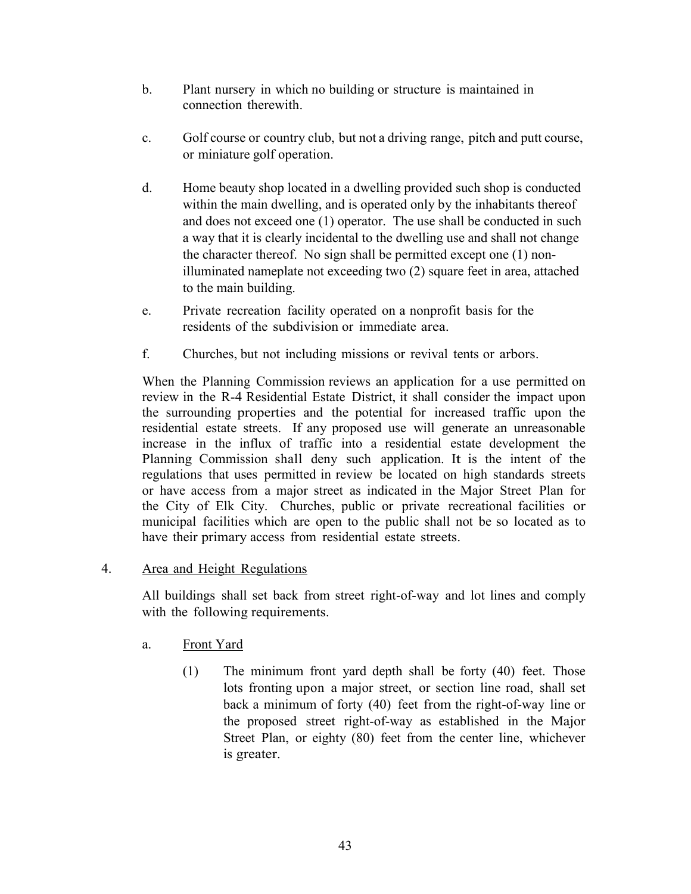- b. Plant nursery in which no building or structure is maintained in connection therewith.
- c. Golf course or country club, but not a driving range, pitch and putt course, or miniature golf operation.
- d. Home beauty shop located in a dwelling provided such shop is conducted within the main dwelling, and is operated only by the inhabitants thereof and does not exceed one (1) operator. The use shall be conducted in such a way that it is clearly incidental to the dwelling use and shall not change the character thereof. No sign shall be permitted except one (1) nonilluminated nameplate not exceeding two (2) square feet in area, attached to the main building.
- e. Private recreation facility operated on a nonprofit basis for the residents of the subdivision or immediate area.
- f. Churches, but not including missions or revival tents or arbors.

When the Planning Commission reviews an application for a use permitted on review in the R-4 Residential Estate District, it shall consider the impact upon the surrounding properties and the potential for increased traffic upon the residential estate streets. If any proposed use will generate an unreasonable increase in the influx of traffic into a residential estate development the Planning Commission shall deny such application. It is the intent of the regulations that uses permitted in review be located on high standards streets or have access from a major street as indicated in the Major Street Plan for the City of Elk City. Churches, public or private recreational facilities or municipal facilities which are open to the public shall not be so located as to have their primary access from residential estate streets.

## 4. Area and Height Regulations

All buildings shall set back from street right-of-way and lot lines and comply with the following requirements.

# a. Front Yard

(1) The minimum front yard depth shall be forty (40) feet. Those lots fronting upon a major street, or section line road, shall set back a minimum of forty (40) feet from the right-of-way line or the proposed street right-of-way as established in the Major Street Plan, or eighty (80) feet from the center line, whichever is greater.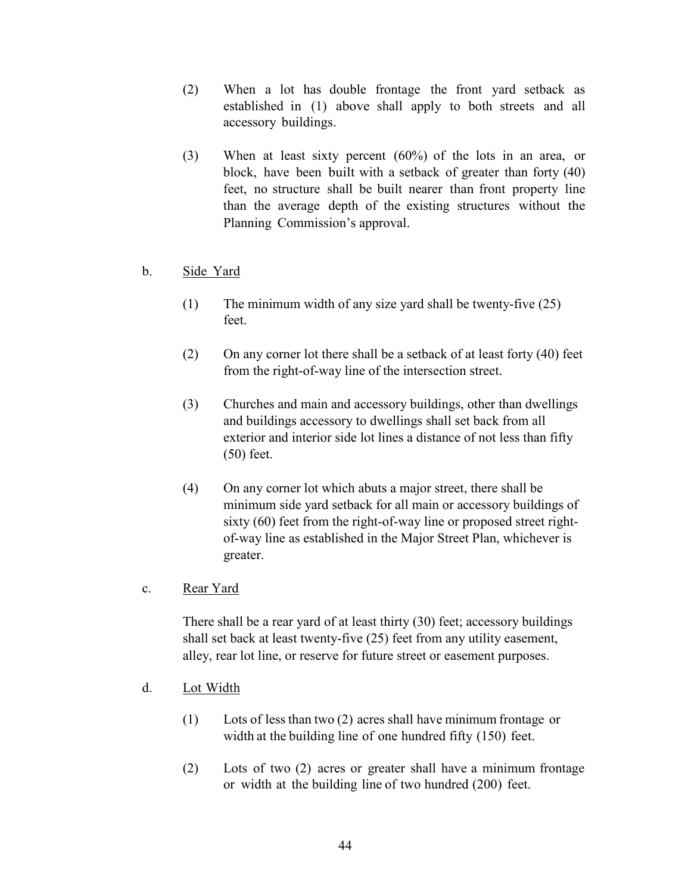- (2) When a lot has double frontage the front yard setback as established in (1) above shall apply to both streets and all accessory buildings.
- (3) When at least sixty percent (60%) of the lots in an area, or block, have been built with a setback of greater than forty (40) feet, no structure shall be built nearer than front property line than the average depth of the existing structures without the Planning Commission's approval.
- b. Side Yard
	- (1) The minimum width of any size yard shall be twenty-five (25) feet.
	- (2) On any corner lot there shall be a setback of at least forty (40) feet from the right-of-way line of the intersection street.
	- (3) Churches and main and accessory buildings, other than dwellings and buildings accessory to dwellings shall set back from all exterior and interior side lot lines a distance of not less than fifty (50) feet.
	- (4) On any corner lot which abuts a major street, there shall be minimum side yard setback for all main or accessory buildings of sixty (60) feet from the right-of-way line or proposed street rightof-way line as established in the Major Street Plan, whichever is greater.
- c. Rear Yard

There shall be a rear yard of at least thirty (30) feet; accessory buildings shall set back at least twenty-five (25) feet from any utility easement, alley, rear lot line, or reserve for future street or easement purposes.

- d. Lot Width
	- (1) Lots of lessthan two (2) acres shall have minimum frontage or width at the building line of one hundred fifty (150) feet.
	- (2) Lots of two (2) acres or greater shall have a minimum frontage or width at the building line of two hundred (200) feet.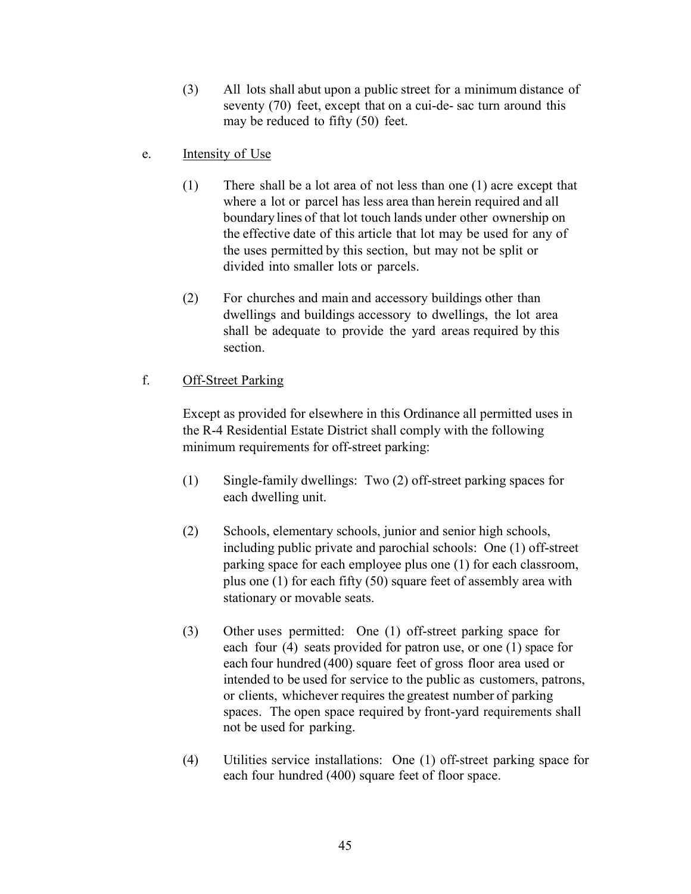- (3) All lots shall abut upon a public street for a minimum distance of seventy (70) feet, except that on a cui-de- sac turn around this may be reduced to fifty (50) feet.
- e. Intensity of Use
	- (1) There shall be a lot area of not less than one (1) acre except that where a lot or parcel has less area than herein required and all boundary lines of that lot touch lands under other ownership on the effective date of this article that lot may be used for any of the uses permitted by this section, but may not be split or divided into smaller lots or parcels.
	- (2) For churches and main and accessory buildings other than dwellings and buildings accessory to dwellings, the lot area shall be adequate to provide the yard areas required by this section.

## f. Off-Street Parking

Except as provided for elsewhere in this Ordinance all permitted uses in the R-4 Residential Estate District shall comply with the following minimum requirements for off-street parking:

- (1) Single-family dwellings: Two (2) off-street parking spaces for each dwelling unit.
- (2) Schools, elementary schools, junior and senior high schools, including public private and parochial schools: One (1) off-street parking space for each employee plus one (1) for each classroom, plus one (1) for each fifty (50) square feet of assembly area with stationary or movable seats.
- (3) Other uses permitted: One (1) off-street parking space for each four (4) seats provided for patron use, or one (1) space for each four hundred (400) square feet of gross floor area used or intended to be used for service to the public as customers, patrons, or clients, whichever requires the greatest number of parking spaces. The open space required by front-yard requirements shall not be used for parking.
- (4) Utilities service installations: One (1) off-street parking space for each four hundred (400) square feet of floor space.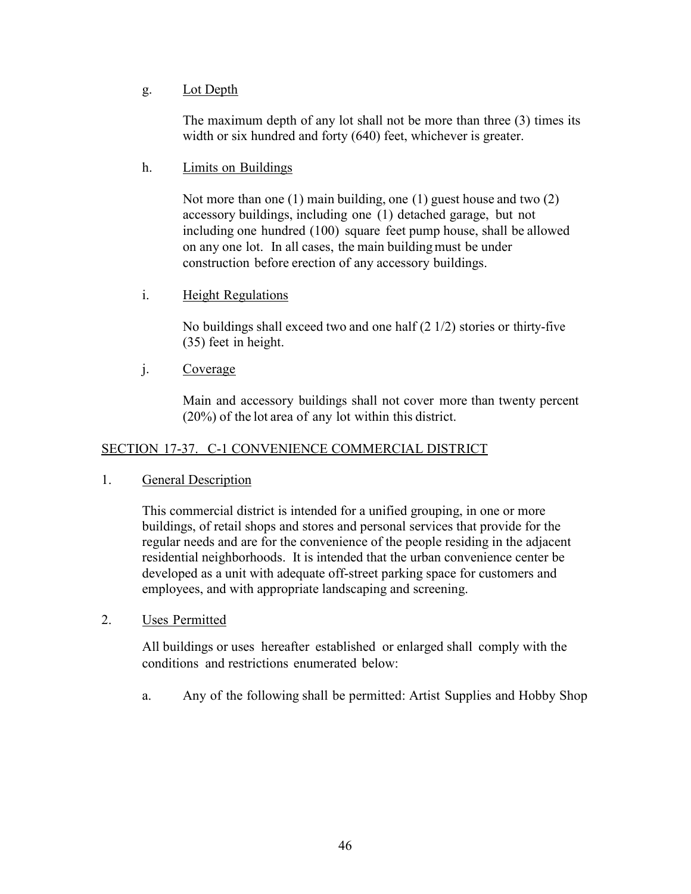## g. Lot Depth

The maximum depth of any lot shall not be more than three (3) times its width or six hundred and forty (640) feet, whichever is greater.

## h. Limits on Buildings

Not more than one (1) main building, one (1) guest house and two (2) accessory buildings, including one (1) detached garage, but not including one hundred (100) square feet pump house, shall be allowed on any one lot. In all cases, the main buildingmust be under construction before erection of any accessory buildings.

## i. Height Regulations

No buildings shall exceed two and one half (2 1/2) stories or thirty-five (35) feet in height.

## j. Coverage

Main and accessory buildings shall not cover more than twenty percent (20%) of the lot area of any lot within this district.

# SECTION 17-37. C-1 CONVENIENCE COMMERCIAL DISTRICT

## 1. General Description

This commercial district is intended for a unified grouping, in one or more buildings, of retail shops and stores and personal services that provide for the regular needs and are for the convenience of the people residing in the adjacent residential neighborhoods. It is intended that the urban convenience center be developed as a unit with adequate off-street parking space for customers and employees, and with appropriate landscaping and screening.

## 2. Uses Permitted

All buildings or uses hereafter established or enlarged shall comply with the conditions and restrictions enumerated below:

a. Any of the following shall be permitted: Artist Supplies and Hobby Shop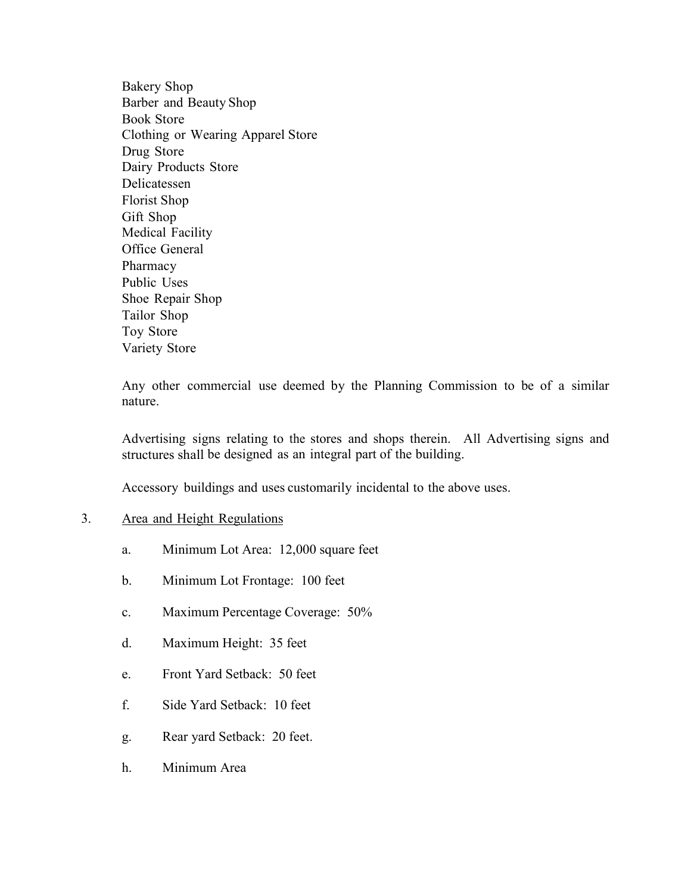Bakery Shop Barber and Beauty Shop Book Store Clothing or Wearing Apparel Store Drug Store Dairy Products Store Delicatessen Florist Shop Gift Shop Medical Facility Office General Pharmacy Public Uses Shoe Repair Shop Tailor Shop Toy Store Variety Store

Any other commercial use deemed by the Planning Commission to be of a similar nature.

Advertising signs relating to the stores and shops therein. All Advertising signs and structures shall be designed as an integral part of the building.

Accessory buildings and uses customarily incidental to the above uses.

#### 3. Area and Height Regulations

- a. Minimum Lot Area: 12,000 square feet
- b. Minimum Lot Frontage: 100 feet
- c. Maximum Percentage Coverage: 50%
- d. Maximum Height: 35 feet
- e. Front Yard Setback: 50 feet
- f. Side Yard Setback: 10 feet
- g. Rear yard Setback: 20 feet.
- h. Minimum Area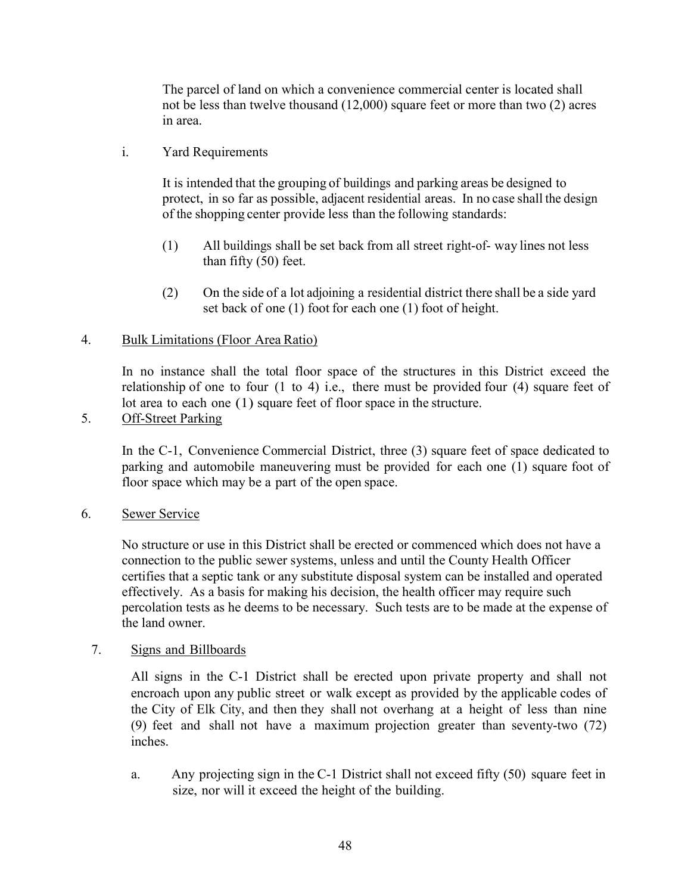The parcel of land on which a convenience commercial center is located shall not be less than twelve thousand (12,000) square feet or more than two (2) acres in area.

i. Yard Requirements

It is intended that the grouping of buildings and parking areas be designed to protect, in so far as possible, adjacent residential areas. In no case shall the design of the shopping center provide less than the following standards:

- (1) All buildings shall be set back from all street right-of- way lines not less than fifty (50) feet.
- (2) On the side of a lot adjoining a residential district there shall be a side yard set back of one (1) foot for each one (1) foot of height.

### 4. Bulk Limitations (Floor Area Ratio)

In no instance shall the total floor space of the structures in this District exceed the relationship of one to four (1 to 4) i.e., there must be provided four (4) square feet of lot area to each one (1) square feet of floor space in the structure.

5. Off-Street Parking

In the C-1, Convenience Commercial District, three (3) square feet of space dedicated to parking and automobile maneuvering must be provided for each one (1) square foot of floor space which may be a part of the open space.

6. Sewer Service

No structure or use in this District shall be erected or commenced which does not have a connection to the public sewer systems, unless and until the County Health Officer certifies that a septic tank or any substitute disposal system can be installed and operated effectively. As a basis for making his decision, the health officer may require such percolation tests as he deems to be necessary. Such tests are to be made at the expense of the land owner.

#### 7. Signs and Billboards

All signs in the C-1 District shall be erected upon private property and shall not encroach upon any public street or walk except as provided by the applicable codes of the City of Elk City, and then they shall not overhang at a height of less than nine (9) feet and shall not have a maximum projection greater than seventy-two (72) inches.

a. Any projecting sign in the C-1 District shall not exceed fifty (50) square feet in size, nor will it exceed the height of the building.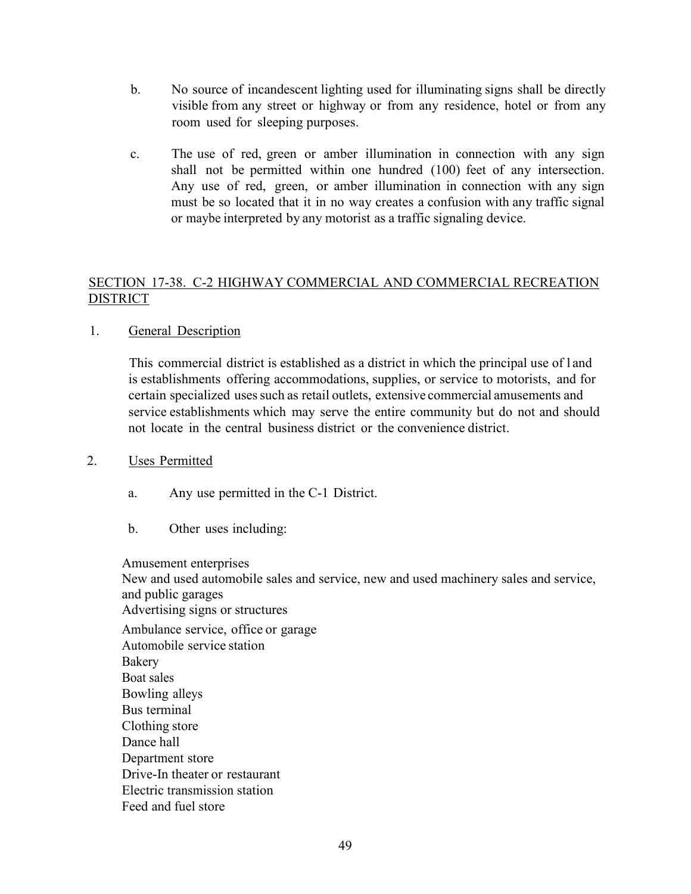- b. No source of incandescent lighting used for illuminating signs shall be directly visible from any street or highway or from any residence, hotel or from any room used for sleeping purposes.
- c. The use of red, green or amber illumination in connection with any sign shall not be permitted within one hundred (100) feet of any intersection. Any use of red, green, or amber illumination in connection with any sign must be so located that it in no way creates a confusion with any traffic signal or maybe interpreted by any motorist as a traffic signaling device.

## SECTION 17-38. C-2 HIGHWAY COMMERCIAL AND COMMERCIAL RECREATION DISTRICT

## 1. General Description

This commercial district is established as a district in which the principal use of l and is establishments offering accommodations, supplies, or service to motorists, and for certain specialized uses such as retail outlets, extensive commercial amusements and service establishments which may serve the entire community but do not and should not locate in the central business district or the convenience district.

#### 2. Uses Permitted

- a. Any use permitted in the C-1 District.
- b. Other uses including:

Amusement enterprises

New and used automobile sales and service, new and used machinery sales and service, and public garages

Advertising signs or structures

Ambulance service, office or garage Automobile service station Bakery Boat sales Bowling alleys Bus terminal Clothing store Dance hall Department store Drive-In theater or restaurant Electric transmission station Feed and fuel store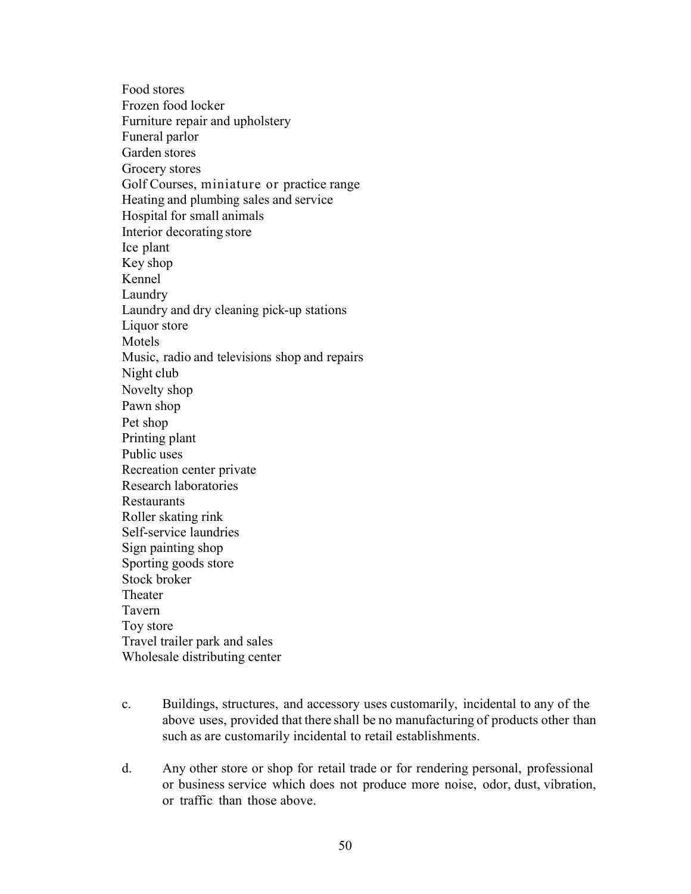Food stores Frozen food locker Furniture repair and upholstery Funeral parlor Garden stores Grocery stores Golf Courses, miniature or practice range Heating and plumbing sales and service Hospital for small animals Interior decorating store Ice plant Key shop Kennel Laundry Laundry and dry cleaning pick-up stations Liquor store Motels Music, radio and televisions shop and repairs Night club Novelty shop Pawn shop Pet shop Printing plant Public uses Recreation center private Research laboratories Restaurants Roller skating rink Self-service laundries Sign painting shop Sporting goods store Stock broker Theater Tavern Toy store Travel trailer park and sales Wholesale distributing center

- c. Buildings, structures, and accessory uses customarily, incidental to any of the above uses, provided that there shall be no manufacturing of products other than such as are customarily incidental to retail establishments.
- d. Any other store or shop for retail trade or for rendering personal, professional or business service which does not produce more noise, odor, dust, vibration, or traffic than those above.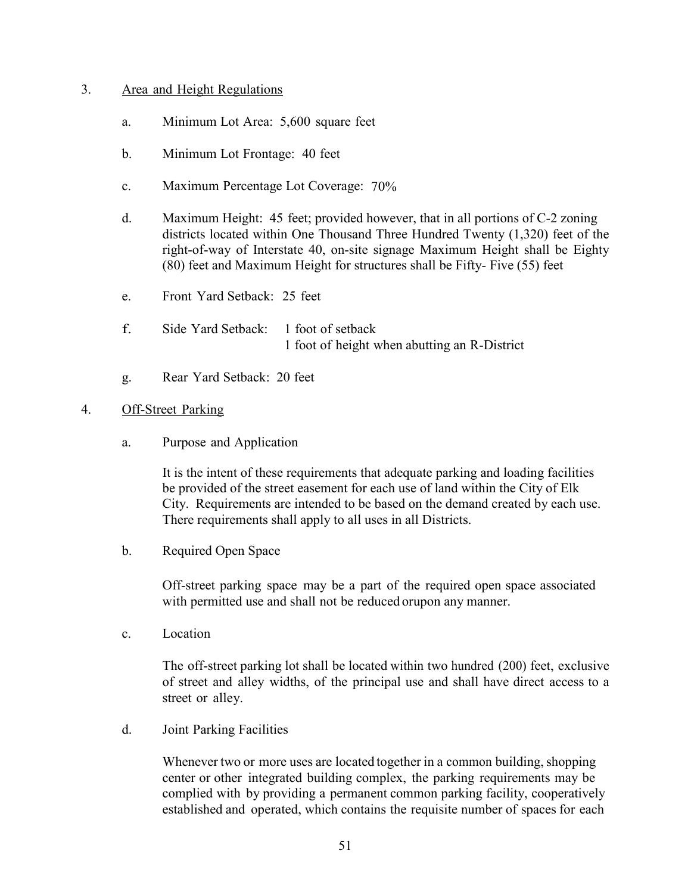#### 3. Area and Height Regulations

- a. Minimum Lot Area: 5,600 square feet
- b. Minimum Lot Frontage: 40 feet
- c. Maximum Percentage Lot Coverage: 70%
- d. Maximum Height: 45 feet; provided however, that in all portions of C-2 zoning districts located within One Thousand Three Hundred Twenty (1,320) feet of the right-of-way of Interstate 40, on-site signage Maximum Height shall be Eighty (80) feet and Maximum Height for structures shall be Fifty- Five (55) feet
- e. Front Yard Setback: 25 feet
- f. Side Yard Setback: 1 foot of setback 1 foot of height when abutting an R-District
- g. Rear Yard Setback: 20 feet

#### 4. Off-Street Parking

a. Purpose and Application

It is the intent of these requirements that adequate parking and loading facilities be provided of the street easement for each use of land within the City of Elk City. Requirements are intended to be based on the demand created by each use. There requirements shall apply to all uses in all Districts.

b. Required Open Space

Off-street parking space may be a part of the required open space associated with permitted use and shall not be reduced orupon any manner.

c. Location

The off-street parking lot shall be located within two hundred (200) feet, exclusive of street and alley widths, of the principal use and shall have direct access to a street or alley.

d. Joint Parking Facilities

Whenever two or more uses are located together in a common building, shopping center or other integrated building complex, the parking requirements may be complied with by providing a permanent common parking facility, cooperatively established and operated, which contains the requisite number of spaces for each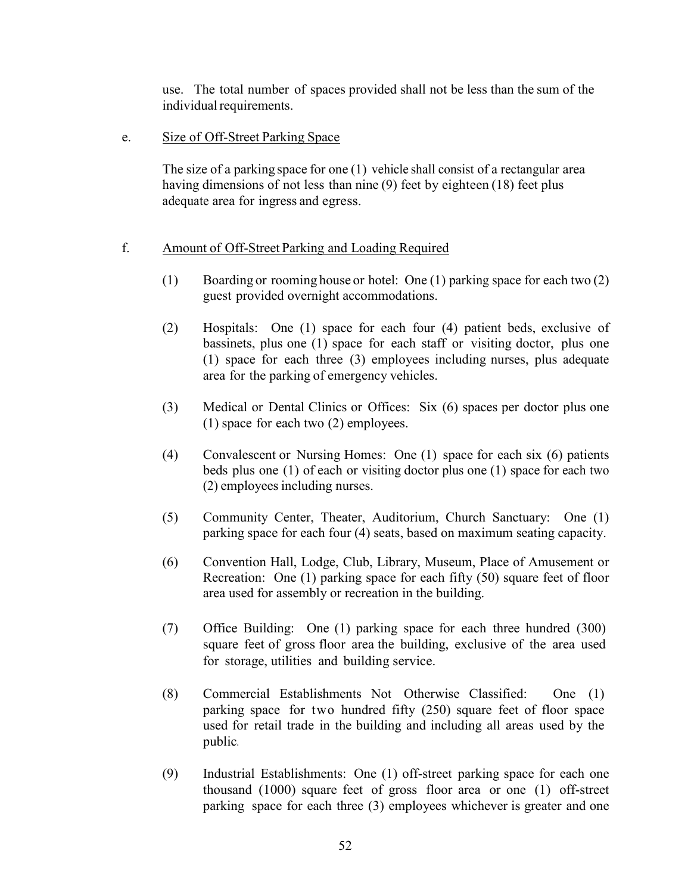use. The total number of spaces provided shall not be less than the sum of the individual requirements.

e. Size of Off-Street Parking Space

The size of a parking space for one (1) vehicle shall consist of a rectangular area having dimensions of not less than nine (9) feet by eighteen (18) feet plus adequate area for ingress and egress.

### f. Amount of Off-Street Parking and Loading Required

- (1) Boarding or rooming house or hotel: One (1) parking space for each two (2) guest provided overnight accommodations.
- (2) Hospitals: One (1) space for each four (4) patient beds, exclusive of bassinets, plus one (1) space for each staff or visiting doctor, plus one (1) space for each three (3) employees including nurses, plus adequate area for the parking of emergency vehicles.
- (3) Medical or Dental Clinics or Offices: Six (6) spaces per doctor plus one (1) space for each two (2) employees.
- (4) Convalescent or Nursing Homes: One (1) space for each six (6) patients beds plus one (1) of each or visiting doctor plus one (1) space for each two (2) employees including nurses.
- (5) Community Center, Theater, Auditorium, Church Sanctuary: One (1) parking space for each four (4) seats, based on maximum seating capacity.
- (6) Convention Hall, Lodge, Club, Library, Museum, Place of Amusement or Recreation: One (1) parking space for each fifty (50) square feet of floor area used for assembly or recreation in the building.
- (7) Office Building: One (1) parking space for each three hundred (300) square feet of gross floor area the building, exclusive of the area used for storage, utilities and building service.
- (8) Commercial Establishments Not Otherwise Classified: One (1) parking space for two hundred fifty (250) square feet of floor space used for retail trade in the building and including all areas used by the public.
- (9) Industrial Establishments: One (1) off-street parking space for each one thousand (1000) square feet of gross floor area or one (1) off-street parking space for each three (3) employees whichever is greater and one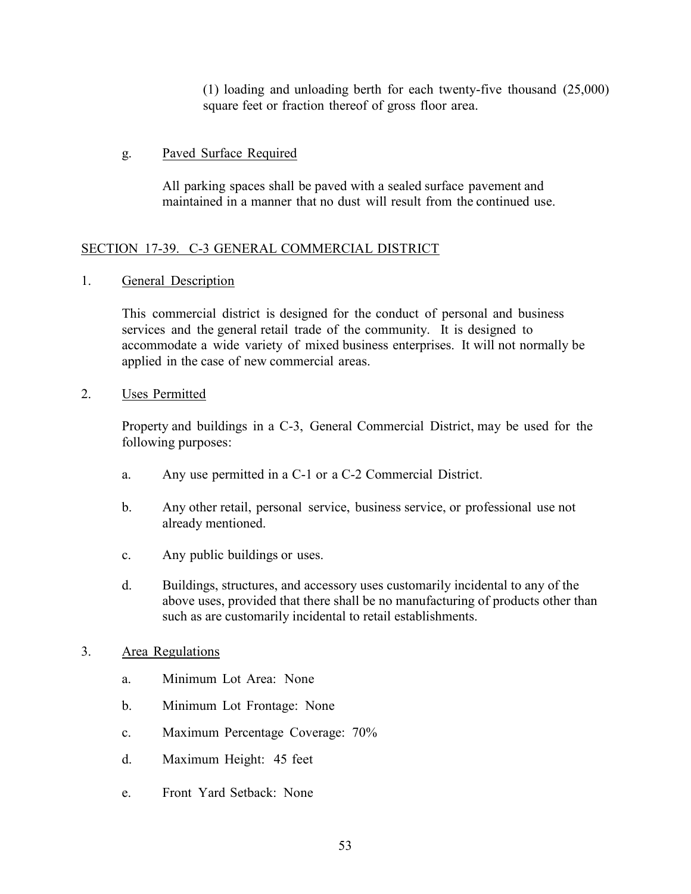(1) loading and unloading berth for each twenty-five thousand (25,000) square feet or fraction thereof of gross floor area.

## g. Paved Surface Required

All parking spaces shall be paved with a sealed surface pavement and maintained in a manner that no dust will result from the continued use.

## SECTION 17-39. C-3 GENERAL COMMERCIAL DISTRICT

1. General Description

This commercial district is designed for the conduct of personal and business services and the general retail trade of the community. It is designed to accommodate a wide variety of mixed business enterprises. It will not normally be applied in the case of new commercial areas.

## 2. Uses Permitted

Property and buildings in a C-3, General Commercial District, may be used for the following purposes:

- a. Any use permitted in a C-1 or a C-2 Commercial District.
- b. Any other retail, personal service, business service, or professional use not already mentioned.
- c. Any public buildings or uses.
- d. Buildings, structures, and accessory uses customarily incidental to any of the above uses, provided that there shall be no manufacturing of products other than such as are customarily incidental to retail establishments.

## 3. Area Regulations

- a. Minimum Lot Area: None
- b. Minimum Lot Frontage: None
- c. Maximum Percentage Coverage: 70%
- d. Maximum Height: 45 feet
- e. Front Yard Setback: None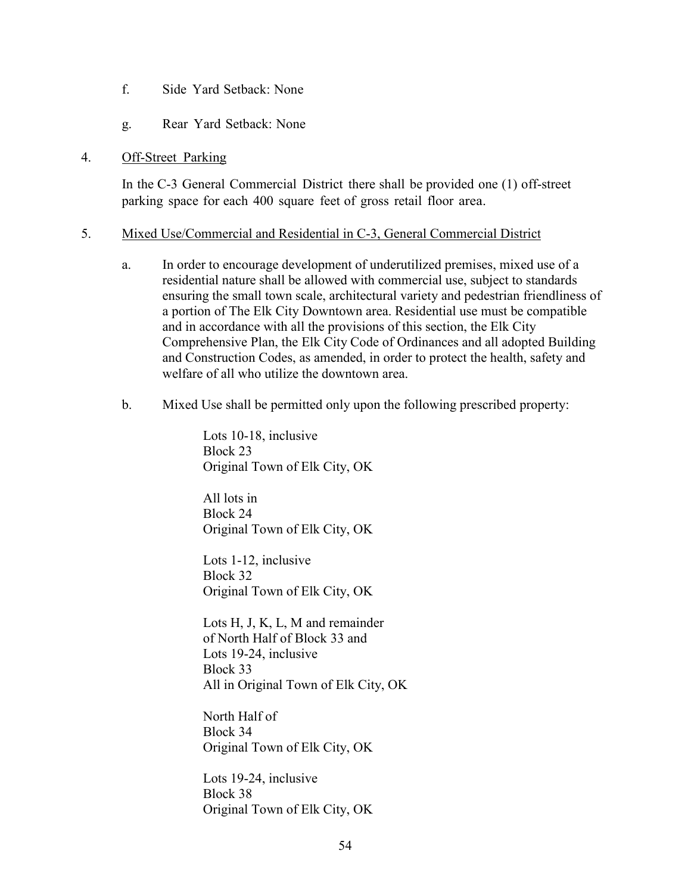- f. Side Yard Setback: None
- g. Rear Yard Setback: None

#### 4. Off-Street Parking

In the C-3 General Commercial District there shall be provided one (1) off-street parking space for each 400 square feet of gross retail floor area.

#### 5. Mixed Use/Commercial and Residential in C-3, General Commercial District

- a. In order to encourage development of underutilized premises, mixed use of a residential nature shall be allowed with commercial use, subject to standards ensuring the small town scale, architectural variety and pedestrian friendliness of a portion of The Elk City Downtown area. Residential use must be compatible and in accordance with all the provisions of this section, the Elk City Comprehensive Plan, the Elk City Code of Ordinances and all adopted Building and Construction Codes, as amended, in order to protect the health, safety and welfare of all who utilize the downtown area.
- b. Mixed Use shall be permitted only upon the following prescribed property:

Lots 10-18, inclusive Block 23 Original Town of Elk City, OK

All lots in Block 24 Original Town of Elk City, OK

Lots 1-12, inclusive Block 32 Original Town of Elk City, OK

Lots H, J, K, L, M and remainder of North Half of Block 33 and Lots 19-24, inclusive Block 33 All in Original Town of Elk City, OK

North Half of Block 34 Original Town of Elk City, OK

Lots 19-24, inclusive Block 38 Original Town of Elk City, OK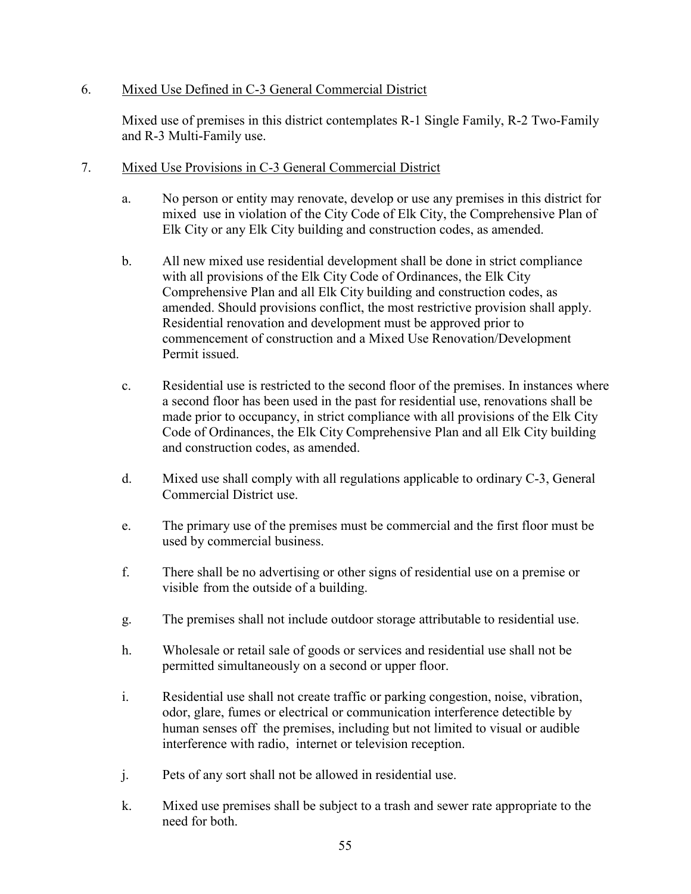## 6. Mixed Use Defined in C-3 General Commercial District

Mixed use of premises in this district contemplates R-1 Single Family, R-2 Two-Family and R-3 Multi-Family use.

- 7. Mixed Use Provisions in C-3 General Commercial District
	- a. No person or entity may renovate, develop or use any premises in this district for mixed use in violation of the City Code of Elk City, the Comprehensive Plan of Elk City or any Elk City building and construction codes, as amended.
	- b. All new mixed use residential development shall be done in strict compliance with all provisions of the Elk City Code of Ordinances, the Elk City Comprehensive Plan and all Elk City building and construction codes, as amended. Should provisions conflict, the most restrictive provision shall apply. Residential renovation and development must be approved prior to commencement of construction and a Mixed Use Renovation/Development Permit issued.
	- c. Residential use is restricted to the second floor of the premises. In instances where a second floor has been used in the past for residential use, renovations shall be made prior to occupancy, in strict compliance with all provisions of the Elk City Code of Ordinances, the Elk City Comprehensive Plan and all Elk City building and construction codes, as amended.
	- d. Mixed use shall comply with all regulations applicable to ordinary C-3, General Commercial District use.
	- e. The primary use of the premises must be commercial and the first floor must be used by commercial business.
	- f. There shall be no advertising or other signs of residential use on a premise or visible from the outside of a building.
	- g. The premises shall not include outdoor storage attributable to residential use.
	- h. Wholesale or retail sale of goods or services and residential use shall not be permitted simultaneously on a second or upper floor.
	- i. Residential use shall not create traffic or parking congestion, noise, vibration, odor, glare, fumes or electrical or communication interference detectible by human senses off the premises, including but not limited to visual or audible interference with radio, internet or television reception.
	- j. Pets of any sort shall not be allowed in residential use.
	- k. Mixed use premises shall be subject to a trash and sewer rate appropriate to the need for both.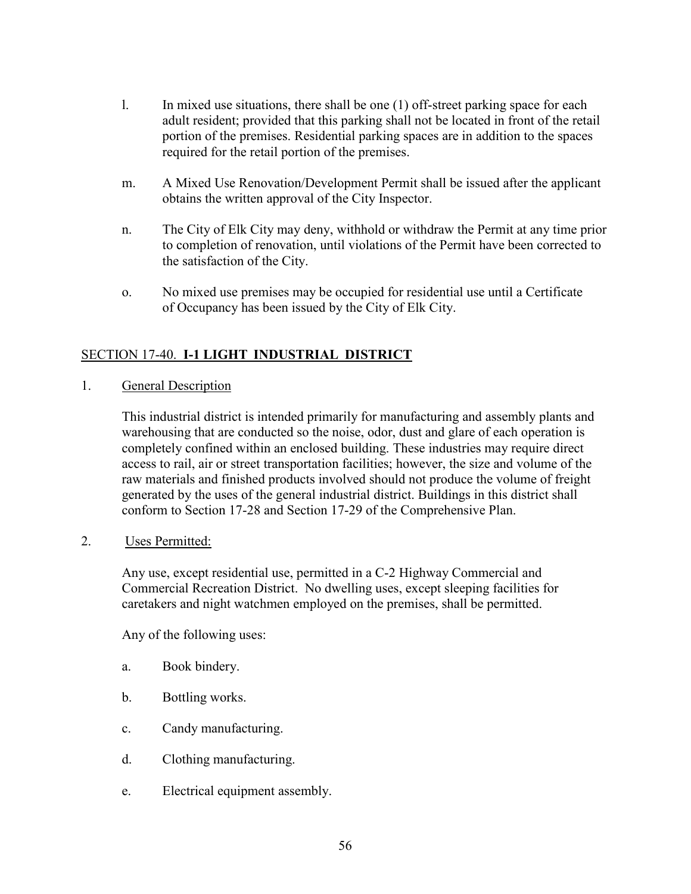- l. In mixed use situations, there shall be one (1) off-street parking space for each adult resident; provided that this parking shall not be located in front of the retail portion of the premises. Residential parking spaces are in addition to the spaces required for the retail portion of the premises.
- m. A Mixed Use Renovation/Development Permit shall be issued after the applicant obtains the written approval of the City Inspector.
- n. The City of Elk City may deny, withhold or withdraw the Permit at any time prior to completion of renovation, until violations of the Permit have been corrected to the satisfaction of the City.
- o. No mixed use premises may be occupied for residential use until a Certificate of Occupancy has been issued by the City of Elk City.

## SECTION 17-40. **I-1 LIGHT INDUSTRIAL DISTRICT**

1. General Description

This industrial district is intended primarily for manufacturing and assembly plants and warehousing that are conducted so the noise, odor, dust and glare of each operation is completely confined within an enclosed building. These industries may require direct access to rail, air or street transportation facilities; however, the size and volume of the raw materials and finished products involved should not produce the volume of freight generated by the uses of the general industrial district. Buildings in this district shall conform to Section 17-28 and Section 17-29 of the Comprehensive Plan.

2. Uses Permitted:

Any use, except residential use, permitted in a C-2 Highway Commercial and Commercial Recreation District. No dwelling uses, except sleeping facilities for caretakers and night watchmen employed on the premises, shall be permitted.

Any of the following uses:

- a. Book bindery.
- b. Bottling works.
- c. Candy manufacturing.
- d. Clothing manufacturing.
- e. Electrical equipment assembly.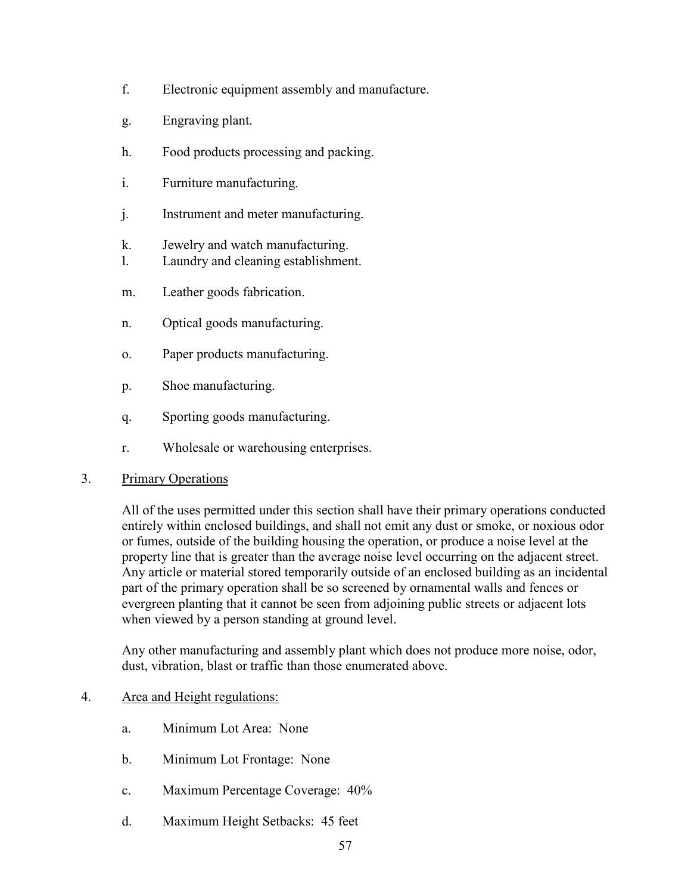- f. Electronic equipment assembly and manufacture.
- g. Engraving plant.
- h. Food products processing and packing.
- i. Furniture manufacturing.
- j. Instrument and meter manufacturing.
- k. Jewelry and watch manufacturing.
- l. Laundry and cleaning establishment.
- m. Leather goods fabrication.
- n. Optical goods manufacturing.
- o. Paper products manufacturing.
- p. Shoe manufacturing.
- q. Sporting goods manufacturing.
- r. Wholesale or warehousing enterprises.

## 3. Primary Operations

All of the uses permitted under this section shall have their primary operations conducted entirely within enclosed buildings, and shall not emit any dust or smoke, or noxious odor or fumes, outside of the building housing the operation, or produce a noise level at the property line that is greater than the average noise level occurring on the adjacent street. Any article or material stored temporarily outside of an enclosed building as an incidental part of the primary operation shall be so screened by ornamental walls and fences or evergreen planting that it cannot be seen from adjoining public streets or adjacent lots when viewed by a person standing at ground level.

Any other manufacturing and assembly plant which does not produce more noise, odor, dust, vibration, blast or traffic than those enumerated above.

## 4. Area and Height regulations:

- a. Minimum Lot Area: None
- b. Minimum Lot Frontage: None
- c. Maximum Percentage Coverage: 40%
- d. Maximum Height Setbacks: 45 feet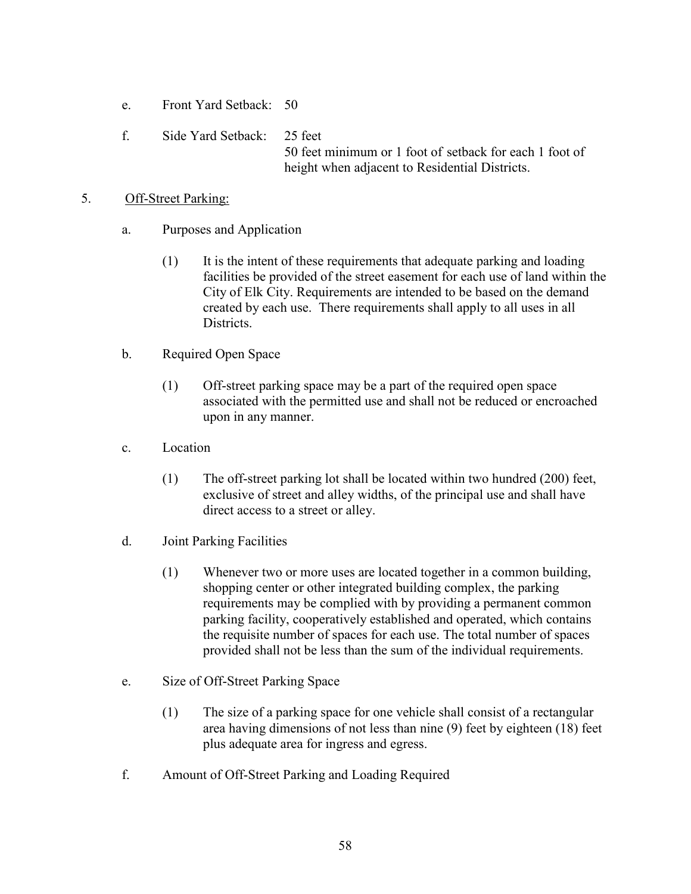- e. Front Yard Setback: 50
- f. Side Yard Setback: 25 feet 50 feet minimum or 1 foot of setback for each 1 foot of height when adjacent to Residential Districts.

### 5. Off-Street Parking:

- a. Purposes and Application
	- (1) It is the intent of these requirements that adequate parking and loading facilities be provided of the street easement for each use of land within the City of Elk City. Requirements are intended to be based on the demand created by each use. There requirements shall apply to all uses in all Districts.
- b. Required Open Space
	- (1) Off-street parking space may be a part of the required open space associated with the permitted use and shall not be reduced or encroached upon in any manner.
- c. Location
	- (1) The off-street parking lot shall be located within two hundred (200) feet, exclusive of street and alley widths, of the principal use and shall have direct access to a street or alley.
- d. Joint Parking Facilities
	- (1) Whenever two or more uses are located together in a common building, shopping center or other integrated building complex, the parking requirements may be complied with by providing a permanent common parking facility, cooperatively established and operated, which contains the requisite number of spaces for each use. The total number of spaces provided shall not be less than the sum of the individual requirements.
- e. Size of Off-Street Parking Space
	- (1) The size of a parking space for one vehicle shall consist of a rectangular area having dimensions of not less than nine (9) feet by eighteen (18) feet plus adequate area for ingress and egress.
- f. Amount of Off-Street Parking and Loading Required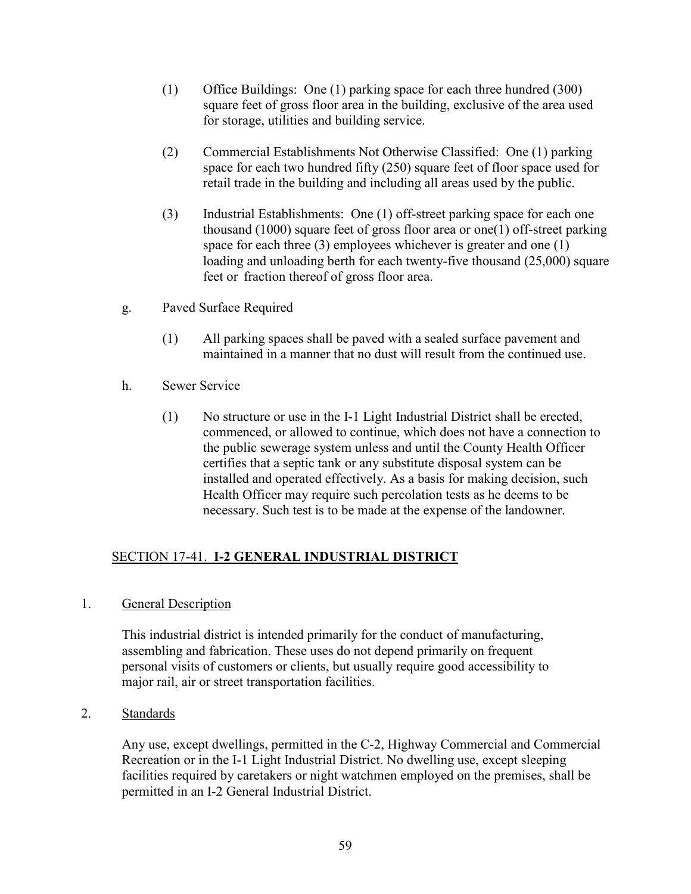- (1) Office Buildings: One (1) parking space for each three hundred (300) square feet of gross floor area in the building, exclusive of the area used for storage, utilities and building service.
- (2) Commercial Establishments Not Otherwise Classified: One (1) parking space for each two hundred fifty (250) square feet of floor space used for retail trade in the building and including all areas used by the public.
- (3) Industrial Establishments: One (1) off-street parking space for each one thousand (1000) square feet of gross floor area or one(1) off-street parking space for each three (3) employees whichever is greater and one (1) loading and unloading berth for each twenty-five thousand (25,000) square feet or fraction thereof of gross floor area.
- g. Paved Surface Required
	- (1) All parking spaces shall be paved with a sealed surface pavement and maintained in a manner that no dust will result from the continued use.
- h. Sewer Service
	- (1) No structure or use in the I-1 Light Industrial District shall be erected, commenced, or allowed to continue, which does not have a connection to the public sewerage system unless and until the County Health Officer certifies that a septic tank or any substitute disposal system can be installed and operated effectively. As a basis for making decision, such Health Officer may require such percolation tests as he deems to be necessary. Such test is to be made at the expense of the landowner.

# SECTION 17-41. **I-2 GENERAL INDUSTRIAL DISTRICT**

1. General Description

This industrial district is intended primarily for the conduct of manufacturing, assembling and fabrication. These uses do not depend primarily on frequent personal visits of customers or clients, but usually require good accessibility to major rail, air or street transportation facilities.

2. Standards

Any use, except dwellings, permitted in the C-2, Highway Commercial and Commercial Recreation or in the I-1 Light Industrial District. No dwelling use, except sleeping facilities required by caretakers or night watchmen employed on the premises, shall be permitted in an I-2 General Industrial District.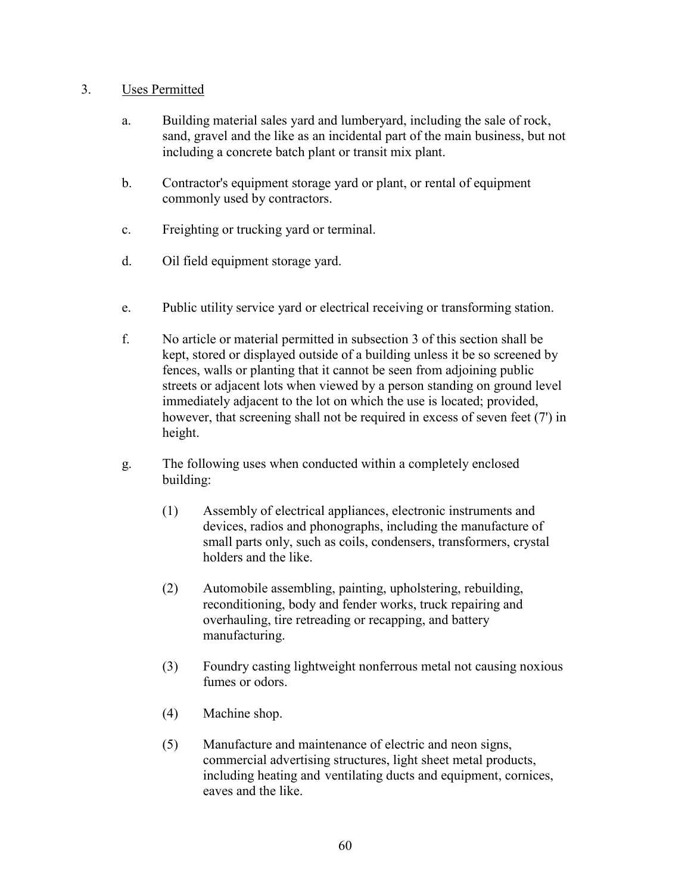### 3. Uses Permitted

- a. Building material sales yard and lumberyard, including the sale of rock, sand, gravel and the like as an incidental part of the main business, but not including a concrete batch plant or transit mix plant.
- b. Contractor's equipment storage yard or plant, or rental of equipment commonly used by contractors.
- c. Freighting or trucking yard or terminal.
- d. Oil field equipment storage yard.
- e. Public utility service yard or electrical receiving or transforming station.
- f. No article or material permitted in subsection 3 of this section shall be kept, stored or displayed outside of a building unless it be so screened by fences, walls or planting that it cannot be seen from adjoining public streets or adjacent lots when viewed by a person standing on ground level immediately adjacent to the lot on which the use is located; provided, however, that screening shall not be required in excess of seven feet (7') in height.
- g. The following uses when conducted within a completely enclosed building:
	- (1) Assembly of electrical appliances, electronic instruments and devices, radios and phonographs, including the manufacture of small parts only, such as coils, condensers, transformers, crystal holders and the like.
	- (2) Automobile assembling, painting, upholstering, rebuilding, reconditioning, body and fender works, truck repairing and overhauling, tire retreading or recapping, and battery manufacturing.
	- (3) Foundry casting lightweight nonferrous metal not causing noxious fumes or odors.
	- (4) Machine shop.
	- (5) Manufacture and maintenance of electric and neon signs, commercial advertising structures, light sheet metal products, including heating and ventilating ducts and equipment, cornices, eaves and the like.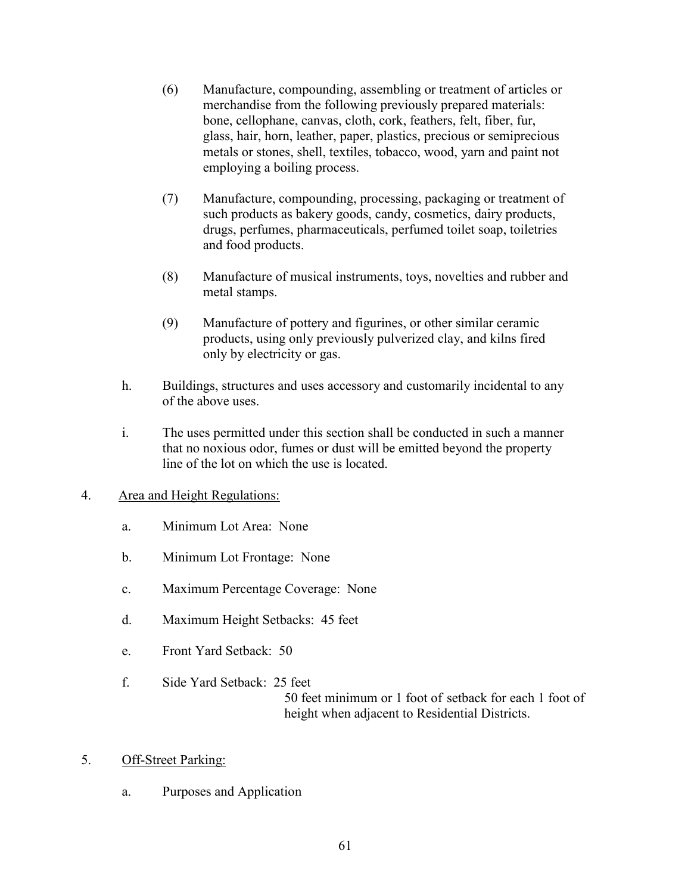- (6) Manufacture, compounding, assembling or treatment of articles or merchandise from the following previously prepared materials: bone, cellophane, canvas, cloth, cork, feathers, felt, fiber, fur, glass, hair, horn, leather, paper, plastics, precious or semiprecious metals or stones, shell, textiles, tobacco, wood, yarn and paint not employing a boiling process.
- (7) Manufacture, compounding, processing, packaging or treatment of such products as bakery goods, candy, cosmetics, dairy products, drugs, perfumes, pharmaceuticals, perfumed toilet soap, toiletries and food products.
- (8) Manufacture of musical instruments, toys, novelties and rubber and metal stamps.
- (9) Manufacture of pottery and figurines, or other similar ceramic products, using only previously pulverized clay, and kilns fired only by electricity or gas.
- h. Buildings, structures and uses accessory and customarily incidental to any of the above uses.
- i. The uses permitted under this section shall be conducted in such a manner that no noxious odor, fumes or dust will be emitted beyond the property line of the lot on which the use is located.
- 4. Area and Height Regulations:
	- a. Minimum Lot Area: None
	- b. Minimum Lot Frontage: None
	- c. Maximum Percentage Coverage: None
	- d. Maximum Height Setbacks: 45 feet
	- e. Front Yard Setback: 50
	- f. Side Yard Setback: 25 feet 50 feet minimum or 1 foot of setback for each 1 foot of height when adjacent to Residential Districts.
- 5. Off-Street Parking:
	- a. Purposes and Application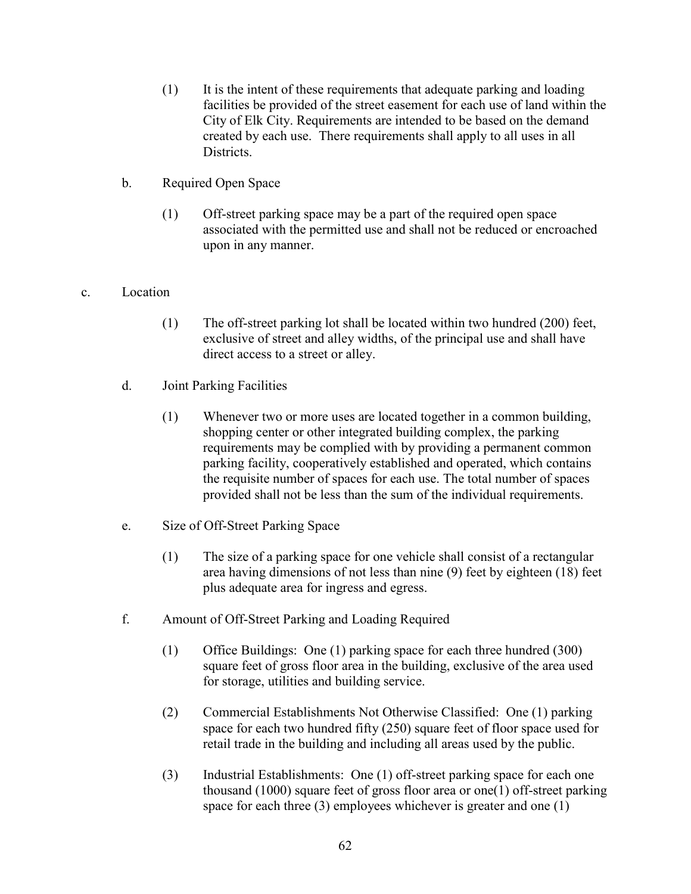- (1) It is the intent of these requirements that adequate parking and loading facilities be provided of the street easement for each use of land within the City of Elk City. Requirements are intended to be based on the demand created by each use. There requirements shall apply to all uses in all Districts.
- b. Required Open Space
	- (1) Off-street parking space may be a part of the required open space associated with the permitted use and shall not be reduced or encroached upon in any manner.

## c. Location

- (1) The off-street parking lot shall be located within two hundred (200) feet, exclusive of street and alley widths, of the principal use and shall have direct access to a street or alley.
- d. Joint Parking Facilities
	- (1) Whenever two or more uses are located together in a common building, shopping center or other integrated building complex, the parking requirements may be complied with by providing a permanent common parking facility, cooperatively established and operated, which contains the requisite number of spaces for each use. The total number of spaces provided shall not be less than the sum of the individual requirements.
- e. Size of Off-Street Parking Space
	- (1) The size of a parking space for one vehicle shall consist of a rectangular area having dimensions of not less than nine (9) feet by eighteen (18) feet plus adequate area for ingress and egress.
- f. Amount of Off-Street Parking and Loading Required
	- (1) Office Buildings: One (1) parking space for each three hundred (300) square feet of gross floor area in the building, exclusive of the area used for storage, utilities and building service.
	- (2) Commercial Establishments Not Otherwise Classified: One (1) parking space for each two hundred fifty (250) square feet of floor space used for retail trade in the building and including all areas used by the public.
	- (3) Industrial Establishments: One (1) off-street parking space for each one thousand (1000) square feet of gross floor area or one(1) off-street parking space for each three (3) employees whichever is greater and one (1)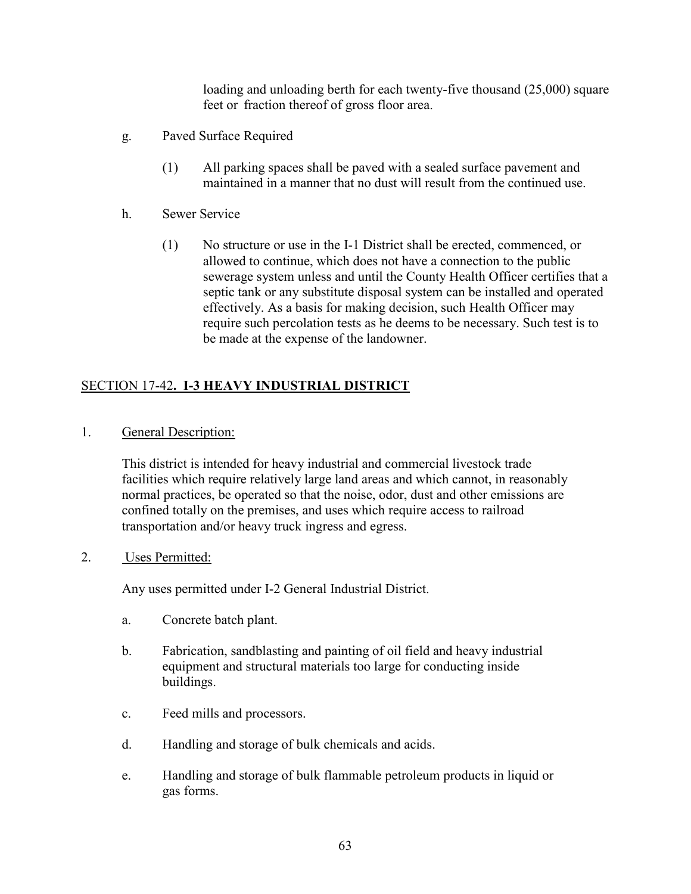loading and unloading berth for each twenty-five thousand (25,000) square feet or fraction thereof of gross floor area.

- g. Paved Surface Required
	- (1) All parking spaces shall be paved with a sealed surface pavement and maintained in a manner that no dust will result from the continued use.
- h. Sewer Service
	- (1) No structure or use in the I-1 District shall be erected, commenced, or allowed to continue, which does not have a connection to the public sewerage system unless and until the County Health Officer certifies that a septic tank or any substitute disposal system can be installed and operated effectively. As a basis for making decision, such Health Officer may require such percolation tests as he deems to be necessary. Such test is to be made at the expense of the landowner.

# SECTION 17-42**. I-3 HEAVY INDUSTRIAL DISTRICT**

1. General Description:

This district is intended for heavy industrial and commercial livestock trade facilities which require relatively large land areas and which cannot, in reasonably normal practices, be operated so that the noise, odor, dust and other emissions are confined totally on the premises, and uses which require access to railroad transportation and/or heavy truck ingress and egress.

2. Uses Permitted:

Any uses permitted under I-2 General Industrial District.

- a. Concrete batch plant.
- b. Fabrication, sandblasting and painting of oil field and heavy industrial equipment and structural materials too large for conducting inside buildings.
- c. Feed mills and processors.
- d. Handling and storage of bulk chemicals and acids.
- e. Handling and storage of bulk flammable petroleum products in liquid or gas forms.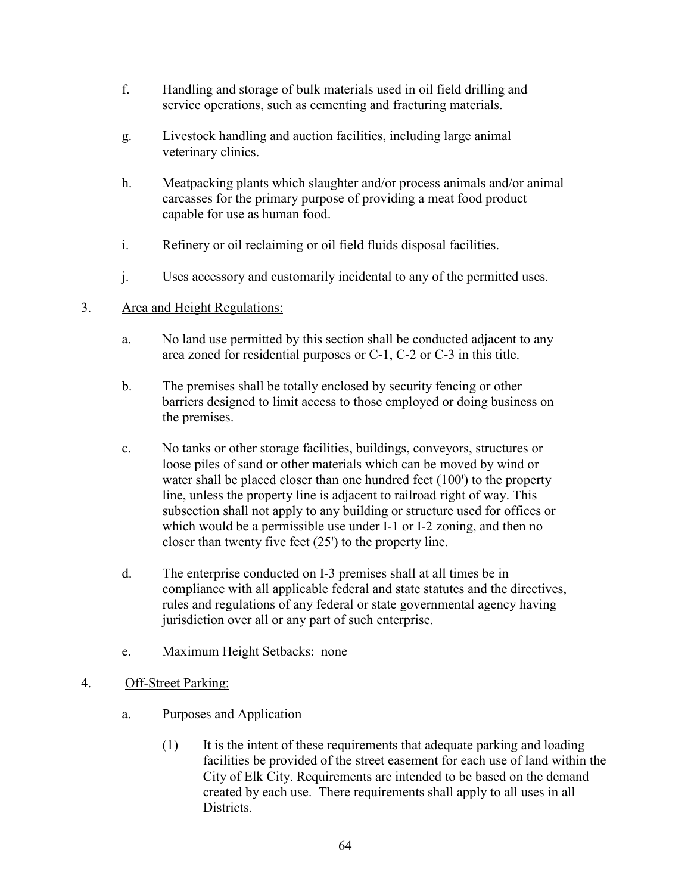- f. Handling and storage of bulk materials used in oil field drilling and service operations, such as cementing and fracturing materials.
- g. Livestock handling and auction facilities, including large animal veterinary clinics.
- h. Meatpacking plants which slaughter and/or process animals and/or animal carcasses for the primary purpose of providing a meat food product capable for use as human food.
- i. Refinery or oil reclaiming or oil field fluids disposal facilities.
- j. Uses accessory and customarily incidental to any of the permitted uses.

## 3. Area and Height Regulations:

- a. No land use permitted by this section shall be conducted adjacent to any area zoned for residential purposes or C-1, C-2 or C-3 in this title.
- b. The premises shall be totally enclosed by security fencing or other barriers designed to limit access to those employed or doing business on the premises.
- c. No tanks or other storage facilities, buildings, conveyors, structures or loose piles of sand or other materials which can be moved by wind or water shall be placed closer than one hundred feet (100') to the property line, unless the property line is adjacent to railroad right of way. This subsection shall not apply to any building or structure used for offices or which would be a permissible use under I-1 or I-2 zoning, and then no closer than twenty five feet (25') to the property line.
- d. The enterprise conducted on I-3 premises shall at all times be in compliance with all applicable federal and state statutes and the directives, rules and regulations of any federal or state governmental agency having jurisdiction over all or any part of such enterprise.
- e. Maximum Height Setbacks: none
- 4. Off-Street Parking:
	- a. Purposes and Application
		- (1) It is the intent of these requirements that adequate parking and loading facilities be provided of the street easement for each use of land within the City of Elk City. Requirements are intended to be based on the demand created by each use. There requirements shall apply to all uses in all Districts.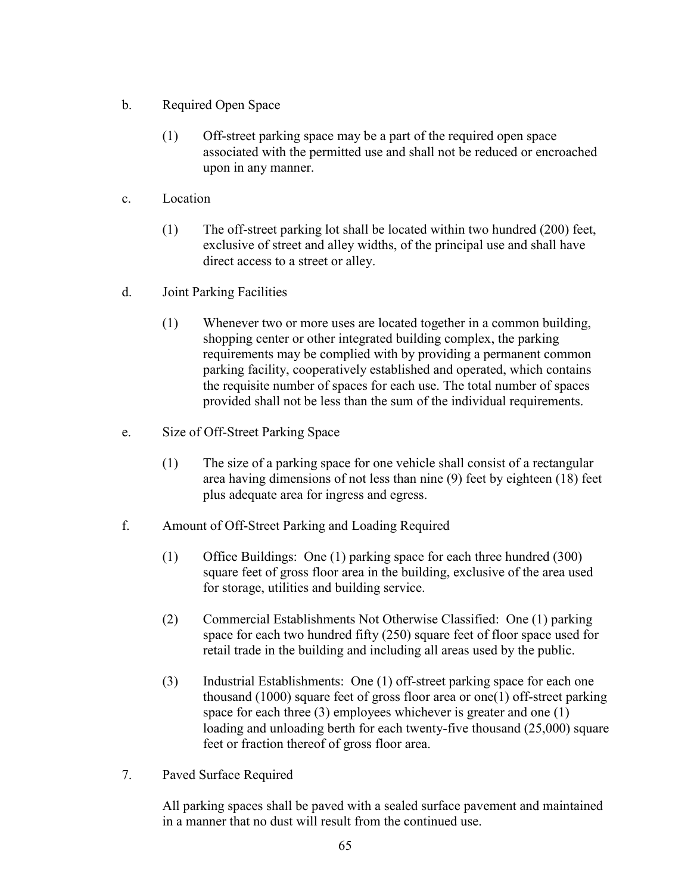- b. Required Open Space
	- (1) Off-street parking space may be a part of the required open space associated with the permitted use and shall not be reduced or encroached upon in any manner.
- c. Location
	- (1) The off-street parking lot shall be located within two hundred (200) feet, exclusive of street and alley widths, of the principal use and shall have direct access to a street or alley.
- d. Joint Parking Facilities
	- (1) Whenever two or more uses are located together in a common building, shopping center or other integrated building complex, the parking requirements may be complied with by providing a permanent common parking facility, cooperatively established and operated, which contains the requisite number of spaces for each use. The total number of spaces provided shall not be less than the sum of the individual requirements.
- e. Size of Off-Street Parking Space
	- (1) The size of a parking space for one vehicle shall consist of a rectangular area having dimensions of not less than nine (9) feet by eighteen (18) feet plus adequate area for ingress and egress.
- f. Amount of Off-Street Parking and Loading Required
	- (1) Office Buildings: One (1) parking space for each three hundred (300) square feet of gross floor area in the building, exclusive of the area used for storage, utilities and building service.
	- (2) Commercial Establishments Not Otherwise Classified: One (1) parking space for each two hundred fifty (250) square feet of floor space used for retail trade in the building and including all areas used by the public.
	- (3) Industrial Establishments: One (1) off-street parking space for each one thousand (1000) square feet of gross floor area or one(1) off-street parking space for each three (3) employees whichever is greater and one (1) loading and unloading berth for each twenty-five thousand (25,000) square feet or fraction thereof of gross floor area.
- 7. Paved Surface Required

All parking spaces shall be paved with a sealed surface pavement and maintained in a manner that no dust will result from the continued use.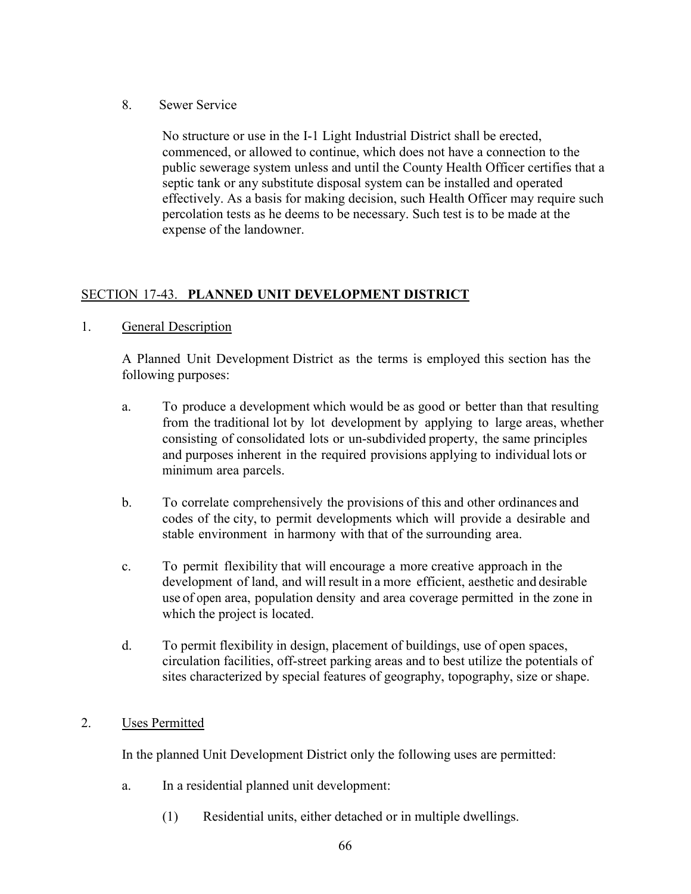8. Sewer Service

No structure or use in the I-1 Light Industrial District shall be erected, commenced, or allowed to continue, which does not have a connection to the public sewerage system unless and until the County Health Officer certifies that a septic tank or any substitute disposal system can be installed and operated effectively. As a basis for making decision, such Health Officer may require such percolation tests as he deems to be necessary. Such test is to be made at the expense of the landowner.

# SECTION 17-43. **PLANNED UNIT DEVELOPMENT DISTRICT**

## 1. General Description

A Planned Unit Development District as the terms is employed this section has the following purposes:

- a. To produce a development which would be as good or better than that resulting from the traditional lot by lot development by applying to large areas, whether consisting of consolidated lots or un-subdivided property, the same principles and purposes inherent in the required provisions applying to individual lots or minimum area parcels.
- b. To correlate comprehensively the provisions of this and other ordinances and codes of the city, to permit developments which will provide a desirable and stable environment in harmony with that of the surrounding area.
- c. To permit flexibility that will encourage a more creative approach in the development of land, and will result in a more efficient, aesthetic and desirable use of open area, population density and area coverage permitted in the zone in which the project is located.
- d. To permit flexibility in design, placement of buildings, use of open spaces, circulation facilities, off-street parking areas and to best utilize the potentials of sites characterized by special features of geography, topography, size or shape.
- 2. Uses Permitted

In the planned Unit Development District only the following uses are permitted:

- a. In a residential planned unit development:
	- (1) Residential units, either detached or in multiple dwellings.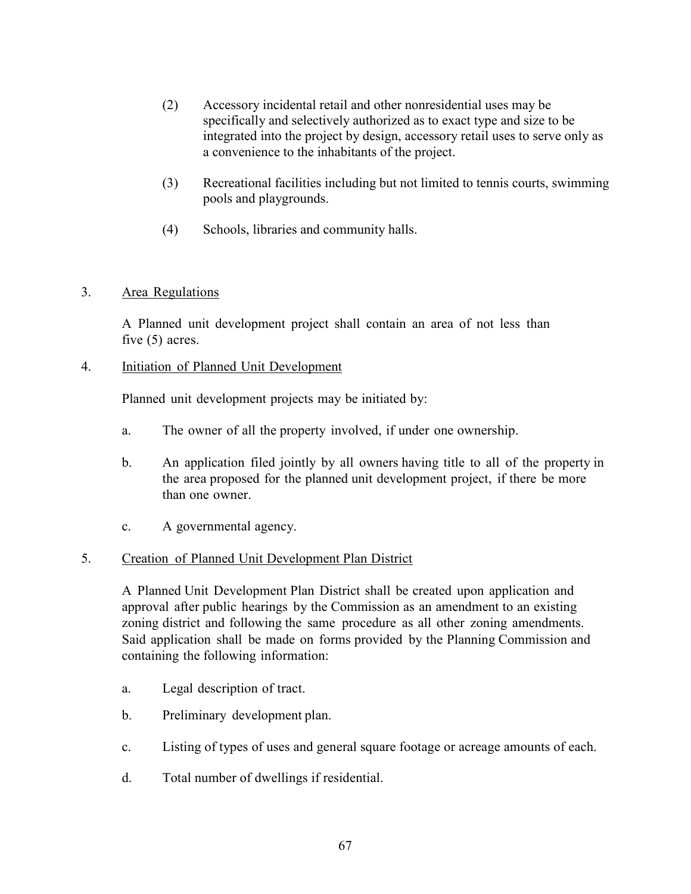- (2) Accessory incidental retail and other nonresidential uses may be specifically and selectively authorized as to exact type and size to be integrated into the project by design, accessory retail uses to serve only as a convenience to the inhabitants of the project.
- (3) Recreational facilities including but not limited to tennis courts, swimming pools and playgrounds.
- (4) Schools, libraries and community halls.

## 3. Area Regulations

A Planned unit development project shall contain an area of not less than five (5) acres.

4. Initiation of Planned Unit Development

Planned unit development projects may be initiated by:

- a. The owner of all the property involved, if under one ownership.
- b. An application filed jointly by all owners having title to all of the property in the area proposed for the planned unit development project, if there be more than one owner.
- c. A governmental agency.

## 5. Creation of Planned Unit Development Plan District

A Planned Unit Development Plan District shall be created upon application and approval after public hearings by the Commission as an amendment to an existing zoning district and following the same procedure as all other zoning amendments. Said application shall be made on forms provided by the Planning Commission and containing the following information:

- a. Legal description of tract.
- b. Preliminary development plan.
- c. Listing of types of uses and general square footage or acreage amounts of each.
- d. Total number of dwellings if residential.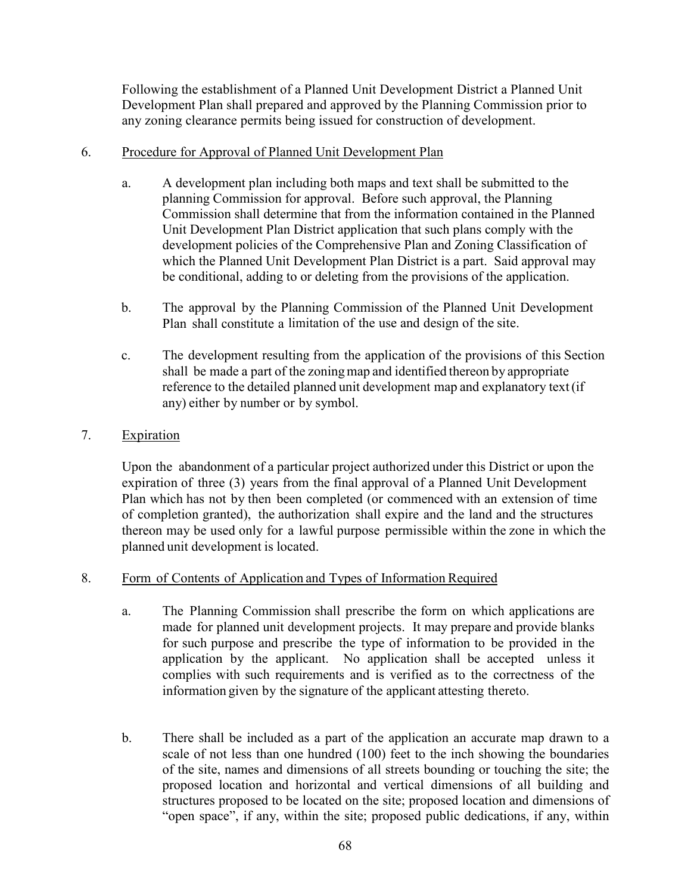Following the establishment of a Planned Unit Development District a Planned Unit Development Plan shall prepared and approved by the Planning Commission prior to any zoning clearance permits being issued for construction of development.

### 6. Procedure for Approval of Planned Unit Development Plan

- a. A development plan including both maps and text shall be submitted to the planning Commission for approval. Before such approval, the Planning Commission shall determine that from the information contained in the Planned Unit Development Plan District application that such plans comply with the development policies of the Comprehensive Plan and Zoning Classification of which the Planned Unit Development Plan District is a part. Said approval may be conditional, adding to or deleting from the provisions of the application.
- b. The approval by the Planning Commission of the Planned Unit Development Plan shall constitute a limitation of the use and design of the site.
- c. The development resulting from the application of the provisions of this Section shall be made a part of the zoning map and identified thereon by appropriate reference to the detailed planned unit development map and explanatory text(if any) either by number or by symbol.

## 7. Expiration

Upon the abandonment of a particular project authorized under this District or upon the expiration of three (3) years from the final approval of a Planned Unit Development Plan which has not by then been completed (or commenced with an extension of time of completion granted), the authorization shall expire and the land and the structures thereon may be used only for a lawful purpose permissible within the zone in which the planned unit development is located.

## 8. Form of Contents of Application and Types of Information Required

- a. The Planning Commission shall prescribe the form on which applications are made for planned unit development projects. It may prepare and provide blanks for such purpose and prescribe the type of information to be provided in the application by the applicant. No application shall be accepted unless it complies with such requirements and is verified as to the correctness of the information given by the signature of the applicant attesting thereto.
- b. There shall be included as a part of the application an accurate map drawn to a scale of not less than one hundred (100) feet to the inch showing the boundaries of the site, names and dimensions of all streets bounding or touching the site; the proposed location and horizontal and vertical dimensions of all building and structures proposed to be located on the site; proposed location and dimensions of "open space", if any, within the site; proposed public dedications, if any, within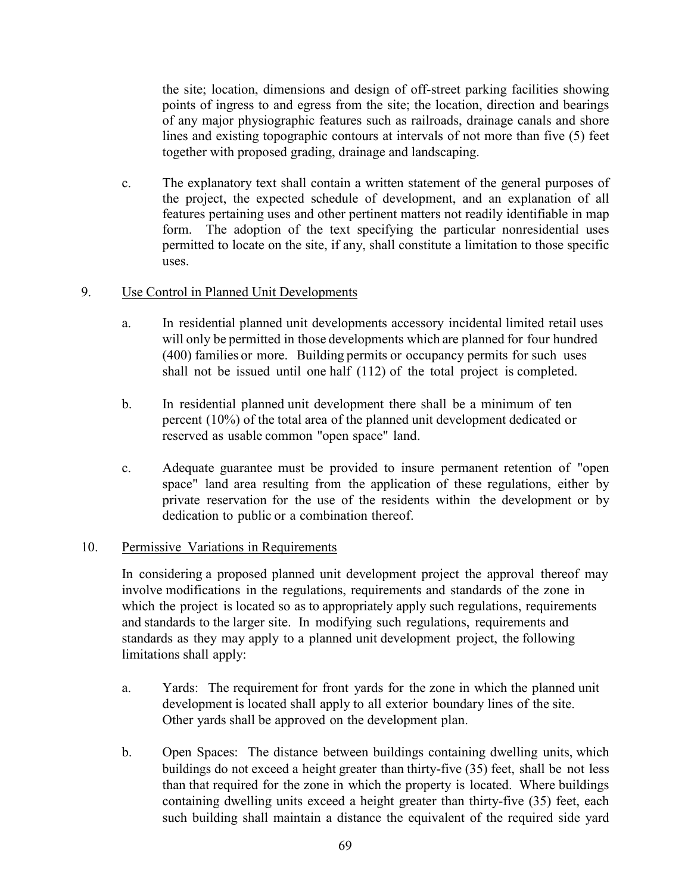the site; location, dimensions and design of off-street parking facilities showing points of ingress to and egress from the site; the location, direction and bearings of any major physiographic features such as railroads, drainage canals and shore lines and existing topographic contours at intervals of not more than five (5) feet together with proposed grading, drainage and landscaping.

c. The explanatory text shall contain a written statement of the general purposes of the project, the expected schedule of development, and an explanation of all features pertaining uses and other pertinent matters not readily identifiable in map form. The adoption of the text specifying the particular nonresidential uses permitted to locate on the site, if any, shall constitute a limitation to those specific uses.

## 9. Use Control in Planned Unit Developments

- a. In residential planned unit developments accessory incidental limited retail uses will only be permitted in those developments which are planned for four hundred (400) families or more. Building permits or occupancy permits for such uses shall not be issued until one half (112) of the total project is completed.
- b. In residential planned unit development there shall be a minimum of ten percent (10%) of the total area of the planned unit development dedicated or reserved as usable common "open space" land.
- c. Adequate guarantee must be provided to insure permanent retention of "open space" land area resulting from the application of these regulations, either by private reservation for the use of the residents within the development or by dedication to public or a combination thereof.

## 10. Permissive Variations in Requirements

In considering a proposed planned unit development project the approval thereof may involve modifications in the regulations, requirements and standards of the zone in which the project is located so as to appropriately apply such regulations, requirements and standards to the larger site. In modifying such regulations, requirements and standards as they may apply to a planned unit development project, the following limitations shall apply:

- a. Yards: The requirement for front yards for the zone in which the planned unit development is located shall apply to all exterior boundary lines of the site. Other yards shall be approved on the development plan.
- b. Open Spaces: The distance between buildings containing dwelling units, which buildings do not exceed a height greater than thirty-five (35) feet, shall be not less than that required for the zone in which the property is located. Where buildings containing dwelling units exceed a height greater than thirty-five (35) feet, each such building shall maintain a distance the equivalent of the required side yard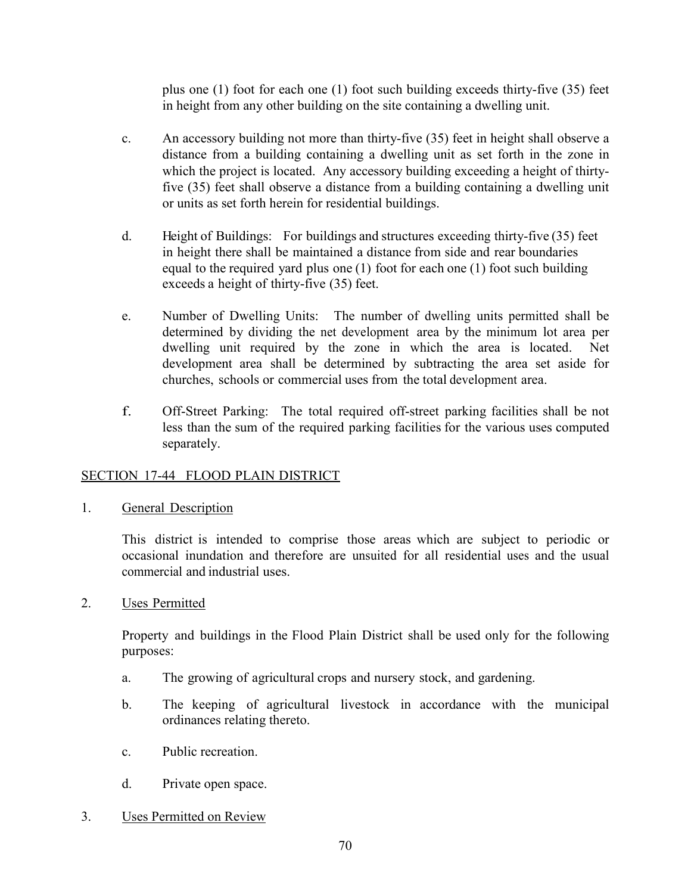plus one (1) foot for each one (1) foot such building exceeds thirty-five (35) feet in height from any other building on the site containing a dwelling unit.

- c. An accessory building not more than thirty-five (35) feet in height shall observe a distance from a building containing a dwelling unit as set forth in the zone in which the project is located. Any accessory building exceeding a height of thirtyfive (35) feet shall observe a distance from a building containing a dwelling unit or units as set forth herein for residential buildings.
- d. Height of Buildings: For buildings and structures exceeding thirty-five (35) feet in height there shall be maintained a distance from side and rear boundaries equal to the required yard plus one (1) foot for each one (1) foot such building exceeds a height of thirty-five (35) feet.
- e. Number of Dwelling Units: The number of dwelling units permitted shall be determined by dividing the net development area by the minimum lot area per dwelling unit required by the zone in which the area is located. Net development area shall be determined by subtracting the area set aside for churches, schools or commercial uses from the total development area.
- f. Off-Street Parking: The total required off-street parking facilities shall be not less than the sum of the required parking facilities for the various uses computed separately.

## SECTION 17-44 FLOOD PLAIN DISTRICT

1. General Description

This district is intended to comprise those areas which are subject to periodic or occasional inundation and therefore are unsuited for all residential uses and the usual commercial and industrial uses.

2. Uses Permitted

Property and buildings in the Flood Plain District shall be used only for the following purposes:

- a. The growing of agricultural crops and nursery stock, and gardening.
- b. The keeping of agricultural livestock in accordance with the municipal ordinances relating thereto.
- c. Public recreation.
- d. Private open space.
- 3. Uses Permitted on Review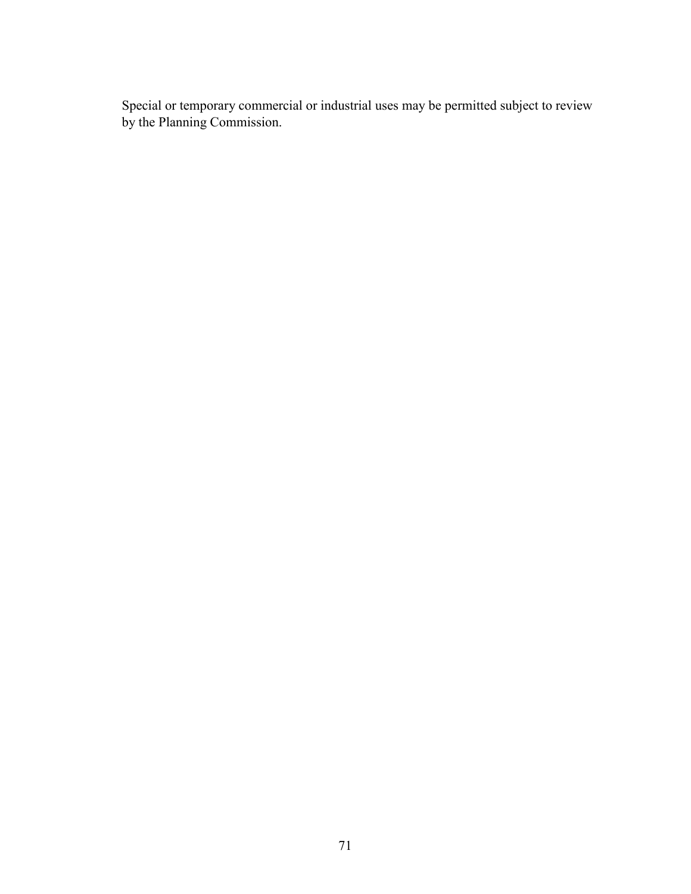Special or temporary commercial or industrial uses may be permitted subject to review by the Planning Commission.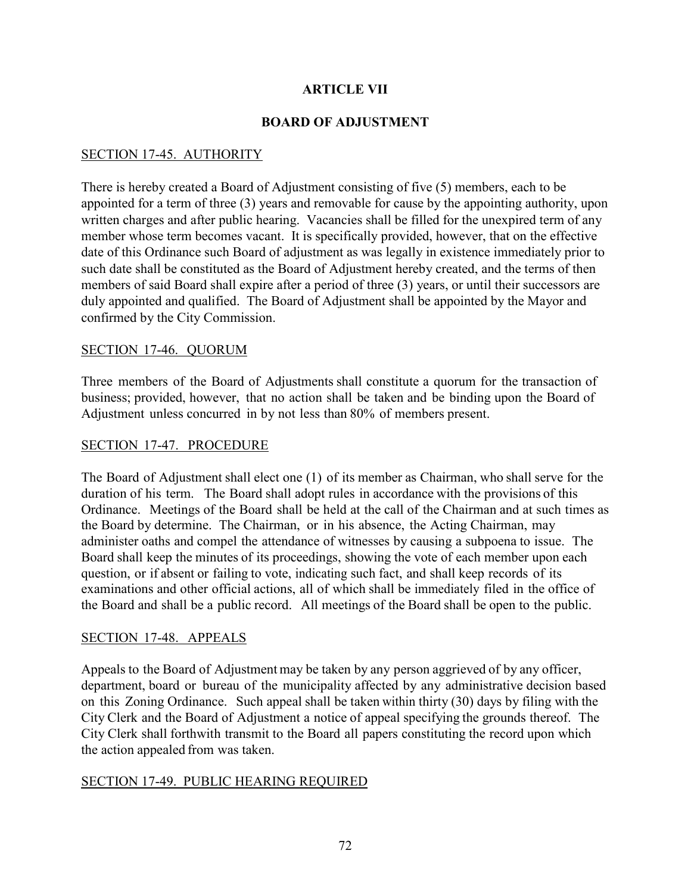## **ARTICLE VII**

### **BOARD OF ADJUSTMENT**

## SECTION 17-45. AUTHORITY

There is hereby created a Board of Adjustment consisting of five (5) members, each to be appointed for a term of three (3) years and removable for cause by the appointing authority, upon written charges and after public hearing. Vacancies shall be filled for the unexpired term of any member whose term becomes vacant. It is specifically provided, however, that on the effective date of this Ordinance such Board of adjustment as was legally in existence immediately prior to such date shall be constituted as the Board of Adjustment hereby created, and the terms of then members of said Board shall expire after a period of three (3) years, or until their successors are duly appointed and qualified. The Board of Adjustment shall be appointed by the Mayor and confirmed by the City Commission.

### SECTION 17-46. QUORUM

Three members of the Board of Adjustments shall constitute a quorum for the transaction of business; provided, however, that no action shall be taken and be binding upon the Board of Adjustment unless concurred in by not less than 80% of members present.

### SECTION 17-47. PROCEDURE

The Board of Adjustment shall elect one (1) of its member as Chairman, who shall serve for the duration of his term. The Board shall adopt rules in accordance with the provisions of this Ordinance. Meetings of the Board shall be held at the call of the Chairman and at such times as the Board by determine. The Chairman, or in his absence, the Acting Chairman, may administer oaths and compel the attendance of witnesses by causing a subpoena to issue. The Board shall keep the minutes of its proceedings, showing the vote of each member upon each question, or if absent or failing to vote, indicating such fact, and shall keep records of its examinations and other official actions, all of which shall be immediately filed in the office of the Board and shall be a public record. All meetings of the Board shall be open to the public.

#### SECTION 17-48. APPEALS

Appeals to the Board of Adjustment may be taken by any person aggrieved of by any officer, department, board or bureau of the municipality affected by any administrative decision based on this Zoning Ordinance. Such appeal shall be taken within thirty (30) days by filing with the City Clerk and the Board of Adjustment a notice of appeal specifying the grounds thereof. The City Clerk shall forthwith transmit to the Board all papers constituting the record upon which the action appealed from was taken.

#### SECTION 17-49. PUBLIC HEARING REQUIRED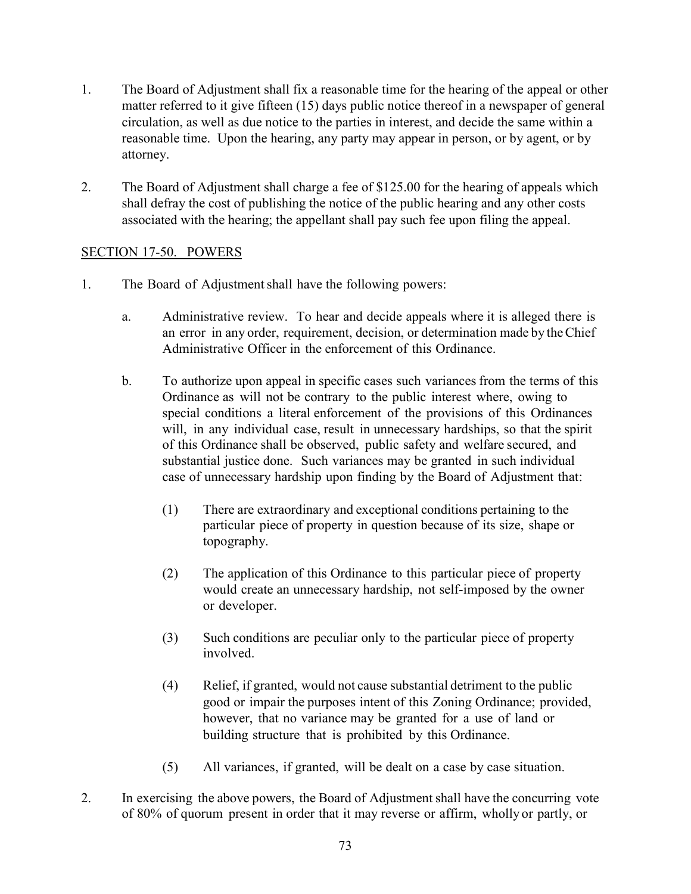- 1. The Board of Adjustment shall fix a reasonable time for the hearing of the appeal or other matter referred to it give fifteen (15) days public notice thereof in a newspaper of general circulation, as well as due notice to the parties in interest, and decide the same within a reasonable time. Upon the hearing, any party may appear in person, or by agent, or by attorney.
- 2. The Board of Adjustment shall charge a fee of \$125.00 for the hearing of appeals which shall defray the cost of publishing the notice of the public hearing and any other costs associated with the hearing; the appellant shall pay such fee upon filing the appeal.

# SECTION 17-50. POWERS

- 1. The Board of Adjustment shall have the following powers:
	- a. Administrative review. To hear and decide appeals where it is alleged there is an error in any order, requirement, decision, or determination made by theChief Administrative Officer in the enforcement of this Ordinance.
	- b. To authorize upon appeal in specific cases such variances from the terms of this Ordinance as will not be contrary to the public interest where, owing to special conditions a literal enforcement of the provisions of this Ordinances will, in any individual case, result in unnecessary hardships, so that the spirit of this Ordinance shall be observed, public safety and welfare secured, and substantial justice done. Such variances may be granted in such individual case of unnecessary hardship upon finding by the Board of Adjustment that:
		- (1) There are extraordinary and exceptional conditions pertaining to the particular piece of property in question because of its size, shape or topography.
		- (2) The application of this Ordinance to this particular piece of property would create an unnecessary hardship, not self-imposed by the owner or developer.
		- (3) Such conditions are peculiar only to the particular piece of property involved.
		- (4) Relief, if granted, would not cause substantial detriment to the public good or impair the purposes intent of this Zoning Ordinance; provided, however, that no variance may be granted for a use of land or building structure that is prohibited by this Ordinance.
		- (5) All variances, if granted, will be dealt on a case by case situation.
- 2. In exercising the above powers, the Board of Adjustment shall have the concurring vote of 80% of quorum present in order that it may reverse or affirm, wholly or partly, or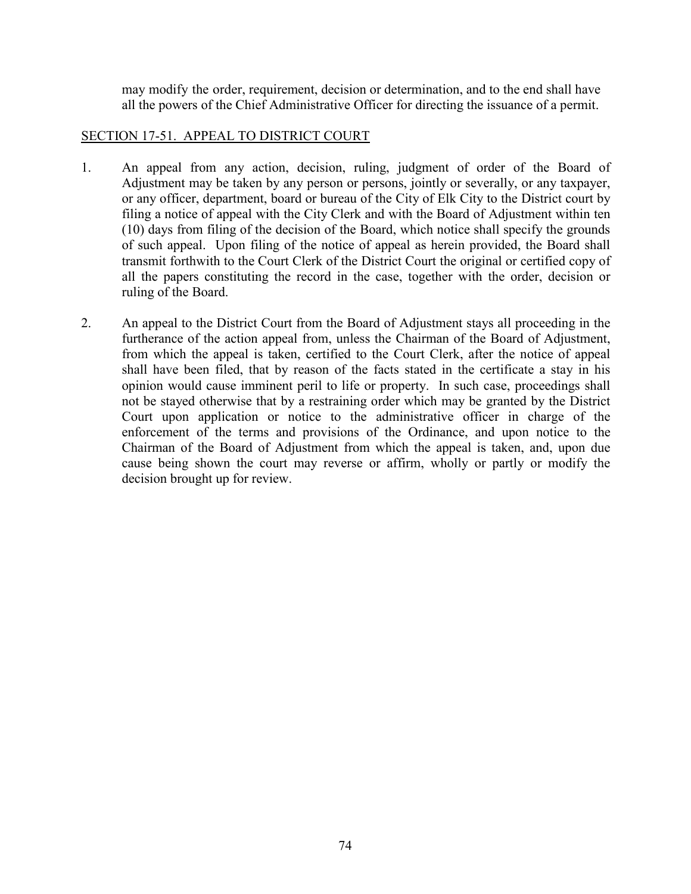may modify the order, requirement, decision or determination, and to the end shall have all the powers of the Chief Administrative Officer for directing the issuance of a permit.

# SECTION 17-51. APPEAL TO DISTRICT COURT

- 1. An appeal from any action, decision, ruling, judgment of order of the Board of Adjustment may be taken by any person or persons, jointly or severally, or any taxpayer, or any officer, department, board or bureau of the City of Elk City to the District court by filing a notice of appeal with the City Clerk and with the Board of Adjustment within ten (10) days from filing of the decision of the Board, which notice shall specify the grounds of such appeal. Upon filing of the notice of appeal as herein provided, the Board shall transmit forthwith to the Court Clerk of the District Court the original or certified copy of all the papers constituting the record in the case, together with the order, decision or ruling of the Board.
- 2. An appeal to the District Court from the Board of Adjustment stays all proceeding in the furtherance of the action appeal from, unless the Chairman of the Board of Adjustment, from which the appeal is taken, certified to the Court Clerk, after the notice of appeal shall have been filed, that by reason of the facts stated in the certificate a stay in his opinion would cause imminent peril to life or property. In such case, proceedings shall not be stayed otherwise that by a restraining order which may be granted by the District Court upon application or notice to the administrative officer in charge of the enforcement of the terms and provisions of the Ordinance, and upon notice to the Chairman of the Board of Adjustment from which the appeal is taken, and, upon due cause being shown the court may reverse or affirm, wholly or partly or modify the decision brought up for review.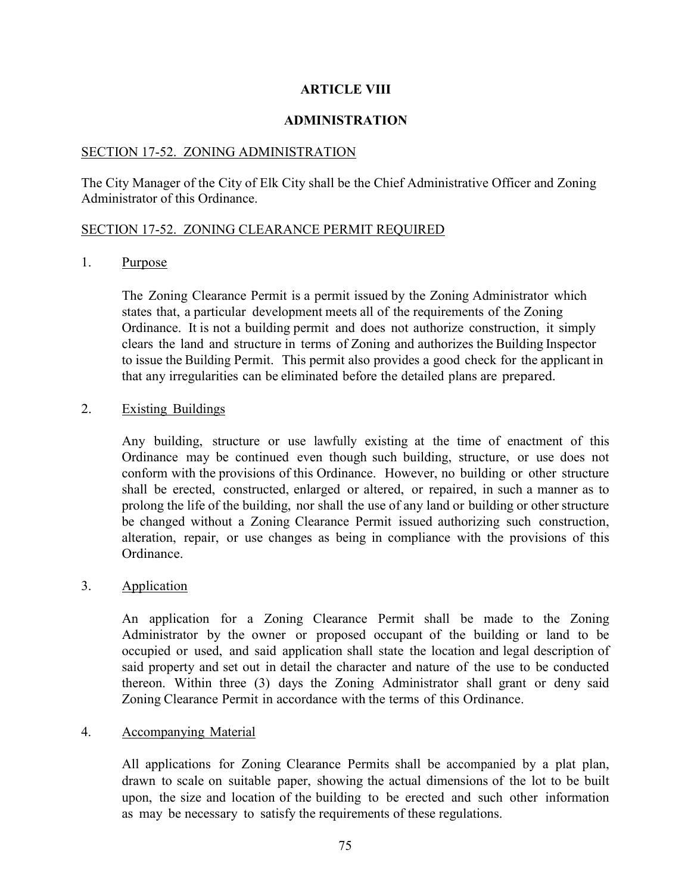## **ARTICLE VIII**

## **ADMINISTRATION**

## SECTION 17-52. ZONING ADMINISTRATION

The City Manager of the City of Elk City shall be the Chief Administrative Officer and Zoning Administrator of this Ordinance.

## SECTION 17-52. ZONING CLEARANCE PERMIT REQUIRED

1. Purpose

The Zoning Clearance Permit is a permit issued by the Zoning Administrator which states that, a particular development meets all of the requirements of the Zoning Ordinance. It is not a building permit and does not authorize construction, it simply clears the land and structure in terms of Zoning and authorizes the Building Inspector to issue the Building Permit. This permit also provides a good check for the applicant in that any irregularities can be eliminated before the detailed plans are prepared.

### 2. Existing Buildings

Any building, structure or use lawfully existing at the time of enactment of this Ordinance may be continued even though such building, structure, or use does not conform with the provisions of this Ordinance. However, no building or other structure shall be erected, constructed, enlarged or altered, or repaired, in such a manner as to prolong the life of the building, nor shall the use of any land or building or other structure be changed without a Zoning Clearance Permit issued authorizing such construction, alteration, repair, or use changes as being in compliance with the provisions of this Ordinance.

### 3. Application

An application for a Zoning Clearance Permit shall be made to the Zoning Administrator by the owner or proposed occupant of the building or land to be occupied or used, and said application shall state the location and legal description of said property and set out in detail the character and nature of the use to be conducted thereon. Within three (3) days the Zoning Administrator shall grant or deny said Zoning Clearance Permit in accordance with the terms of this Ordinance.

### 4. Accompanying Material

All applications for Zoning Clearance Permits shall be accompanied by a plat plan, drawn to scale on suitable paper, showing the actual dimensions of the lot to be built upon, the size and location of the building to be erected and such other information as may be necessary to satisfy the requirements of these regulations.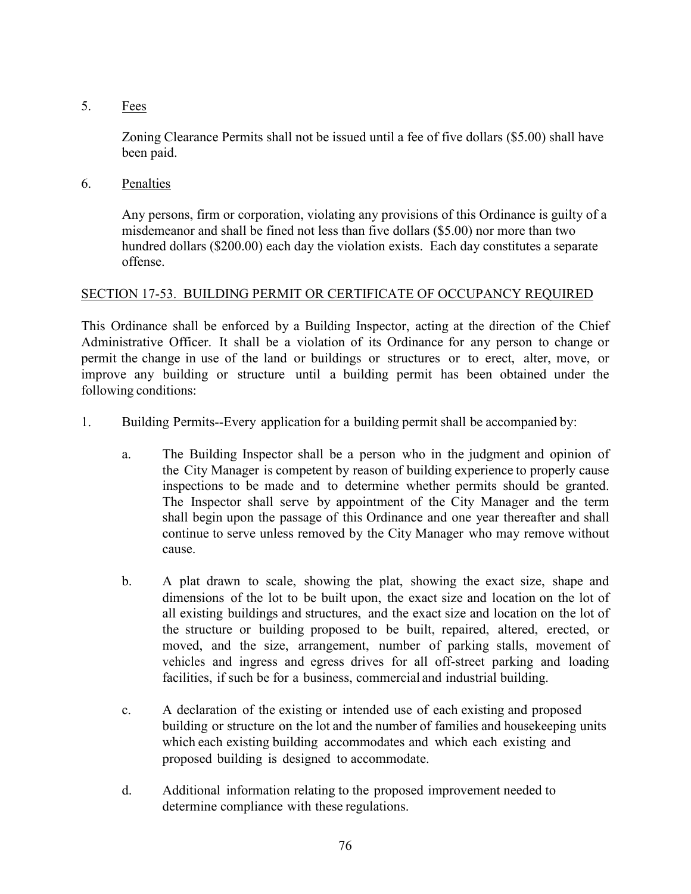5. Fees

Zoning Clearance Permits shall not be issued until a fee of five dollars (\$5.00) shall have been paid.

6. Penalties

Any persons, firm or corporation, violating any provisions of this Ordinance is guilty of a misdemeanor and shall be fined not less than five dollars (\$5.00) nor more than two hundred dollars (\$200.00) each day the violation exists. Each day constitutes a separate offense.

# SECTION 17-53. BUILDING PERMIT OR CERTIFICATE OF OCCUPANCY REQUIRED

This Ordinance shall be enforced by a Building Inspector, acting at the direction of the Chief Administrative Officer. It shall be a violation of its Ordinance for any person to change or permit the change in use of the land or buildings or structures or to erect, alter, move, or improve any building or structure until a building permit has been obtained under the following conditions:

- 1. Building Permits--Every application for a building permit shall be accompanied by:
	- a. The Building Inspector shall be a person who in the judgment and opinion of the City Manager is competent by reason of building experience to properly cause inspections to be made and to determine whether permits should be granted. The Inspector shall serve by appointment of the City Manager and the term shall begin upon the passage of this Ordinance and one year thereafter and shall continue to serve unless removed by the City Manager who may remove without cause.
	- b. A plat drawn to scale, showing the plat, showing the exact size, shape and dimensions of the lot to be built upon, the exact size and location on the lot of all existing buildings and structures, and the exact size and location on the lot of the structure or building proposed to be built, repaired, altered, erected, or moved, and the size, arrangement, number of parking stalls, movement of vehicles and ingress and egress drives for all off-street parking and loading facilities, if such be for a business, commercial and industrial building.
	- c. A declaration of the existing or intended use of each existing and proposed building or structure on the lot and the number of families and housekeeping units which each existing building accommodates and which each existing and proposed building is designed to accommodate.
	- d. Additional information relating to the proposed improvement needed to determine compliance with these regulations.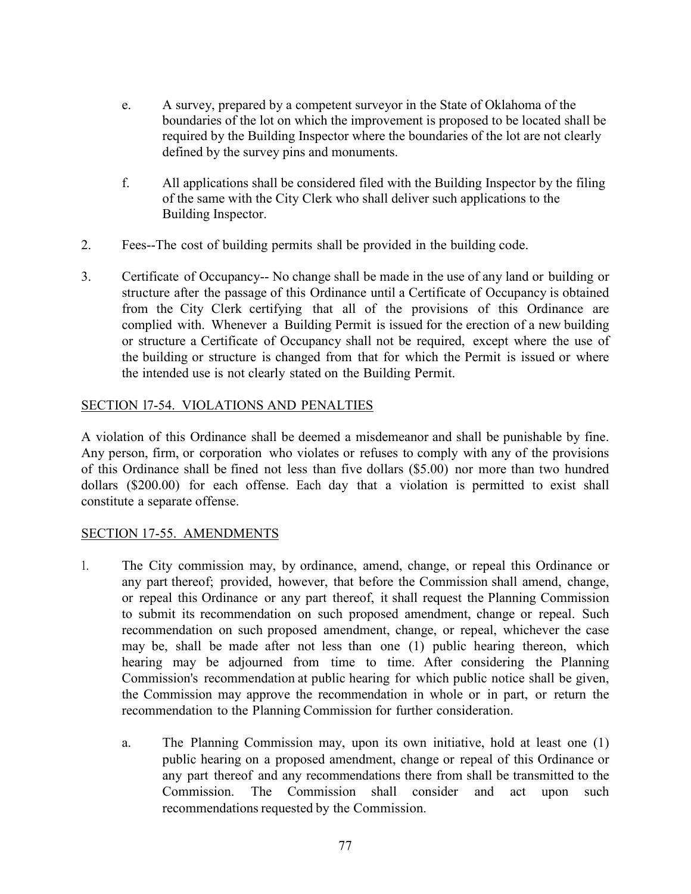- e. A survey, prepared by a competent surveyor in the State of Oklahoma of the boundaries of the lot on which the improvement is proposed to be located shall be required by the Building Inspector where the boundaries of the lot are not clearly defined by the survey pins and monuments.
- f. All applications shall be considered filed with the Building Inspector by the filing of the same with the City Clerk who shall deliver such applications to the Building Inspector.
- 2. Fees--The cost of building permits shall be provided in the building code.
- 3. Certificate of Occupancy-- No change shall be made in the use of any land or building or structure after the passage of this Ordinance until a Certificate of Occupancy is obtained from the City Clerk certifying that all of the provisions of this Ordinance are complied with. Whenever a Building Permit is issued for the erection of a new building or structure a Certificate of Occupancy shall not be required, except where the use of the building or structure is changed from that for which the Permit is issued or where the intended use is not clearly stated on the Building Permit.

# SECTION l7-54. VIOLATIONS AND PENALTIES

A violation of this Ordinance shall be deemed a misdemeanor and shall be punishable by fine. Any person, firm, or corporation who violates or refuses to comply with any of the provisions of this Ordinance shall be fined not less than five dollars (\$5.00) nor more than two hundred dollars (\$200.00) for each offense. Each day that a violation is permitted to exist shall constitute a separate offense.

### SECTION 17-55. AMENDMENTS

- 1. The City commission may, by ordinance, amend, change, or repeal this Ordinance or any part thereof; provided, however, that before the Commission shall amend, change, or repeal this Ordinance or any part thereof, it shall request the Planning Commission to submit its recommendation on such proposed amendment, change or repeal. Such recommendation on such proposed amendment, change, or repeal, whichever the case may be, shall be made after not less than one (1) public hearing thereon, which hearing may be adjourned from time to time. After considering the Planning Commission's recommendation at public hearing for which public notice shall be given, the Commission may approve the recommendation in whole or in part, or return the recommendation to the Planning Commission for further consideration.
	- a. The Planning Commission may, upon its own initiative, hold at least one (1) public hearing on a proposed amendment, change or repeal of this Ordinance or any part thereof and any recommendations there from shall be transmitted to the Commission. The Commission shall consider and act upon such recommendations requested by the Commission.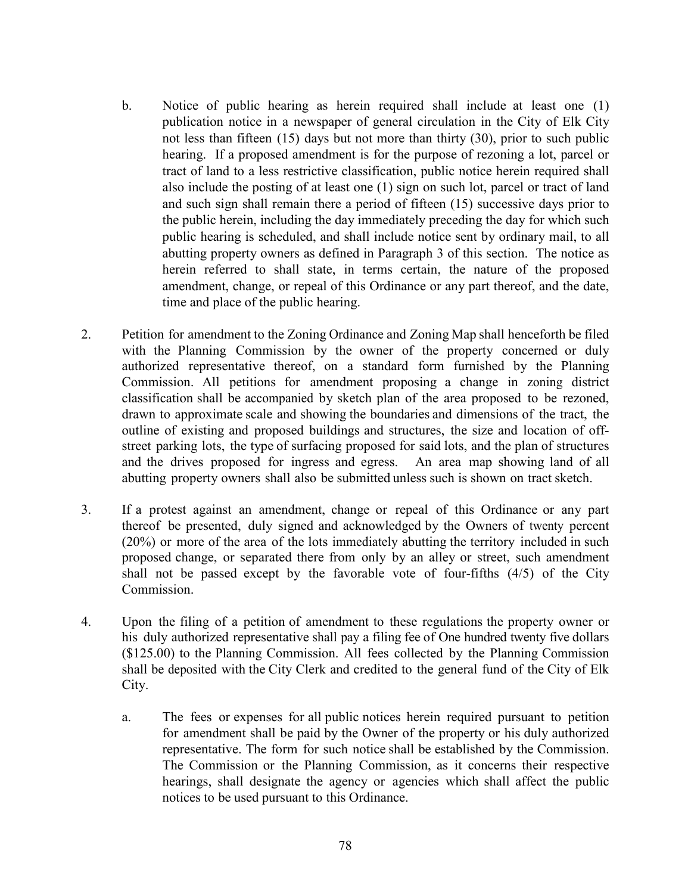- b. Notice of public hearing as herein required shall include at least one (1) publication notice in a newspaper of general circulation in the City of Elk City not less than fifteen (15) days but not more than thirty (30), prior to such public hearing. If a proposed amendment is for the purpose of rezoning a lot, parcel or tract of land to a less restrictive classification, public notice herein required shall also include the posting of at least one (1) sign on such lot, parcel or tract of land and such sign shall remain there a period of fifteen (15) successive days prior to the public herein, including the day immediately preceding the day for which such public hearing is scheduled, and shall include notice sent by ordinary mail, to all abutting property owners as defined in Paragraph 3 of this section. The notice as herein referred to shall state, in terms certain, the nature of the proposed amendment, change, or repeal of this Ordinance or any part thereof, and the date, time and place of the public hearing.
- 2. Petition for amendment to the Zoning Ordinance and Zoning Map shall henceforth be filed with the Planning Commission by the owner of the property concerned or duly authorized representative thereof, on a standard form furnished by the Planning Commission. All petitions for amendment proposing a change in zoning district classification shall be accompanied by sketch plan of the area proposed to be rezoned, drawn to approximate scale and showing the boundaries and dimensions of the tract, the outline of existing and proposed buildings and structures, the size and location of offstreet parking lots, the type of surfacing proposed for said lots, and the plan of structures and the drives proposed for ingress and egress. An area map showing land of all abutting property owners shall also be submitted unless such is shown on tract sketch.
- 3. If a protest against an amendment, change or repeal of this Ordinance or any part thereof be presented, duly signed and acknowledged by the Owners of twenty percent (20%) or more of the area of the lots immediately abutting the territory included in such proposed change, or separated there from only by an alley or street, such amendment shall not be passed except by the favorable vote of four-fifths (4/5) of the City Commission.
- 4. Upon the filing of a petition of amendment to these regulations the property owner or his duly authorized representative shall pay a filing fee of One hundred twenty five dollars (\$125.00) to the Planning Commission. All fees collected by the Planning Commission shall be deposited with the City Clerk and credited to the general fund of the City of Elk City.
	- a. The fees or expenses for all public notices herein required pursuant to petition for amendment shall be paid by the Owner of the property or his duly authorized representative. The form for such notice shall be established by the Commission. The Commission or the Planning Commission, as it concerns their respective hearings, shall designate the agency or agencies which shall affect the public notices to be used pursuant to this Ordinance.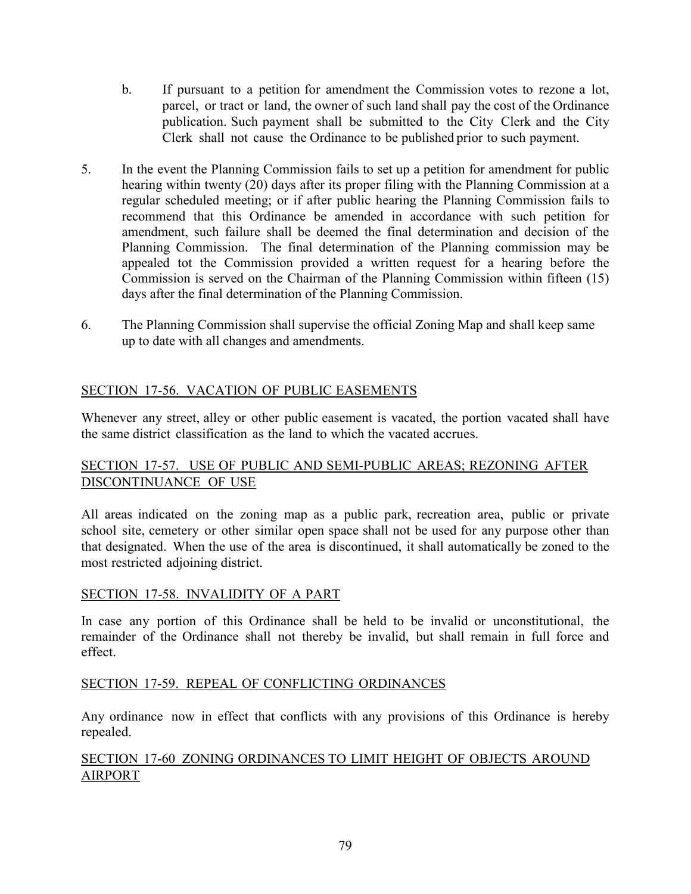- b. If pursuant to a petition for amendment the Commission votes to rezone a lot, parcel, or tract or land, the owner of such land shall pay the cost of the Ordinance publication. Such payment shall be submitted to the City Clerk and the City Clerk shall not cause the Ordinance to be published prior to such payment.
- 5. In the event the Planning Commission fails to set up a petition for amendment for public hearing within twenty (20) days after its proper filing with the Planning Commission at a regular scheduled meeting; or if after public hearing the Planning Commission fails to recommend that this Ordinance be amended in accordance with such petition for amendment, such failure shall be deemed the final determination and decision of the Planning Commission. The final determination of the Planning commission may be appealed tot the Commission provided a written request for a hearing before the Commission is served on the Chairman of the Planning Commission within fifteen (15) days after the final determination of the Planning Commission.
- 6. The Planning Commission shall supervise the official Zoning Map and shall keep same up to date with all changes and amendments.

# SECTION 17-56. VACATION OF PUBLIC EASEMENTS

Whenever any street, alley or other public easement is vacated, the portion vacated shall have the same district classification as the land to which the vacated accrues.

# SECTION 17-57. USE OF PUBLIC AND SEMI-PUBLIC AREAS; REZONING AFTER DISCONTINUANCE OF USE

All areas indicated on the zoning map as a public park, recreation area, public or private school site, cemetery or other similar open space shall not be used for any purpose other than that designated. When the use of the area is discontinued, it shall automatically be zoned to the most restricted adjoining district.

### SECTION 17-58. INVALIDITY OF A PART

In case any portion of this Ordinance shall be held to be invalid or unconstitutional, the remainder of the Ordinance shall not thereby be invalid, but shall remain in full force and effect.

## SECTION 17-59. REPEAL OF CONFLICTING ORDINANCES

Any ordinance now in effect that conflicts with any provisions of this Ordinance is hereby repealed.

## SECTION 17-60 ZONING ORDINANCES TO LIMIT HEIGHT OF OBJECTS AROUND AIRPORT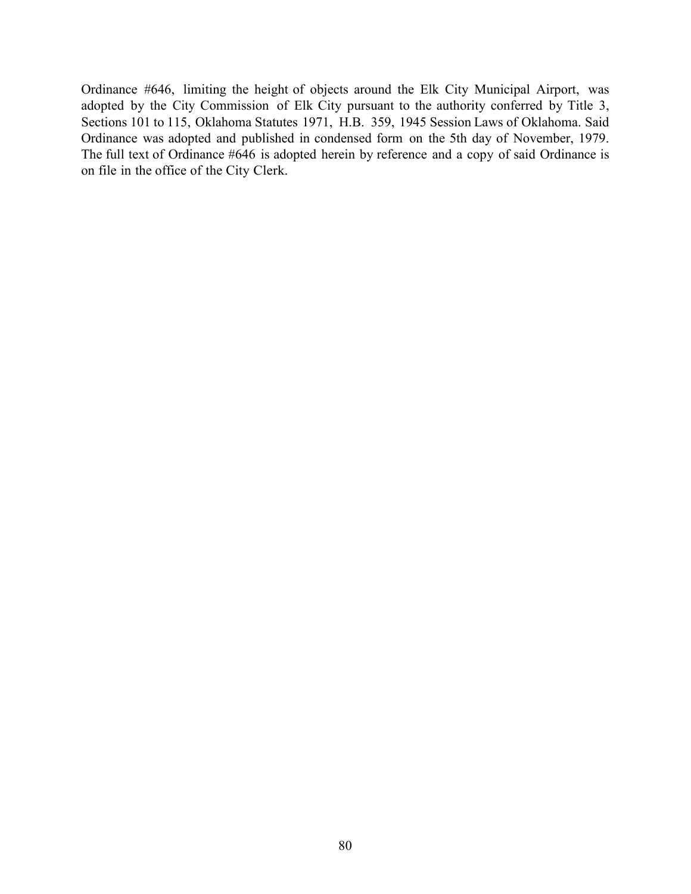Ordinance #646, limiting the height of objects around the Elk City Municipal Airport, was adopted by the City Commission of Elk City pursuant to the authority conferred by Title 3, Sections 101 to 115, Oklahoma Statutes 1971, H.B. 359, 1945 Session Laws of Oklahoma. Said Ordinance was adopted and published in condensed form on the 5th day of November, 1979. The full text of Ordinance #646 is adopted herein by reference and a copy of said Ordinance is on file in the office of the City Clerk.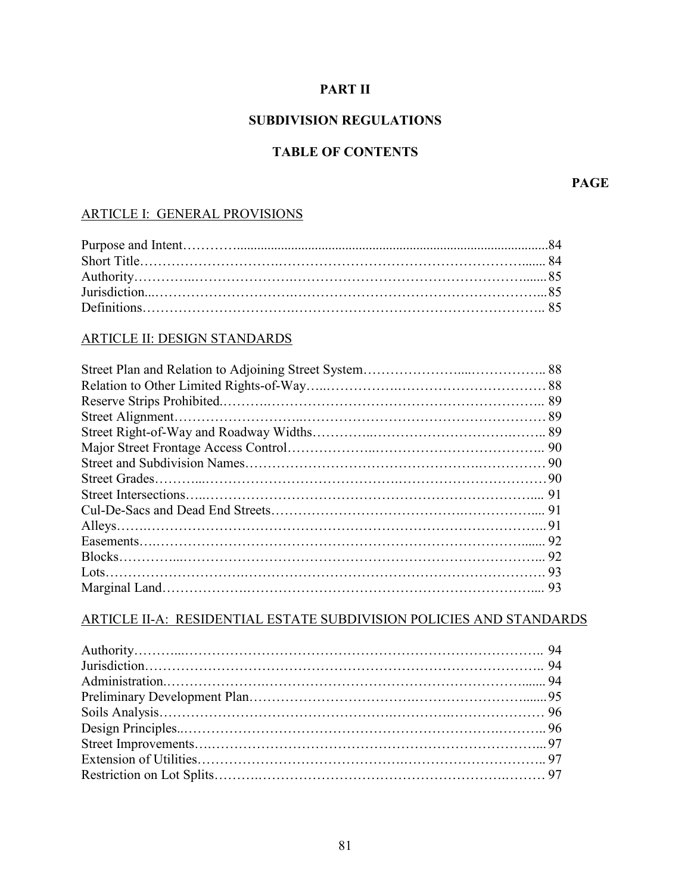# **PART II**

# **SUBDIVISION REGULATIONS**

# **TABLE OF CONTENTS**

**PAGE**

# ARTICLE I: GENERAL PROVISIONS

## ARTICLE II: DESIGN STANDARDS

## ARTICLE II-A: RESIDENTIAL ESTATE SUBDIVISION POLICIES AND STANDARDS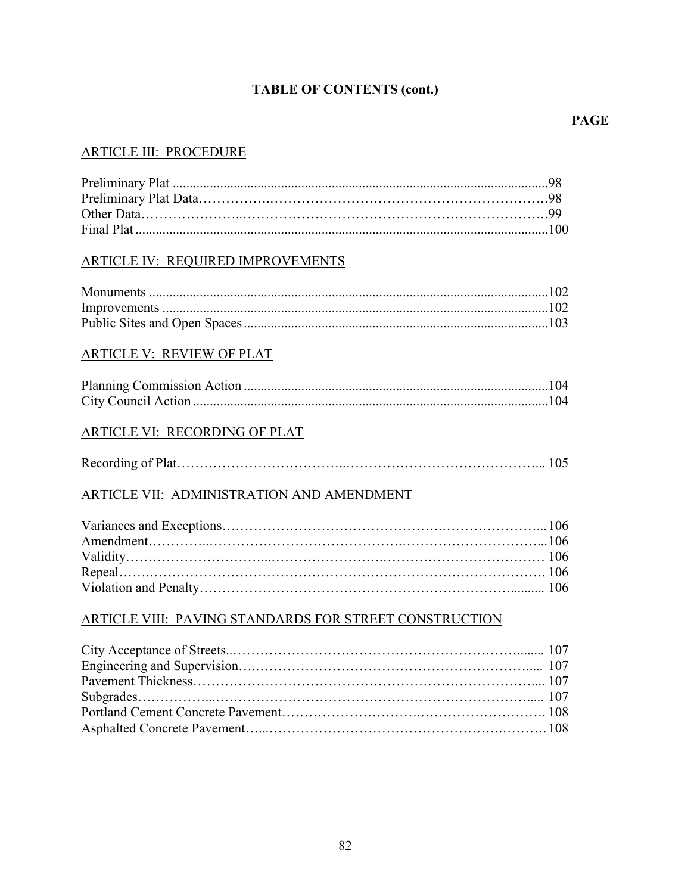# **TABLE OF CONTENTS (cont.)**

### **PAGE**

# ARTICLE III: PROCEDURE

## ARTICLE IV: REQUIRED IMPROVEMENTS

### ARTICLE V: REVIEW OF PLAT

### ARTICLE VI: RECORDING OF PLAT

# ARTICLE VII: ADMINISTRATION AND AMENDMENT

## ARTICLE VIII: PAVING STANDARDS FOR STREET CONSTRUCTION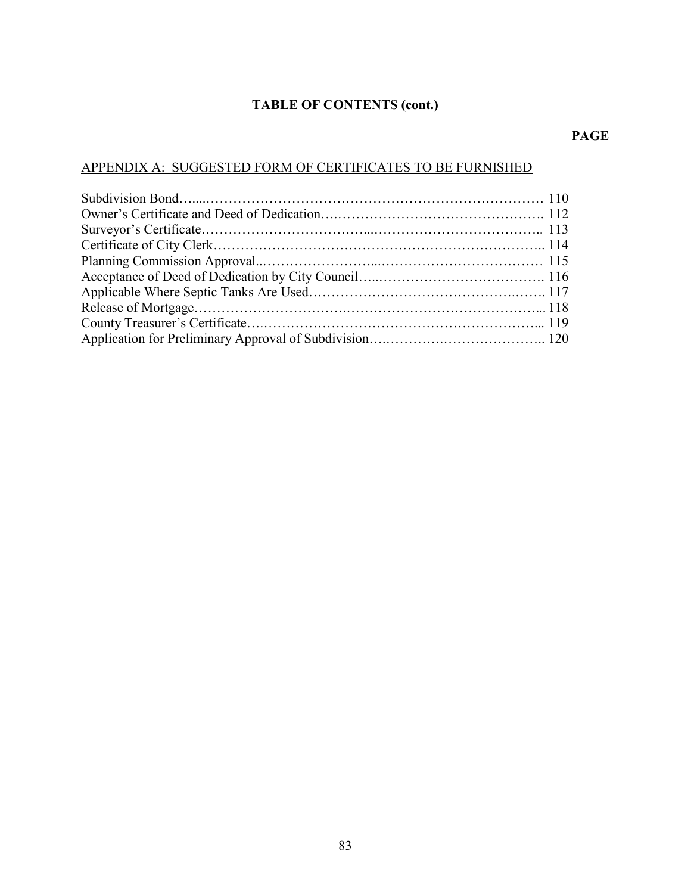# **TABLE OF CONTENTS (cont.)**

## **PAGE**

# APPENDIX A: SUGGESTED FORM OF CERTIFICATES TO BE FURNISHED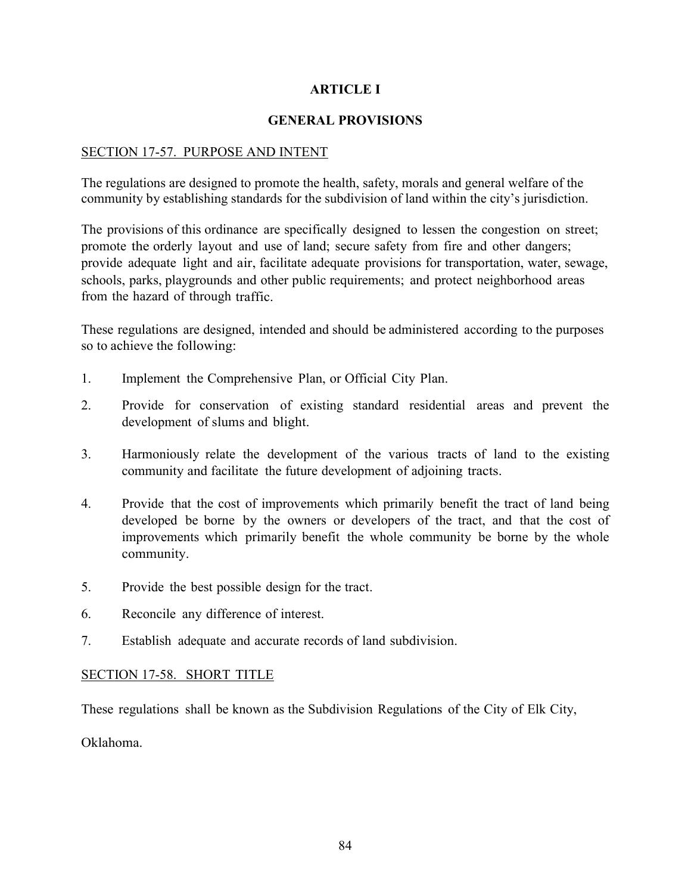# **ARTICLE I**

# **GENERAL PROVISIONS**

## SECTION 17-57. PURPOSE AND INTENT

The regulations are designed to promote the health, safety, morals and general welfare of the community by establishing standards for the subdivision of land within the city's jurisdiction.

The provisions of this ordinance are specifically designed to lessen the congestion on street; promote the orderly layout and use of land; secure safety from fire and other dangers; provide adequate light and air, facilitate adequate provisions for transportation, water, sewage, schools, parks, playgrounds and other public requirements; and protect neighborhood areas from the hazard of through traffic.

These regulations are designed, intended and should be administered according to the purposes so to achieve the following:

- 1. Implement the Comprehensive Plan, or Official City Plan.
- 2. Provide for conservation of existing standard residential areas and prevent the development of slums and blight.
- 3. Harmoniously relate the development of the various tracts of land to the existing community and facilitate the future development of adjoining tracts.
- 4. Provide that the cost of improvements which primarily benefit the tract of land being developed be borne by the owners or developers of the tract, and that the cost of improvements which primarily benefit the whole community be borne by the whole community.
- 5. Provide the best possible design for the tract.
- 6. Reconcile any difference of interest.
- 7. Establish adequate and accurate records of land subdivision.

### SECTION 17-58. SHORT TITLE

These regulations shall be known as the Subdivision Regulations of the City of Elk City,

Oklahoma.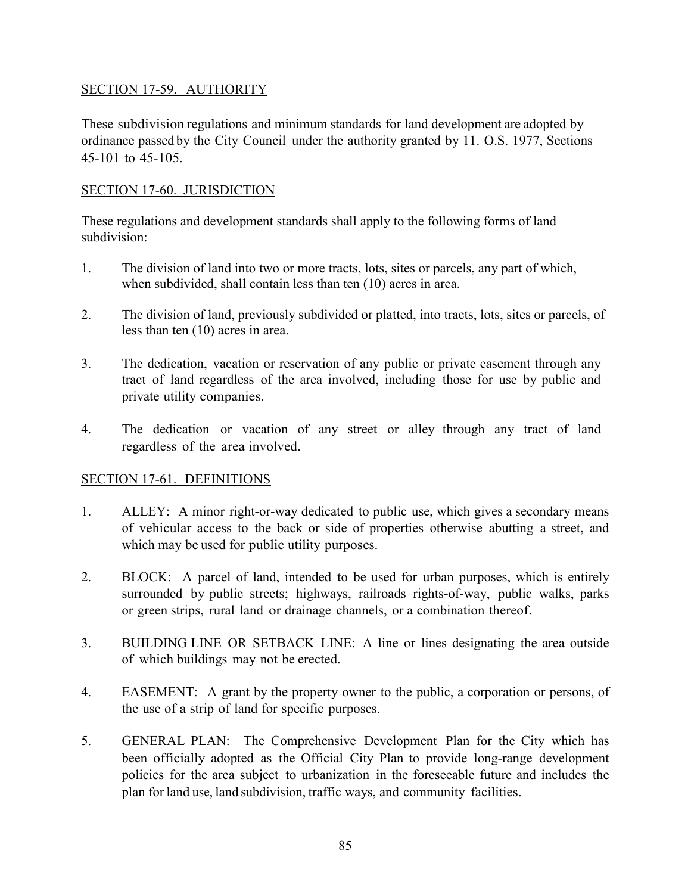# SECTION 17-59. AUTHORITY

These subdivision regulations and minimum standards for land development are adopted by ordinance passed by the City Council under the authority granted by 11. O.S. 1977, Sections 45-101 to 45-105.

# SECTION 17-60. JURISDICTION

These regulations and development standards shall apply to the following forms of land subdivision:

- 1. The division of land into two or more tracts, lots, sites or parcels, any part of which, when subdivided, shall contain less than ten (10) acres in area.
- 2. The division of land, previously subdivided or platted, into tracts, lots, sites or parcels, of less than ten (10) acres in area.
- 3. The dedication, vacation or reservation of any public or private easement through any tract of land regardless of the area involved, including those for use by public and private utility companies.
- 4. The dedication or vacation of any street or alley through any tract of land regardless of the area involved.

# SECTION 17-61. DEFINITIONS

- 1. ALLEY: A minor right-or-way dedicated to public use, which gives a secondary means of vehicular access to the back or side of properties otherwise abutting a street, and which may be used for public utility purposes.
- 2. BLOCK: A parcel of land, intended to be used for urban purposes, which is entirely surrounded by public streets; highways, railroads rights-of-way, public walks, parks or green strips, rural land or drainage channels, or a combination thereof.
- 3. BUILDING LINE OR SETBACK LINE: A line or lines designating the area outside of which buildings may not be erected.
- 4. EASEMENT: A grant by the property owner to the public, a corporation or persons, of the use of a strip of land for specific purposes.
- 5. GENERAL PLAN: The Comprehensive Development Plan for the City which has been officially adopted as the Official City Plan to provide long-range development policies for the area subject to urbanization in the foreseeable future and includes the plan for land use, land subdivision, traffic ways, and community facilities.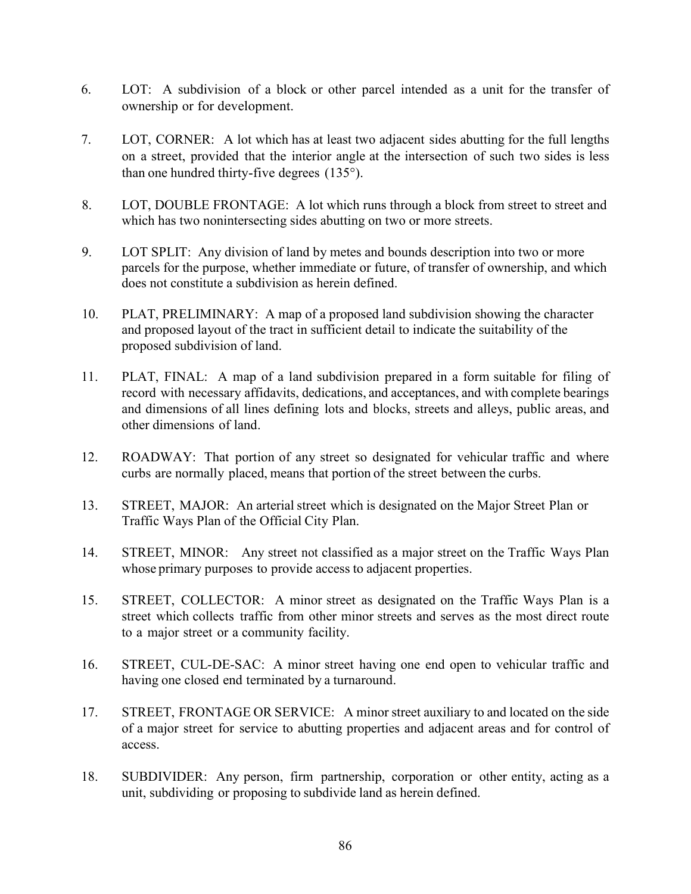- 6. LOT: A subdivision of a block or other parcel intended as a unit for the transfer of ownership or for development.
- 7. LOT, CORNER: A lot which has at least two adjacent sides abutting for the full lengths on a street, provided that the interior angle at the intersection of such two sides is less than one hundred thirty-five degrees (135°).
- 8. LOT, DOUBLE FRONTAGE: A lot which runs through a block from street to street and which has two nonintersecting sides abutting on two or more streets.
- 9. LOT SPLIT: Any division of land by metes and bounds description into two or more parcels for the purpose, whether immediate or future, of transfer of ownership, and which does not constitute a subdivision as herein defined.
- 10. PLAT, PRELIMINARY: A map of a proposed land subdivision showing the character and proposed layout of the tract in sufficient detail to indicate the suitability of the proposed subdivision of land.
- 11. PLAT, FINAL: A map of a land subdivision prepared in a form suitable for filing of record with necessary affidavits, dedications, and acceptances, and with complete bearings and dimensions of all lines defining lots and blocks, streets and alleys, public areas, and other dimensions of land.
- 12. ROADWAY: That portion of any street so designated for vehicular traffic and where curbs are normally placed, means that portion of the street between the curbs.
- 13. STREET, MAJOR: An arterial street which is designated on the Major Street Plan or Traffic Ways Plan of the Official City Plan.
- 14. STREET, MINOR: Any street not classified as a major street on the Traffic Ways Plan whose primary purposes to provide access to adjacent properties.
- 15. STREET, COLLECTOR: A minor street as designated on the Traffic Ways Plan is a street which collects traffic from other minor streets and serves as the most direct route to a major street or a community facility.
- 16. STREET, CUL-DE-SAC: A minor street having one end open to vehicular traffic and having one closed end terminated by a turnaround.
- 17. STREET, FRONTAGE OR SERVICE: A minor street auxiliary to and located on the side of a major street for service to abutting properties and adjacent areas and for control of access.
- 18. SUBDIVIDER: Any person, firm partnership, corporation or other entity, acting as a unit, subdividing or proposing to subdivide land as herein defined.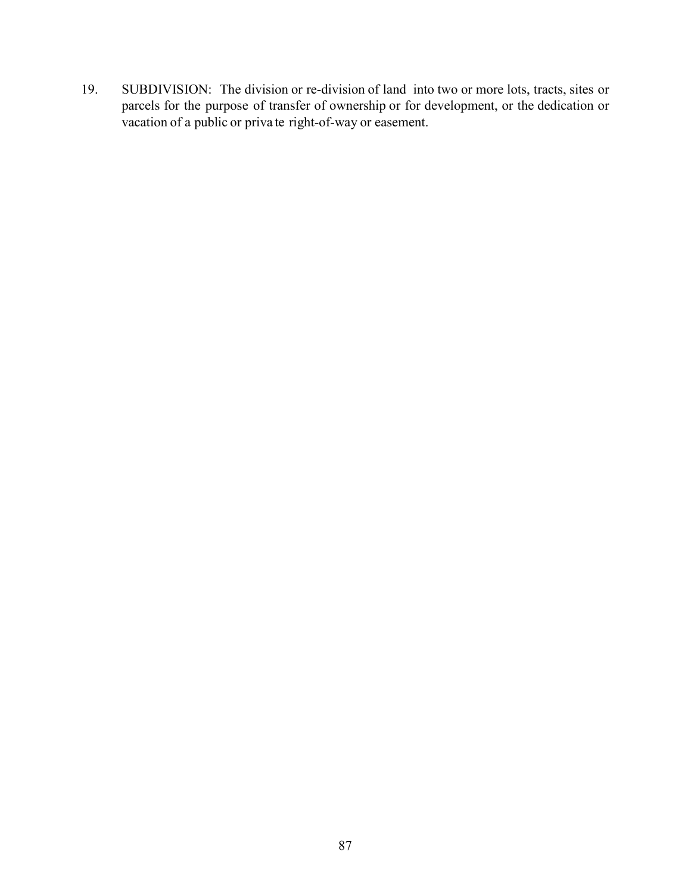19. SUBDIVISION: The division or re-division of land into two or more lots, tracts, sites or parcels for the purpose of transfer of ownership or for development, or the dedication or vacation of a public or priva te right-of-way or easement.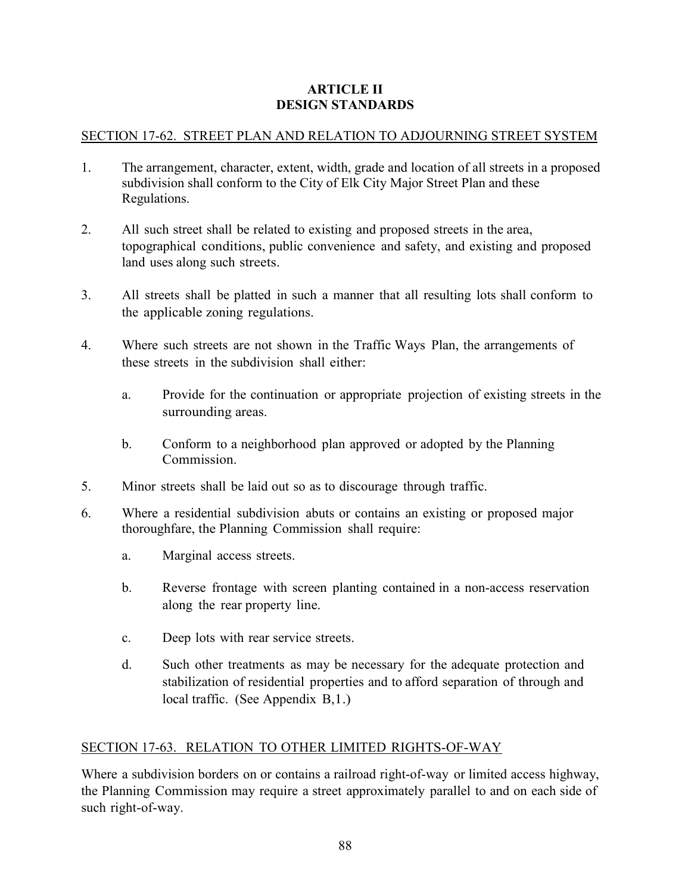# **ARTICLE II DESIGN STANDARDS**

# SECTION 17-62. STREET PLAN AND RELATION TO ADJOURNING STREET SYSTEM

- 1. The arrangement, character, extent, width, grade and location of all streets in a proposed subdivision shall conform to the City of Elk City Major Street Plan and these Regulations.
- 2. All such street shall be related to existing and proposed streets in the area, topographical conditions, public convenience and safety, and existing and proposed land uses along such streets.
- 3. All streets shall be platted in such a manner that all resulting lots shall conform to the applicable zoning regulations.
- 4. Where such streets are not shown in the Traffic Ways Plan, the arrangements of these streets in the subdivision shall either:
	- a. Provide for the continuation or appropriate projection of existing streets in the surrounding areas.
	- b. Conform to a neighborhood plan approved or adopted by the Planning Commission.
- 5. Minor streets shall be laid out so as to discourage through traffic.
- 6. Where a residential subdivision abuts or contains an existing or proposed major thoroughfare, the Planning Commission shall require:
	- a. Marginal access streets.
	- b. Reverse frontage with screen planting contained in a non-access reservation along the rear property line.
	- c. Deep lots with rear service streets.
	- d. Such other treatments as may be necessary for the adequate protection and stabilization of residential properties and to afford separation of through and local traffic. (See Appendix B,1.)

# SECTION 17-63. RELATION TO OTHER LIMITED RIGHTS-OF-WAY

Where a subdivision borders on or contains a railroad right-of-way or limited access highway, the Planning Commission may require a street approximately parallel to and on each side of such right-of-way.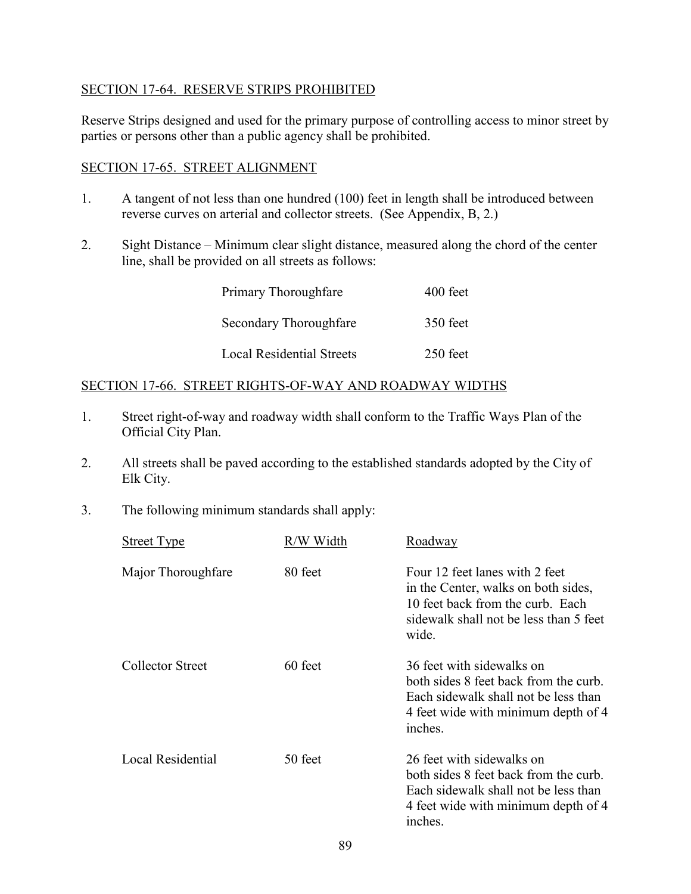## SECTION 17-64. RESERVE STRIPS PROHIBITED

Reserve Strips designed and used for the primary purpose of controlling access to minor street by parties or persons other than a public agency shall be prohibited.

## SECTION 17-65. STREET ALIGNMENT

- 1. A tangent of not less than one hundred (100) feet in length shall be introduced between reverse curves on arterial and collector streets. (See Appendix, B, 2.)
- 2. Sight Distance Minimum clear slight distance, measured along the chord of the center line, shall be provided on all streets as follows:

| Primary Thoroughfare             | 400 feet |
|----------------------------------|----------|
| Secondary Thoroughfare           | 350 feet |
| <b>Local Residential Streets</b> | 250 feet |

## SECTION 17-66. STREET RIGHTS-OF-WAY AND ROADWAY WIDTHS

- 1. Street right-of-way and roadway width shall conform to the Traffic Ways Plan of the Official City Plan.
- 2. All streets shall be paved according to the established standards adopted by the City of Elk City.
- 3. The following minimum standards shall apply:

| <b>Street Type</b> | R/W Width | Roadway                                                                                                                                                      |
|--------------------|-----------|--------------------------------------------------------------------------------------------------------------------------------------------------------------|
| Major Thoroughfare | 80 feet   | Four 12 feet lanes with 2 feet<br>in the Center, walks on both sides,<br>10 feet back from the curb. Each<br>sidewalk shall not be less than 5 feet<br>wide. |
| Collector Street   | 60 feet   | 36 feet with sidewalks on<br>both sides 8 feet back from the curb.<br>Each sidewalk shall not be less than<br>4 feet wide with minimum depth of 4<br>inches. |
| Local Residential  | 50 feet   | 26 feet with sidewalks on<br>both sides 8 feet back from the curb.<br>Each sidewalk shall not be less than<br>4 feet wide with minimum depth of 4<br>inches. |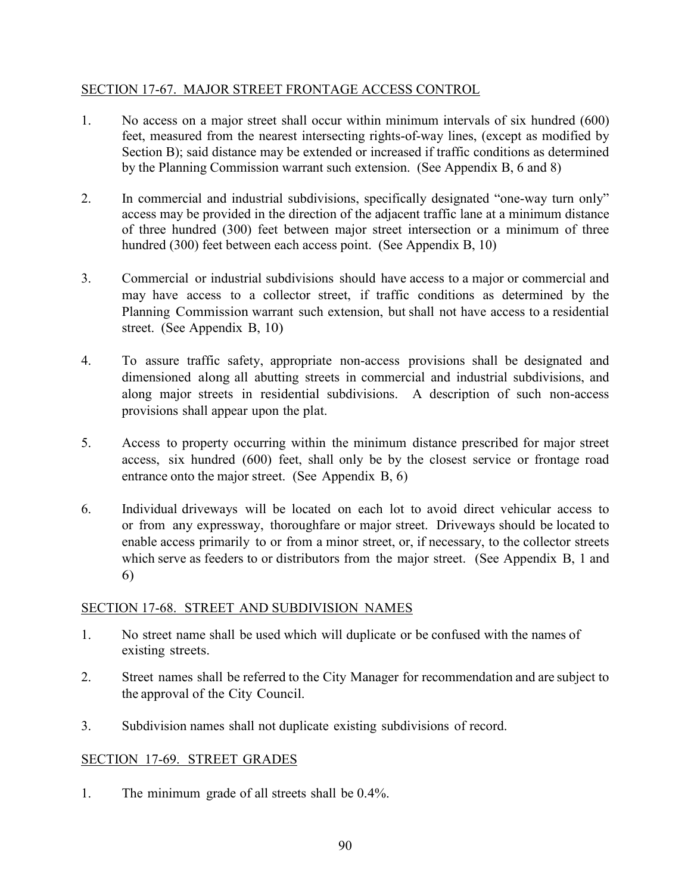# SECTION 17-67. MAJOR STREET FRONTAGE ACCESS CONTROL

- 1. No access on a major street shall occur within minimum intervals of six hundred (600) feet, measured from the nearest intersecting rights-of-way lines, (except as modified by Section B); said distance may be extended or increased if traffic conditions as determined by the Planning Commission warrant such extension. (See Appendix B, 6 and 8)
- 2. In commercial and industrial subdivisions, specifically designated "one-way turn only" access may be provided in the direction of the adjacent traffic lane at a minimum distance of three hundred (300) feet between major street intersection or a minimum of three hundred (300) feet between each access point. (See Appendix B, 10)
- 3. Commercial or industrial subdivisions should have access to a major or commercial and may have access to a collector street, if traffic conditions as determined by the Planning Commission warrant such extension, but shall not have access to a residential street. (See Appendix B, 10)
- 4. To assure traffic safety, appropriate non-access provisions shall be designated and dimensioned along all abutting streets in commercial and industrial subdivisions, and along major streets in residential subdivisions. A description of such non-access provisions shall appear upon the plat.
- 5. Access to property occurring within the minimum distance prescribed for major street access, six hundred (600) feet, shall only be by the closest service or frontage road entrance onto the major street. (See Appendix B, 6)
- 6. Individual driveways will be located on each lot to avoid direct vehicular access to or from any expressway, thoroughfare or major street. Driveways should be located to enable access primarily to or from a minor street, or, if necessary, to the collector streets which serve as feeders to or distributors from the major street. (See Appendix B, 1 and 6)

# SECTION 17-68. STREET AND SUBDIVISION NAMES

- 1. No street name shall be used which will duplicate or be confused with the names of existing streets.
- 2. Street names shall be referred to the City Manager for recommendation and are subject to the approval of the City Council.
- 3. Subdivision names shall not duplicate existing subdivisions of record.

# SECTION 17-69. STREET GRADES

1. The minimum grade of all streets shall be 0.4%.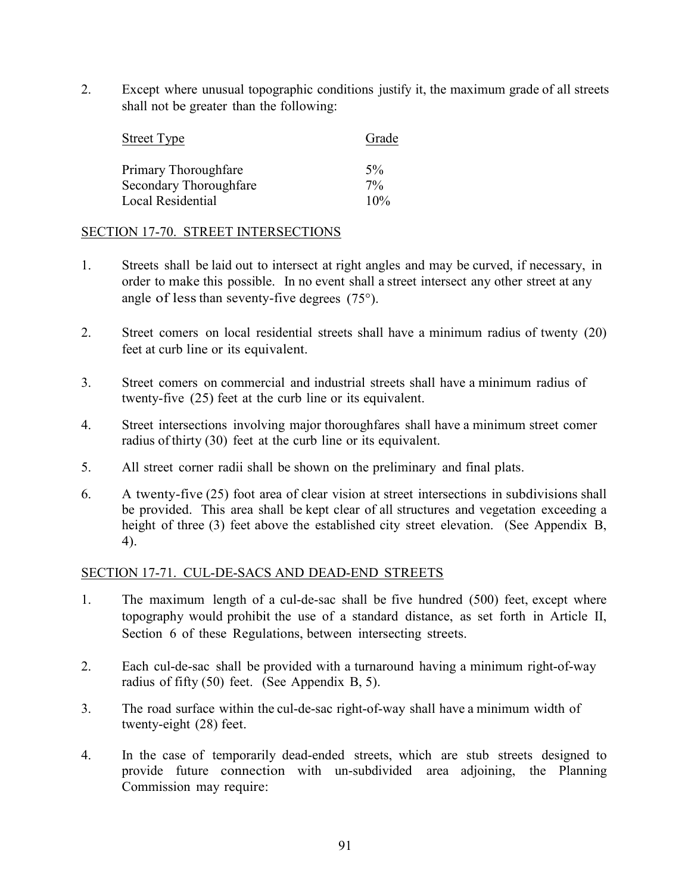2. Except where unusual topographic conditions justify it, the maximum grade of all streets shall not be greater than the following:

| <b>Street Type</b>     | Grade |
|------------------------|-------|
| Primary Thoroughfare   | $5\%$ |
| Secondary Thoroughfare | $7\%$ |
| Local Residential      | 10%   |

## SECTION 17-70. STREET INTERSECTIONS

- 1. Streets shall be laid out to intersect at right angles and may be curved, if necessary, in order to make this possible. In no event shall a street intersect any other street at any angle of less than seventy-five degrees  $(75^{\circ})$ .
- 2. Street comers on local residential streets shall have a minimum radius of twenty (20) feet at curb line or its equivalent.
- 3. Street comers on commercial and industrial streets shall have a minimum radius of twenty-five (25) feet at the curb line or its equivalent.
- 4. Street intersections involving major thoroughfares shall have a minimum street comer radius of thirty (30) feet at the curb line or its equivalent.
- 5. All street corner radii shall be shown on the preliminary and final plats.
- 6. A twenty-five (25) foot area of clear vision at street intersections in subdivisions shall be provided. This area shall be kept clear of all structures and vegetation exceeding a height of three (3) feet above the established city street elevation. (See Appendix B, 4).

### SECTION 17-71. CUL-DE-SACS AND DEAD-END STREETS

- 1. The maximum length of a cul-de-sac shall be five hundred (500) feet, except where topography would prohibit the use of a standard distance, as set forth in Article II, Section 6 of these Regulations, between intersecting streets.
- 2. Each cul-de-sac shall be provided with a turnaround having a minimum right-of-way radius of fifty (50) feet. (See Appendix B, 5).
- 3. The road surface within the cul-de-sac right-of-way shall have a minimum width of twenty-eight (28) feet.
- 4. In the case of temporarily dead-ended streets, which are stub streets designed to provide future connection with un-subdivided area adjoining, the Planning Commission may require: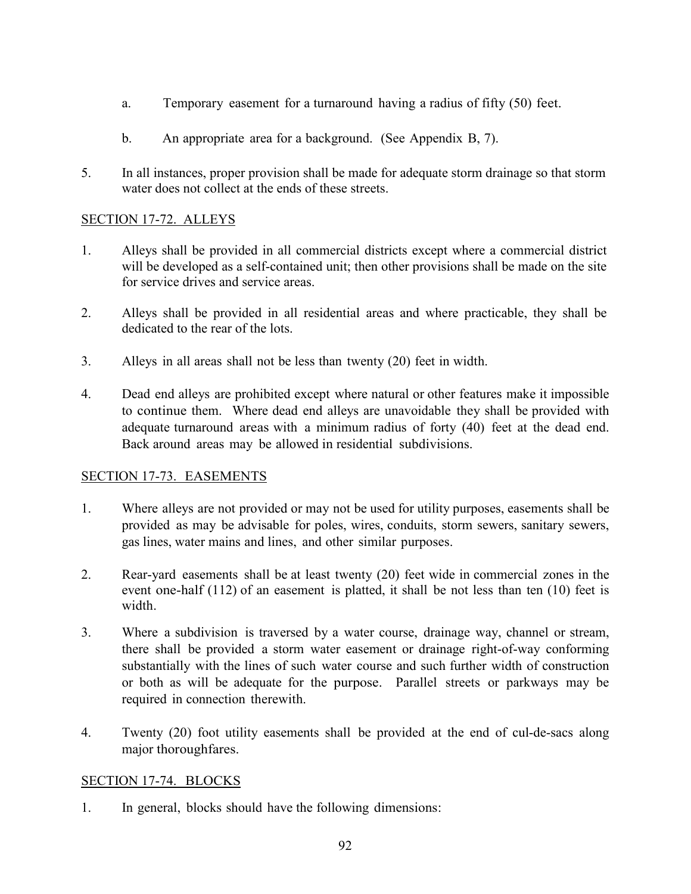- a. Temporary easement for a turnaround having a radius of fifty (50) feet.
- b. An appropriate area for a background. (See Appendix B, 7).
- 5. In all instances, proper provision shall be made for adequate storm drainage so that storm water does not collect at the ends of these streets.

# SECTION 17-72. ALLEYS

- 1. Alleys shall be provided in all commercial districts except where a commercial district will be developed as a self-contained unit; then other provisions shall be made on the site for service drives and service areas.
- 2. Alleys shall be provided in all residential areas and where practicable, they shall be dedicated to the rear of the lots.
- 3. Alleys in all areas shall not be less than twenty (20) feet in width.
- 4. Dead end alleys are prohibited except where natural or other features make it impossible to continue them. Where dead end alleys are unavoidable they shall be provided with adequate turnaround areas with a minimum radius of forty (40) feet at the dead end. Back around areas may be allowed in residential subdivisions.

# SECTION 17-73. EASEMENTS

- 1. Where alleys are not provided or may not be used for utility purposes, easements shall be provided as may be advisable for poles, wires, conduits, storm sewers, sanitary sewers, gas lines, water mains and lines, and other similar purposes.
- 2. Rear-yard easements shall be at least twenty (20) feet wide in commercial zones in the event one-half (112) of an easement is platted, it shall be not less than ten (10) feet is width.
- 3. Where a subdivision is traversed by a water course, drainage way, channel or stream, there shall be provided a storm water easement or drainage right-of-way conforming substantially with the lines of such water course and such further width of construction or both as will be adequate for the purpose. Parallel streets or parkways may be required in connection therewith.
- 4. Twenty (20) foot utility easements shall be provided at the end of cul-de-sacs along major thoroughfares.

# SECTION 17-74. BLOCKS

1. In general, blocks should have the following dimensions: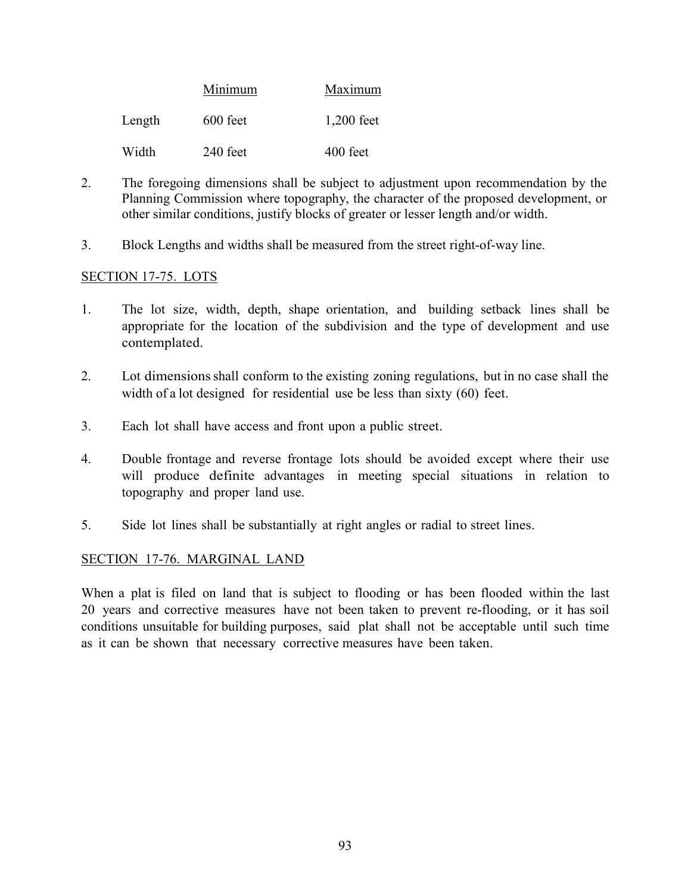|        | Minimum    | Maximum      |  |
|--------|------------|--------------|--|
| Length | $600$ feet | $1,200$ feet |  |
| Width  | 240 feet   | $400$ feet   |  |

- 2. The foregoing dimensions shall be subject to adjustment upon recommendation by the Planning Commission where topography, the character of the proposed development, or other similar conditions, justify blocks of greater or lesser length and/or width.
- 3. Block Lengths and widths shall be measured from the street right-of-way line.

### SECTION 17-75. LOTS

- 1. The lot size, width, depth, shape orientation, and building setback lines shall be appropriate for the location of the subdivision and the type of development and use contemplated.
- 2. Lot dimensionsshall conform to the existing zoning regulations, but in no case shall the width of a lot designed for residential use be less than sixty (60) feet.
- 3. Each lot shall have access and front upon a public street.
- 4. Double frontage and reverse frontage lots should be avoided except where their use will produce definite advantages in meeting special situations in relation to topography and proper land use.
- 5. Side lot lines shall be substantially at right angles or radial to street lines.

### SECTION 17-76. MARGINAL LAND

When a plat is filed on land that is subject to flooding or has been flooded within the last 20 years and corrective measures have not been taken to prevent re-flooding, or it has soil conditions unsuitable for building purposes, said plat shall not be acceptable until such time as it can be shown that necessary corrective measures have been taken.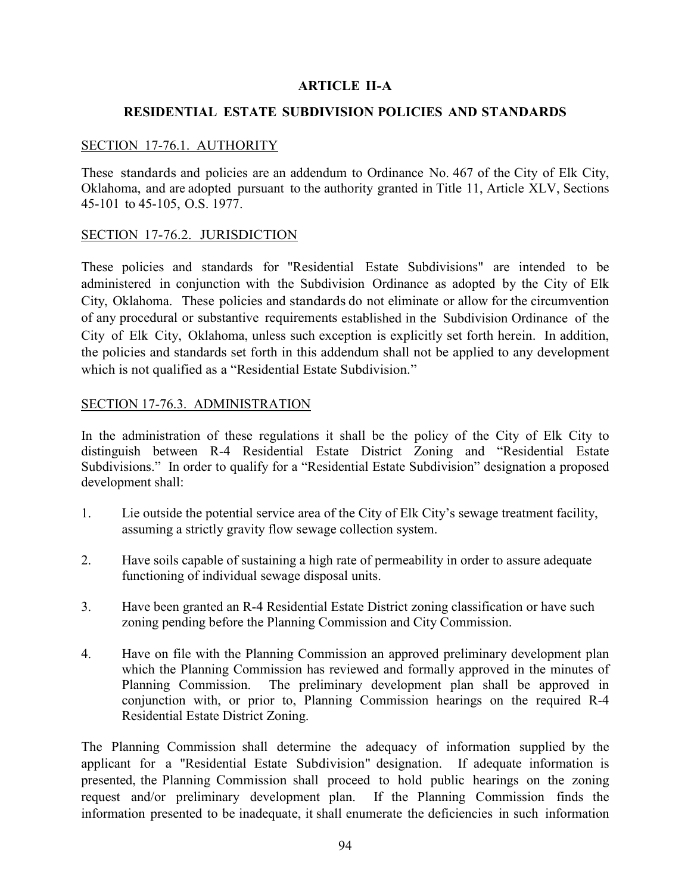### **ARTICLE II-A**

#### **RESIDENTIAL ESTATE SUBDIVISION POLICIES AND STANDARDS**

### SECTION 17-76.1. AUTHORITY

These standards and policies are an addendum to Ordinance No. 467 of the City of Elk City, Oklahoma, and are adopted pursuant to the authority granted in Title 11, Article XLV, Sections 45-101 to 45-105, O.S. 1977.

#### SECTION 17-76.2. JURISDICTION

These policies and standards for "Residential Estate Subdivisions" are intended to be administered in conjunction with the Subdivision Ordinance as adopted by the City of Elk City, Oklahoma. These policies and standards do not eliminate or allow for the circumvention of any procedural or substantive requirements established in the Subdivision Ordinance of the City of Elk City, Oklahoma, unless such exception is explicitly set forth herein. In addition, the policies and standards set forth in this addendum shall not be applied to any development which is not qualified as a "Residential Estate Subdivision."

### SECTION 17-76.3. ADMINISTRATION

In the administration of these regulations it shall be the policy of the City of Elk City to distinguish between R-4 Residential Estate District Zoning and "Residential Estate Subdivisions." In order to qualify for a "Residential Estate Subdivision" designation a proposed development shall:

- 1. Lie outside the potential service area of the City of Elk City's sewage treatment facility, assuming a strictly gravity flow sewage collection system.
- 2. Have soils capable of sustaining a high rate of permeability in order to assure adequate functioning of individual sewage disposal units.
- 3. Have been granted an R-4 Residential Estate District zoning classification or have such zoning pending before the Planning Commission and City Commission.
- 4. Have on file with the Planning Commission an approved preliminary development plan which the Planning Commission has reviewed and formally approved in the minutes of Planning Commission. The preliminary development plan shall be approved in conjunction with, or prior to, Planning Commission hearings on the required R-4 Residential Estate District Zoning.

The Planning Commission shall determine the adequacy of information supplied by the applicant for a "Residential Estate Subdivision" designation. If adequate information is presented, the Planning Commission shall proceed to hold public hearings on the zoning request and/or preliminary development plan. If the Planning Commission finds the information presented to be inadequate, it shall enumerate the deficiencies in such information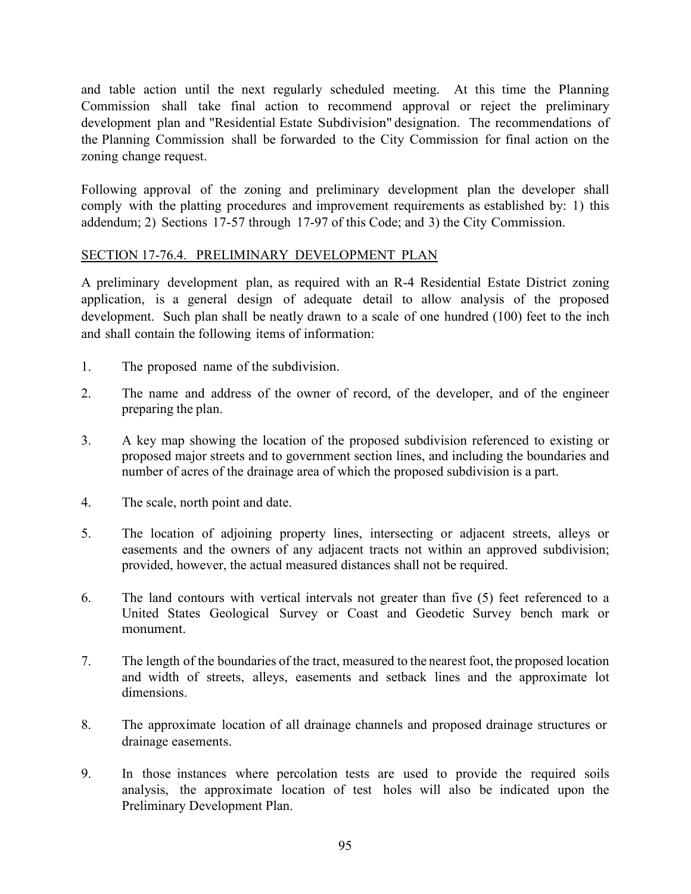and table action until the next regularly scheduled meeting. At this time the Planning Commission shall take final action to recommend approval or reject the preliminary development plan and "Residential Estate Subdivision" designation. The recommendations of the Planning Commission shall be forwarded to the City Commission for final action on the zoning change request.

Following approval of the zoning and preliminary development plan the developer shall comply with the platting procedures and improvement requirements as established by: 1) this addendum; 2) Sections 17-57 through 17-97 of this Code; and 3) the City Commission.

# SECTION 17-76.4. PRELIMINARY DEVELOPMENT PLAN

A preliminary development plan, as required with an R-4 Residential Estate District zoning application, is a general design of adequate detail to allow analysis of the proposed development. Such plan shall be neatly drawn to a scale of one hundred (100) feet to the inch and shall contain the following items of information:

- 1. The proposed name of the subdivision.
- 2. The name and address of the owner of record, of the developer, and of the engineer preparing the plan.
- 3. A key map showing the location of the proposed subdivision referenced to existing or proposed major streets and to government section lines, and including the boundaries and number of acres of the drainage area of which the proposed subdivision is a part.
- 4. The scale, north point and date.
- 5. The location of adjoining property lines, intersecting or adjacent streets, alleys or easements and the owners of any adjacent tracts not within an approved subdivision; provided, however, the actual measured distances shall not be required.
- 6. The land contours with vertical intervals not greater than five (5) feet referenced to a United States Geological Survey or Coast and Geodetic Survey bench mark or monument.
- 7. The length of the boundaries of the tract, measured to the nearest foot, the proposed location and width of streets, alleys, easements and setback lines and the approximate lot dimensions.
- 8. The approximate location of all drainage channels and proposed drainage structures or drainage easements.
- 9. In those instances where percolation tests are used to provide the required soils analysis, the approximate location of test holes will also be indicated upon the Preliminary Development Plan.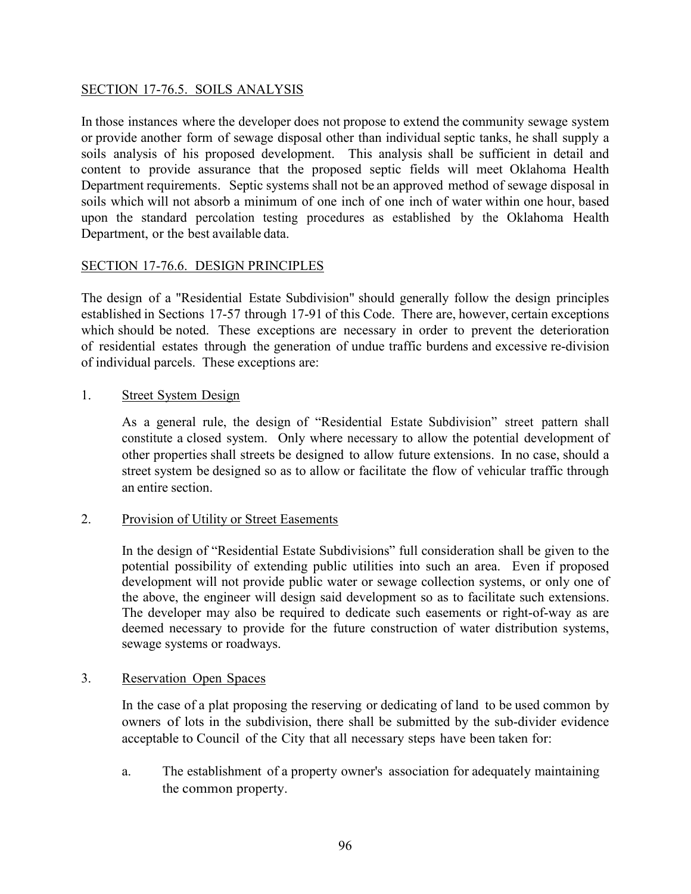# SECTION 17-76.5. SOILS ANALYSIS

In those instances where the developer does not propose to extend the community sewage system or provide another form of sewage disposal other than individual septic tanks, he shall supply a soils analysis of his proposed development. This analysis shall be sufficient in detail and content to provide assurance that the proposed septic fields will meet Oklahoma Health Department requirements. Septic systems shall not be an approved method of sewage disposal in soils which will not absorb a minimum of one inch of one inch of water within one hour, based upon the standard percolation testing procedures as established by the Oklahoma Health Department, or the best available data.

## SECTION 17-76.6. DESIGN PRINCIPLES

The design of a "Residential Estate Subdivision" should generally follow the design principles established in Sections 17-57 through 17-91 of this Code. There are, however, certain exceptions which should be noted. These exceptions are necessary in order to prevent the deterioration of residential estates through the generation of undue traffic burdens and excessive re-division of individual parcels. These exceptions are:

## 1. Street System Design

As a general rule, the design of "Residential Estate Subdivision" street pattern shall constitute a closed system. Only where necessary to allow the potential development of other properties shall streets be designed to allow future extensions. In no case, should a street system be designed so as to allow or facilitate the flow of vehicular traffic through an entire section.

### 2. Provision of Utility or Street Easements

In the design of "Residential Estate Subdivisions" full consideration shall be given to the potential possibility of extending public utilities into such an area. Even if proposed development will not provide public water or sewage collection systems, or only one of the above, the engineer will design said development so as to facilitate such extensions. The developer may also be required to dedicate such easements or right-of-way as are deemed necessary to provide for the future construction of water distribution systems, sewage systems or roadways.

### 3. Reservation Open Spaces

In the case of a plat proposing the reserving or dedicating of land to be used common by owners of lots in the subdivision, there shall be submitted by the sub-divider evidence acceptable to Council of the City that all necessary steps have been taken for:

a. The establishment of a property owner's association for adequately maintaining the common property.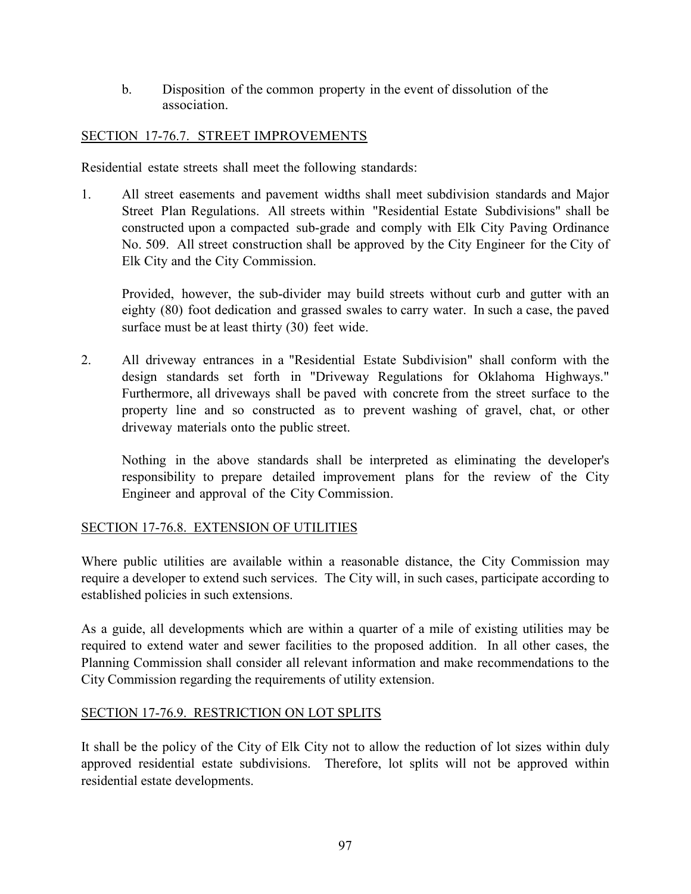b. Disposition of the common property in the event of dissolution of the association.

# SECTION 17-76.7. STREET IMPROVEMENTS

Residential estate streets shall meet the following standards:

1. All street easements and pavement widths shall meet subdivision standards and Major Street Plan Regulations. All streets within "Residential Estate Subdivisions" shall be constructed upon a compacted sub-grade and comply with Elk City Paving Ordinance No. 509. All street construction shall be approved by the City Engineer for the City of Elk City and the City Commission.

Provided, however, the sub-divider may build streets without curb and gutter with an eighty (80) foot dedication and grassed swales to carry water. In such a case, the paved surface must be at least thirty (30) feet wide.

2. All driveway entrances in a "Residential Estate Subdivision" shall conform with the design standards set forth in "Driveway Regulations for Oklahoma Highways." Furthermore, all driveways shall be paved with concrete from the street surface to the property line and so constructed as to prevent washing of gravel, chat, or other driveway materials onto the public street.

Nothing in the above standards shall be interpreted as eliminating the developer's responsibility to prepare detailed improvement plans for the review of the City Engineer and approval of the City Commission.

# SECTION 17-76.8. EXTENSION OF UTILITIES

Where public utilities are available within a reasonable distance, the City Commission may require a developer to extend such services. The City will, in such cases, participate according to established policies in such extensions.

As a guide, all developments which are within a quarter of a mile of existing utilities may be required to extend water and sewer facilities to the proposed addition. In all other cases, the Planning Commission shall consider all relevant information and make recommendations to the City Commission regarding the requirements of utility extension.

# SECTION 17-76.9. RESTRICTION ON LOT SPLITS

It shall be the policy of the City of Elk City not to allow the reduction of lot sizes within duly approved residential estate subdivisions. Therefore, lot splits will not be approved within residential estate developments.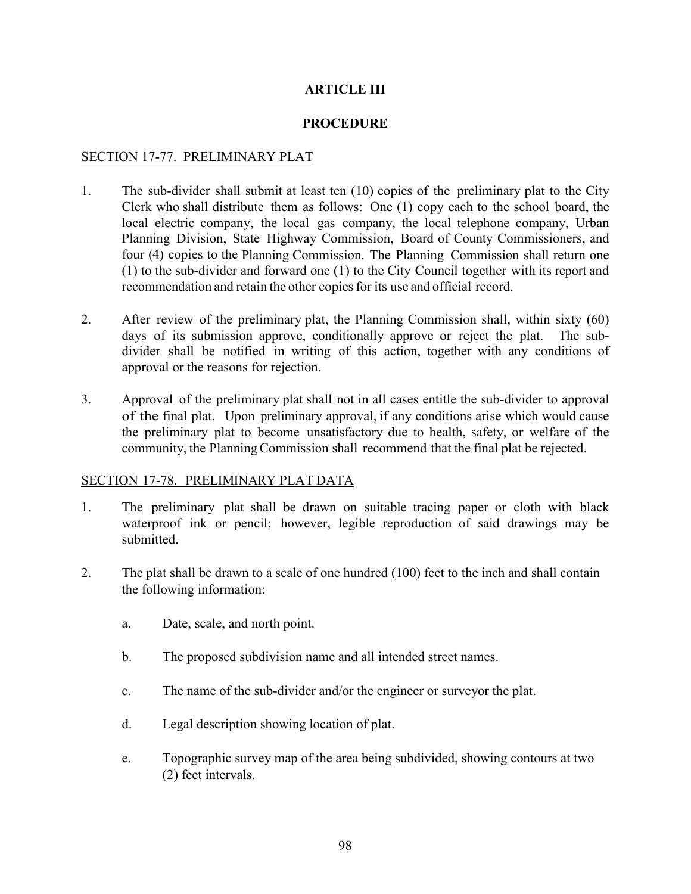# **ARTICLE III**

## **PROCEDURE**

## SECTION 17-77. PRELIMINARY PLAT

- 1. The sub-divider shall submit at least ten (10) copies of the preliminary plat to the City Clerk who shall distribute them as follows: One (1) copy each to the school board, the local electric company, the local gas company, the local telephone company, Urban Planning Division, State Highway Commission, Board of County Commissioners, and four (4) copies to the Planning Commission. The Planning Commission shall return one (1) to the sub-divider and forward one (1) to the City Council together with its report and recommendation and retain the other copiesfor its use and official record.
- 2. After review of the preliminary plat, the Planning Commission shall, within sixty (60) days of its submission approve, conditionally approve or reject the plat. The subdivider shall be notified in writing of this action, together with any conditions of approval or the reasons for rejection.
- 3. Approval of the preliminary plat shall not in all cases entitle the sub-divider to approval of the final plat. Upon preliminary approval, if any conditions arise which would cause the preliminary plat to become unsatisfactory due to health, safety, or welfare of the community, the Planning Commission shall recommend that the final plat be rejected.

### SECTION 17-78. PRELIMINARY PLAT DATA

- 1. The preliminary plat shall be drawn on suitable tracing paper or cloth with black waterproof ink or pencil; however, legible reproduction of said drawings may be submitted.
- 2. The plat shall be drawn to a scale of one hundred (100) feet to the inch and shall contain the following information:
	- a. Date, scale, and north point.
	- b. The proposed subdivision name and all intended street names.
	- c. The name of the sub-divider and/or the engineer or surveyor the plat.
	- d. Legal description showing location of plat.
	- e. Topographic survey map of the area being subdivided, showing contours at two (2) feet intervals.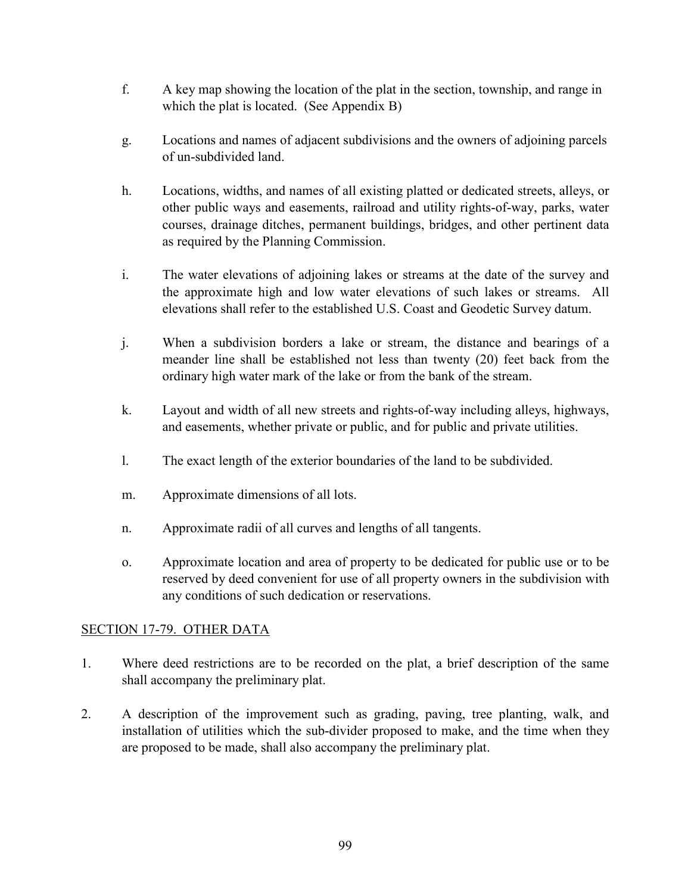- f. A key map showing the location of the plat in the section, township, and range in which the plat is located. (See Appendix B)
- g. Locations and names of adjacent subdivisions and the owners of adjoining parcels of un-subdivided land.
- h. Locations, widths, and names of all existing platted or dedicated streets, alleys, or other public ways and easements, railroad and utility rights-of-way, parks, water courses, drainage ditches, permanent buildings, bridges, and other pertinent data as required by the Planning Commission.
- i. The water elevations of adjoining lakes or streams at the date of the survey and the approximate high and low water elevations of such lakes or streams. All elevations shall refer to the established U.S. Coast and Geodetic Survey datum.
- j. When a subdivision borders a lake or stream, the distance and bearings of a meander line shall be established not less than twenty (20) feet back from the ordinary high water mark of the lake or from the bank of the stream.
- k. Layout and width of all new streets and rights-of-way including alleys, highways, and easements, whether private or public, and for public and private utilities.
- l. The exact length of the exterior boundaries of the land to be subdivided.
- m. Approximate dimensions of all lots.
- n. Approximate radii of all curves and lengths of all tangents.
- o. Approximate location and area of property to be dedicated for public use or to be reserved by deed convenient for use of all property owners in the subdivision with any conditions of such dedication or reservations.

# SECTION 17-79. OTHER DATA

- 1. Where deed restrictions are to be recorded on the plat, a brief description of the same shall accompany the preliminary plat.
- 2. A description of the improvement such as grading, paving, tree planting, walk, and installation of utilities which the sub-divider proposed to make, and the time when they are proposed to be made, shall also accompany the preliminary plat.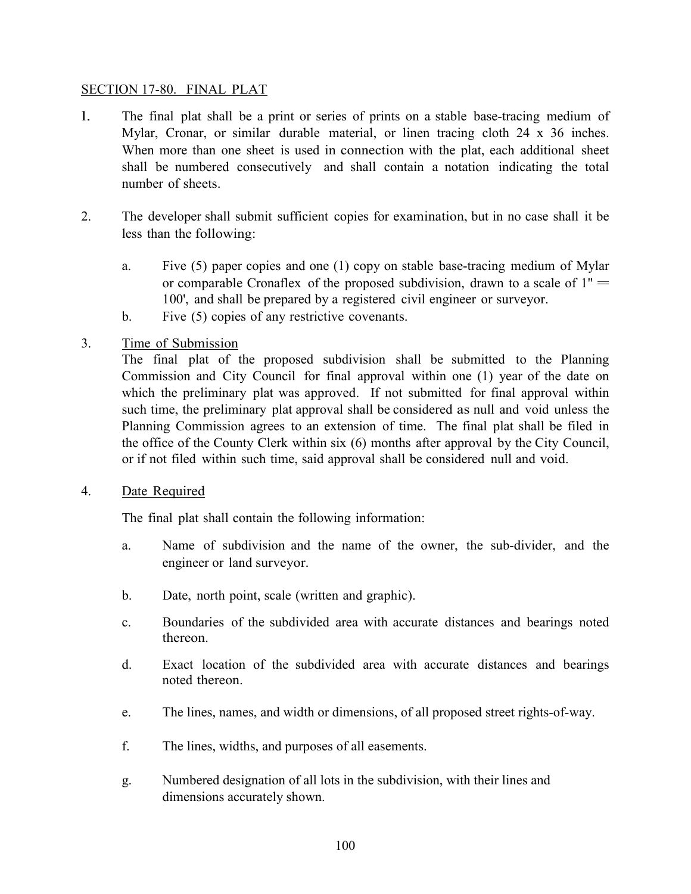## SECTION 17-80. FINAL PLAT

- l. The final plat shall be a print or series of prints on a stable base-tracing medium of Mylar, Cronar, or similar durable material, or linen tracing cloth 24 x 36 inches. When more than one sheet is used in connection with the plat, each additional sheet shall be numbered consecutively and shall contain a notation indicating the total number of sheets.
- 2. The developer shall submit sufficient copies for examination, but in no case shall it be less than the following:
	- a. Five (5) paper copies and one (1) copy on stable base-tracing medium of Mylar or comparable Cronaflex of the proposed subdivision, drawn to a scale of  $1" =$ 100', and shall be prepared by a registered civil engineer or surveyor.
	- b. Five (5) copies of any restrictive covenants.
- 3. Time of Submission

The final plat of the proposed subdivision shall be submitted to the Planning Commission and City Council for final approval within one (1) year of the date on which the preliminary plat was approved. If not submitted for final approval within such time, the preliminary plat approval shall be considered as null and void unless the Planning Commission agrees to an extension of time. The final plat shall be filed in the office of the County Clerk within six (6) months after approval by the City Council, or if not filed within such time, said approval shall be considered null and void.

4. Date Required

The final plat shall contain the following information:

- a. Name of subdivision and the name of the owner, the sub-divider, and the engineer or land surveyor.
- b. Date, north point, scale (written and graphic).
- c. Boundaries of the subdivided area with accurate distances and bearings noted thereon.
- d. Exact location of the subdivided area with accurate distances and bearings noted thereon.
- e. The lines, names, and width or dimensions, of all proposed street rights-of-way.
- f. The lines, widths, and purposes of all easements.
- g. Numbered designation of all lots in the subdivision, with their lines and dimensions accurately shown.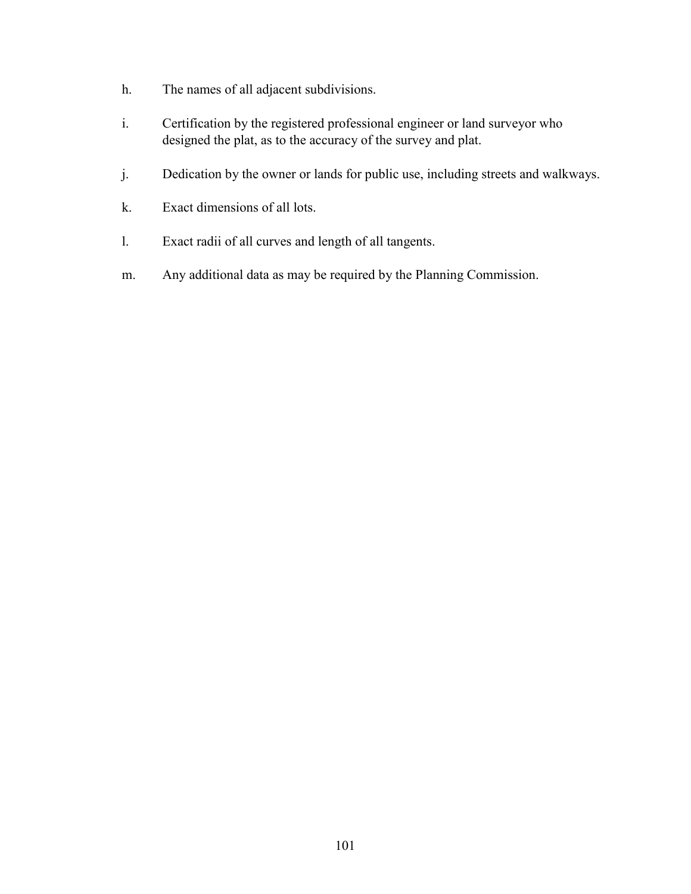- h. The names of all adjacent subdivisions.
- i. Certification by the registered professional engineer or land surveyor who designed the plat, as to the accuracy of the survey and plat.
- j. Dedication by the owner or lands for public use, including streets and walkways.
- k. Exact dimensions of all lots.
- l. Exact radii of all curves and length of all tangents.
- m. Any additional data as may be required by the Planning Commission.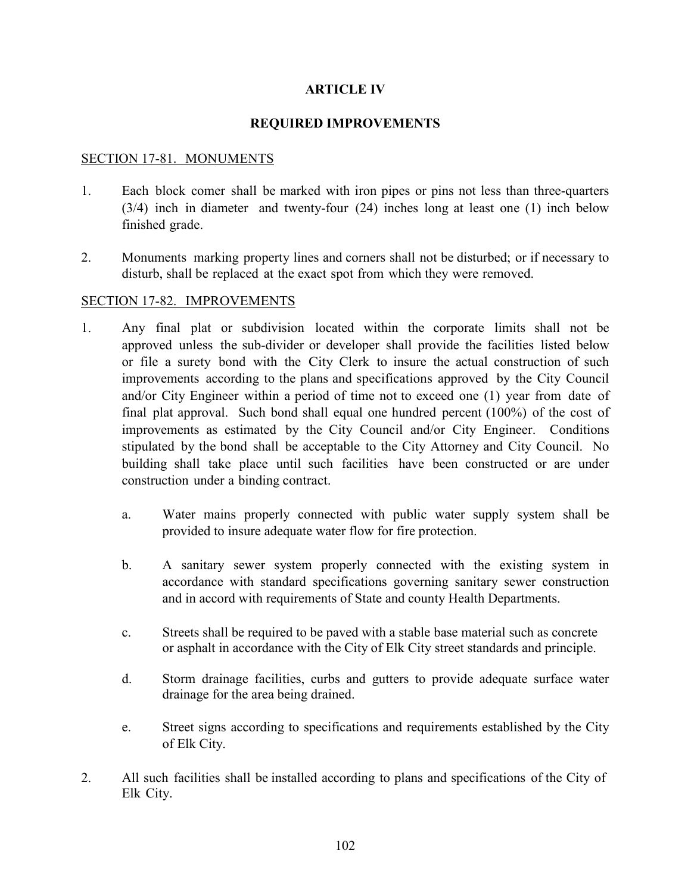# **ARTICLE IV**

## **REQUIRED IMPROVEMENTS**

## SECTION 17-81. MONUMENTS

- 1. Each block comer shall be marked with iron pipes or pins not less than three-quarters (3/4) inch in diameter and twenty-four (24) inches long at least one (1) inch below finished grade.
- 2. Monuments marking property lines and corners shall not be disturbed; or if necessary to disturb, shall be replaced at the exact spot from which they were removed.

### SECTION 17-82. IMPROVEMENTS

- 1. Any final plat or subdivision located within the corporate limits shall not be approved unless the sub-divider or developer shall provide the facilities listed below or file a surety bond with the City Clerk to insure the actual construction of such improvements according to the plans and specifications approved by the City Council and/or City Engineer within a period of time not to exceed one (1) year from date of final plat approval. Such bond shall equal one hundred percent (100%) of the cost of improvements as estimated by the City Council and/or City Engineer. Conditions stipulated by the bond shall be acceptable to the City Attorney and City Council. No building shall take place until such facilities have been constructed or are under construction under a binding contract.
	- a. Water mains properly connected with public water supply system shall be provided to insure adequate water flow for fire protection.
	- b. A sanitary sewer system properly connected with the existing system in accordance with standard specifications governing sanitary sewer construction and in accord with requirements of State and county Health Departments.
	- c. Streets shall be required to be paved with a stable base material such as concrete or asphalt in accordance with the City of Elk City street standards and principle.
	- d. Storm drainage facilities, curbs and gutters to provide adequate surface water drainage for the area being drained.
	- e. Street signs according to specifications and requirements established by the City of Elk City.
- 2. All such facilities shall be installed according to plans and specifications of the City of Elk City.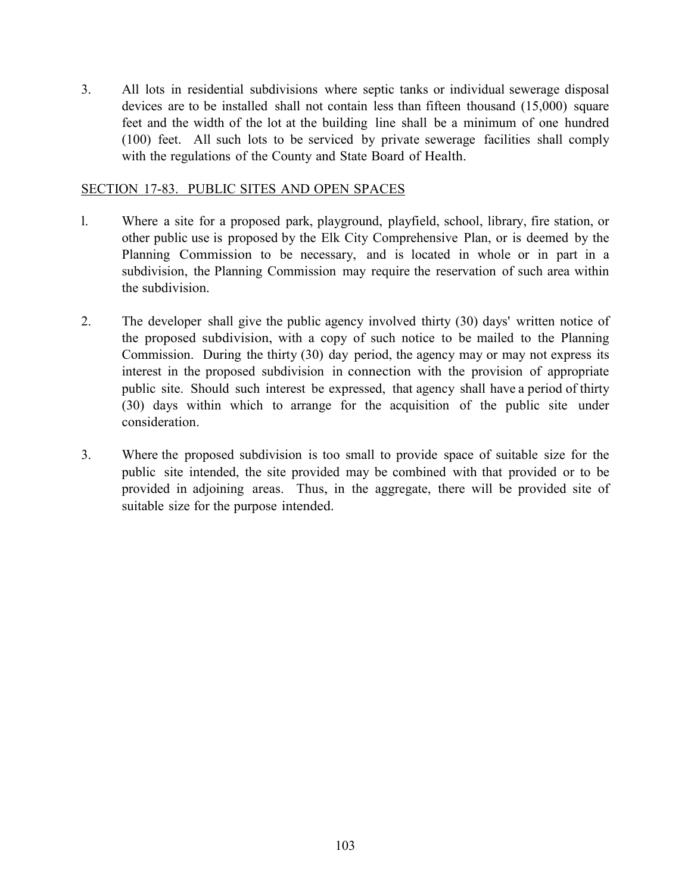3. All lots in residential subdivisions where septic tanks or individual sewerage disposal devices are to be installed shall not contain less than fifteen thousand (15,000) square feet and the width of the lot at the building line shall be a minimum of one hundred (100) feet. All such lots to be serviced by private sewerage facilities shall comply with the regulations of the County and State Board of Health.

## SECTION 17-83. PUBLIC SITES AND OPEN SPACES

- l. Where a site for a proposed park, playground, playfield, school, library, fire station, or other public use is proposed by the Elk City Comprehensive Plan, or is deemed by the Planning Commission to be necessary, and is located in whole or in part in a subdivision, the Planning Commission may require the reservation of such area within the subdivision.
- 2. The developer shall give the public agency involved thirty (30) days' written notice of the proposed subdivision, with a copy of such notice to be mailed to the Planning Commission. During the thirty (30) day period, the agency may or may not express its interest in the proposed subdivision in connection with the provision of appropriate public site. Should such interest be expressed, that agency shall have a period of thirty (30) days within which to arrange for the acquisition of the public site under consideration.
- 3. Where the proposed subdivision is too small to provide space of suitable size for the public site intended, the site provided may be combined with that provided or to be provided in adjoining areas. Thus, in the aggregate, there will be provided site of suitable size for the purpose intended.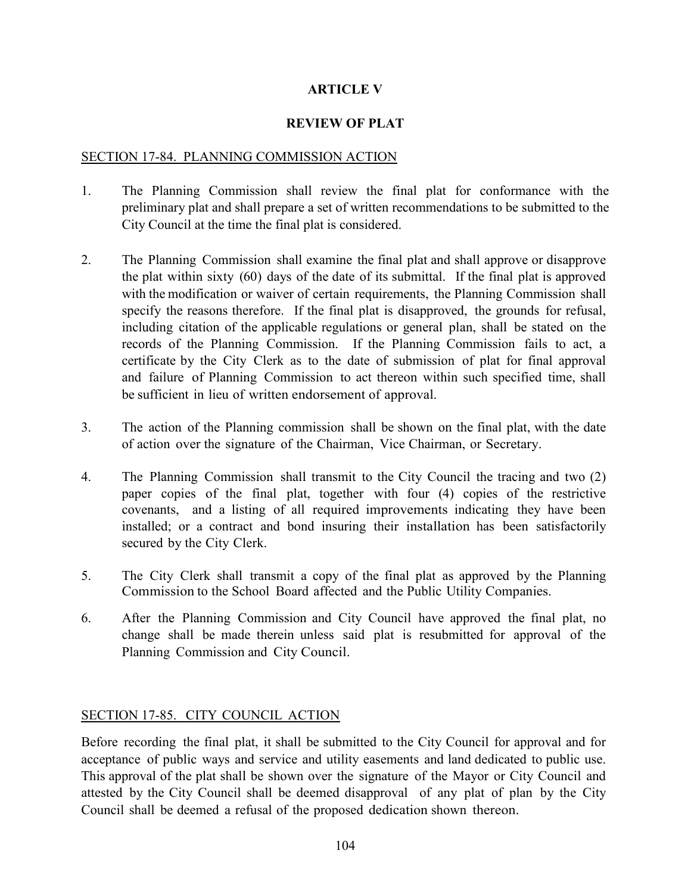# **ARTICLE V**

# **REVIEW OF PLAT**

## SECTION 17-84. PLANNING COMMISSION ACTION

- 1. The Planning Commission shall review the final plat for conformance with the preliminary plat and shall prepare a set of written recommendations to be submitted to the City Council at the time the final plat is considered.
- 2. The Planning Commission shall examine the final plat and shall approve or disapprove the plat within sixty (60) days of the date of its submittal. If the final plat is approved with the modification or waiver of certain requirements, the Planning Commission shall specify the reasons therefore. If the final plat is disapproved, the grounds for refusal, including citation of the applicable regulations or general plan, shall be stated on the records of the Planning Commission. If the Planning Commission fails to act, a certificate by the City Clerk as to the date of submission of plat for final approval and failure of Planning Commission to act thereon within such specified time, shall be sufficient in lieu of written endorsement of approval.
- 3. The action of the Planning commission shall be shown on the final plat, with the date of action over the signature of the Chairman, Vice Chairman, or Secretary.
- 4. The Planning Commission shall transmit to the City Council the tracing and two (2) paper copies of the final plat, together with four (4) copies of the restrictive covenants, and a listing of all required improvements indicating they have been installed; or a contract and bond insuring their installation has been satisfactorily secured by the City Clerk.
- 5. The City Clerk shall transmit a copy of the final plat as approved by the Planning Commission to the School Board affected and the Public Utility Companies.
- 6. After the Planning Commission and City Council have approved the final plat, no change shall be made therein unless said plat is resubmitted for approval of the Planning Commission and City Council.

# SECTION 17-85. CITY COUNCIL ACTION

Before recording the final plat, it shall be submitted to the City Council for approval and for acceptance of public ways and service and utility easements and land dedicated to public use. This approval of the plat shall be shown over the signature of the Mayor or City Council and attested by the City Council shall be deemed disapproval of any plat of plan by the City Council shall be deemed a refusal of the proposed dedication shown thereon.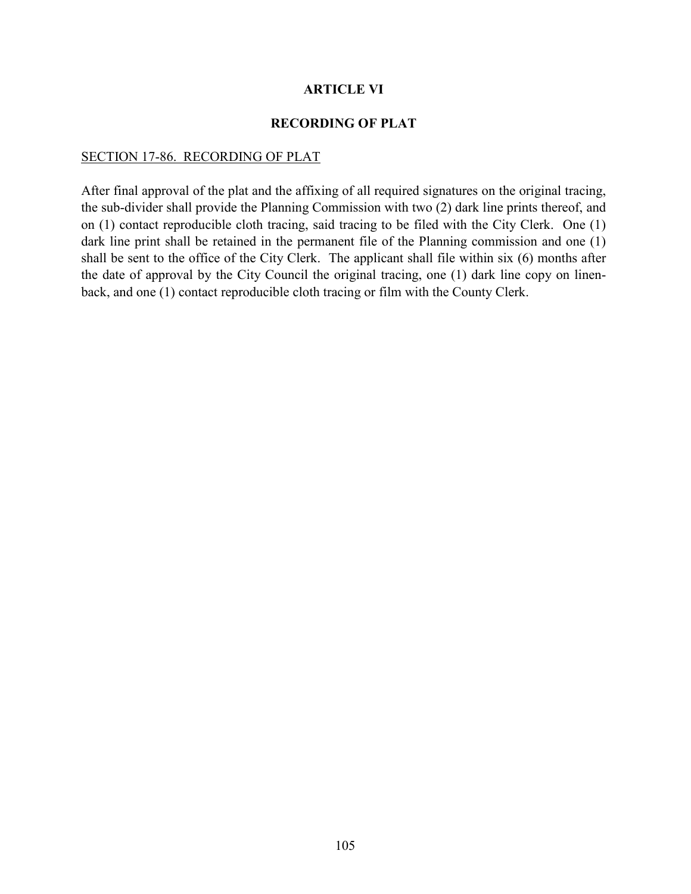### **ARTICLE VI**

#### **RECORDING OF PLAT**

#### SECTION 17-86. RECORDING OF PLAT

After final approval of the plat and the affixing of all required signatures on the original tracing, the sub-divider shall provide the Planning Commission with two (2) dark line prints thereof, and on (1) contact reproducible cloth tracing, said tracing to be filed with the City Clerk. One (1) dark line print shall be retained in the permanent file of the Planning commission and one (1) shall be sent to the office of the City Clerk. The applicant shall file within six (6) months after the date of approval by the City Council the original tracing, one (1) dark line copy on linenback, and one (1) contact reproducible cloth tracing or film with the County Clerk.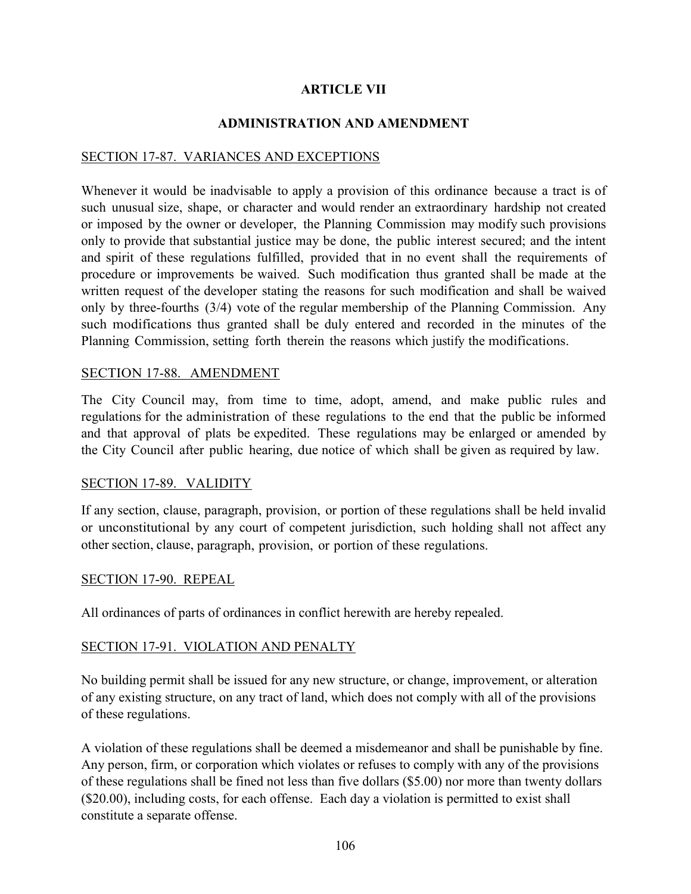# **ARTICLE VII**

### **ADMINISTRATION AND AMENDMENT**

## SECTION 17-87. VARIANCES AND EXCEPTIONS

Whenever it would be inadvisable to apply a provision of this ordinance because a tract is of such unusual size, shape, or character and would render an extraordinary hardship not created or imposed by the owner or developer, the Planning Commission may modify such provisions only to provide that substantial justice may be done, the public interest secured; and the intent and spirit of these regulations fulfilled, provided that in no event shall the requirements of procedure or improvements be waived. Such modification thus granted shall be made at the written request of the developer stating the reasons for such modification and shall be waived only by three-fourths (3/4) vote of the regular membership of the Planning Commission. Any such modifications thus granted shall be duly entered and recorded in the minutes of the Planning Commission, setting forth therein the reasons which justify the modifications.

### SECTION 17-88. AMENDMENT

The City Council may, from time to time, adopt, amend, and make public rules and regulations for the administration of these regulations to the end that the public be informed and that approval of plats be expedited. These regulations may be enlarged or amended by the City Council after public hearing, due notice of which shall be given as required by law.

### SECTION 17-89. VALIDITY

If any section, clause, paragraph, provision, or portion of these regulations shall be held invalid or unconstitutional by any court of competent jurisdiction, such holding shall not affect any other section, clause, paragraph, provision, or portion of these regulations.

### SECTION 17-90. REPEAL

All ordinances of parts of ordinances in conflict herewith are hereby repealed.

### SECTION 17-91. VIOLATION AND PENALTY

No building permit shall be issued for any new structure, or change, improvement, or alteration of any existing structure, on any tract of land, which does not comply with all of the provisions of these regulations.

A violation of these regulations shall be deemed a misdemeanor and shall be punishable by fine. Any person, firm, or corporation which violates or refuses to comply with any of the provisions of these regulations shall be fined not less than five dollars (\$5.00) nor more than twenty dollars (\$20.00), including costs, for each offense. Each day a violation is permitted to exist shall constitute a separate offense.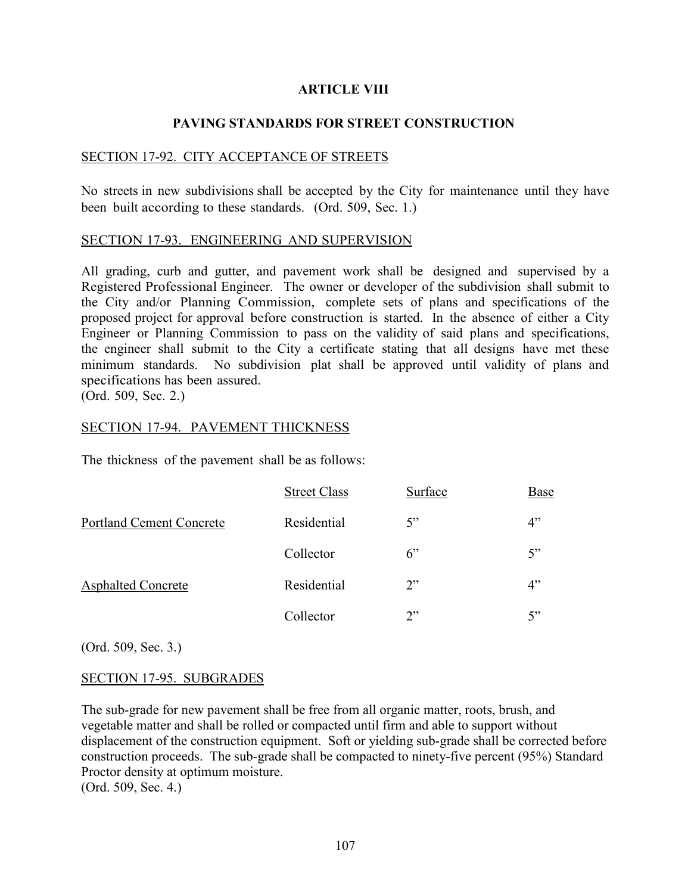### **ARTICLE VIII**

### **PAVING STANDARDS FOR STREET CONSTRUCTION**

#### SECTION 17-92. CITY ACCEPTANCE OF STREETS

No streets in new subdivisions shall be accepted by the City for maintenance until they have been built according to these standards. (Ord. 509, Sec. 1.)

#### SECTION 17-93. ENGINEERING AND SUPERVISION

All grading, curb and gutter, and pavement work shall be designed and supervised by a Registered Professional Engineer. The owner or developer of the subdivision shall submit to the City and/or Planning Commission, complete sets of plans and specifications of the proposed project for approval before construction is started. In the absence of either a City Engineer or Planning Commission to pass on the validity of said plans and specifications, the engineer shall submit to the City a certificate stating that all designs have met these minimum standards. No subdivision plat shall be approved until validity of plans and specifications has been assured.

(Ord. 509, Sec. 2.)

#### SECTION 17-94. PAVEMENT THICKNESS

The thickness of the pavement shall be as follows:

|                                 | <b>Street Class</b> | Surface | Base |
|---------------------------------|---------------------|---------|------|
| <b>Portland Cement Concrete</b> | Residential         | 5"      | 4"   |
| <b>Asphalted Concrete</b>       | Collector           | 6"      | 5"   |
|                                 | Residential         | 2"      | 4"   |
|                                 | Collector           | 2"      | 5"   |

(Ord. 509, Sec. 3.)

#### SECTION 17-95. SUBGRADES

The sub-grade for new pavement shall be free from all organic matter, roots, brush, and vegetable matter and shall be rolled or compacted until firm and able to support without displacement of the construction equipment. Soft or yielding sub-grade shall be corrected before construction proceeds. The sub-grade shall be compacted to ninety-five percent (95%) Standard Proctor density at optimum moisture.

(Ord. 509, Sec. 4.)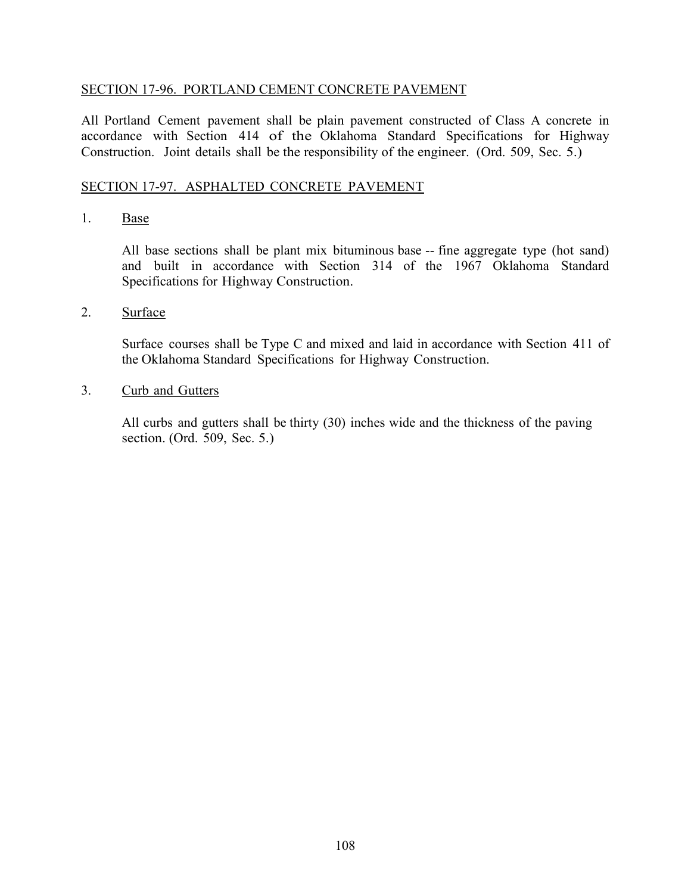## SECTION 17-96. PORTLAND CEMENT CONCRETE PAVEMENT

All Portland Cement pavement shall be plain pavement constructed of Class A concrete in accordance with Section 414 of the Oklahoma Standard Specifications for Highway Construction. Joint details shall be the responsibility of the engineer. (Ord. 509, Sec. 5.)

### SECTION 17-97. ASPHALTED CONCRETE PAVEMENT

## 1. Base

All base sections shall be plant mix bituminous base -- fine aggregate type (hot sand) and built in accordance with Section 314 of the 1967 Oklahoma Standard Specifications for Highway Construction.

### 2. Surface

Surface courses shall be Type C and mixed and laid in accordance with Section 411 of the Oklahoma Standard Specifications for Highway Construction.

### 3. Curb and Gutters

All curbs and gutters shall be thirty (30) inches wide and the thickness of the paving section. (Ord. 509, Sec. 5.)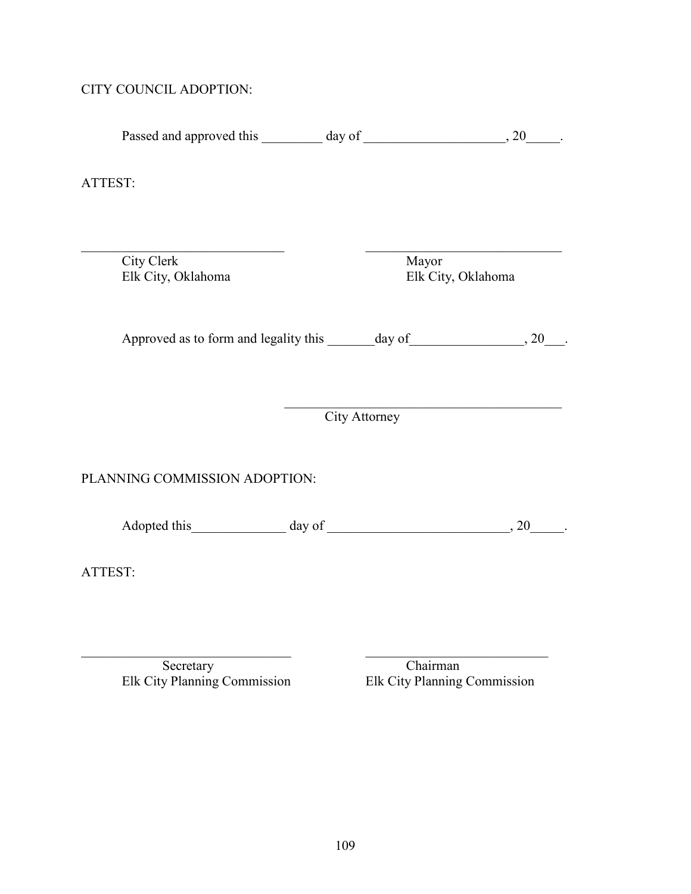## CITY COUNCIL ADOPTION:

| ATTEST:                          |                             |
|----------------------------------|-----------------------------|
|                                  |                             |
|                                  |                             |
| City Clerk<br>Elk City, Oklahoma | Mayor<br>Elk City, Oklahoma |

Passed and approved this  $\_\_\_\_$  day of  $\_\_\_\_\_\_$ , 20 $\_\_\_\_\$ .

Approved as to form and legality this  $\_\_\_\_\_\_\_\$  day of  $\_\_\_\_\_\_\_$ , 20 $\_\_\_\_\_\_\$ .

City Attorney

 $\overline{a}$ 

# PLANNING COMMISSION ADOPTION:

Adopted this  $\qquad \qquad \text{day of} \qquad \qquad \qquad 20 \qquad \qquad .$ 

 $\mathcal{L}_\text{max}$  , and the contribution of the contribution of the contribution of the contribution of the contribution of the contribution of the contribution of the contribution of the contribution of the contribution of t

ATTEST:

Elk City Planning Commission Elk City Planning Commission

Secretary<br>
y Planning Commission<br>
Elk City Planning Commission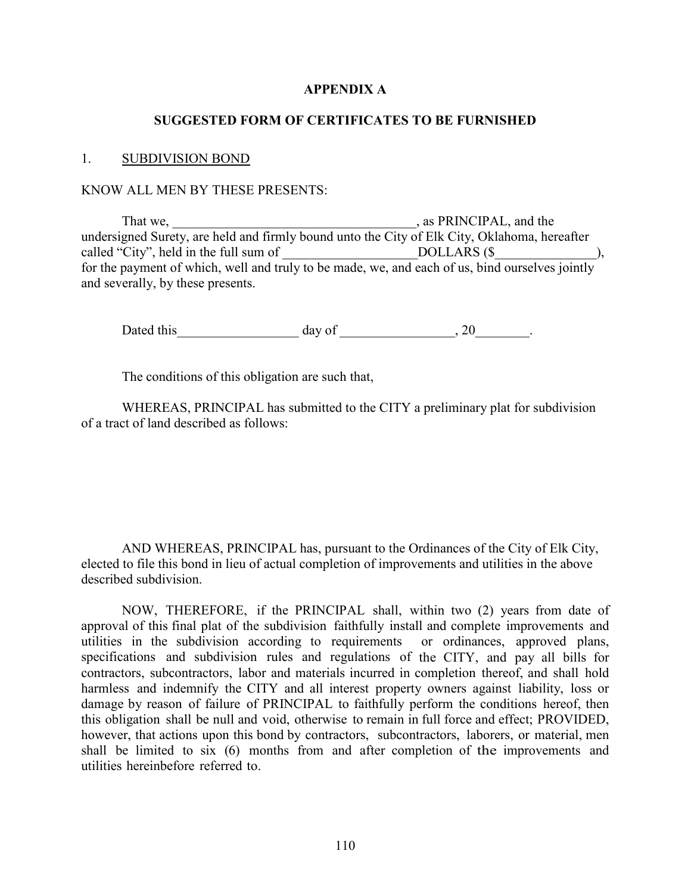### **APPENDIX A**

#### **SUGGESTED FORM OF CERTIFICATES TO BE FURNISHED**

#### 1. SUBDIVISION BOND

#### KNOW ALL MEN BY THESE PRESENTS:

That we, \_\_\_\_\_\_\_\_\_\_\_\_\_\_\_\_\_\_\_\_\_\_\_\_\_\_\_\_\_\_\_\_\_\_\_\_, as PRINCIPAL, and the undersigned Surety, are held and firmly bound unto the City of Elk City, Oklahoma, hereafter called "City", held in the full sum of \_\_\_\_\_\_\_\_\_\_\_\_\_\_\_\_\_\_\_\_\_\_\_\_\_DOLLARS (\$\_\_\_\_\_\_\_\_\_\_\_\_\_), for the payment of which, well and truly to be made, we, and each of us, bind ourselves jointly and severally, by these presents.

Dated this day of the control of the control of the control of the control of the control of the control of the control of the control of the control of the control of the control of the control of the control of the contr

The conditions of this obligation are such that,

WHEREAS, PRINCIPAL has submitted to the CITY a preliminary plat for subdivision of a tract of land described as follows:

AND WHEREAS, PRINCIPAL has, pursuant to the Ordinances of the City of Elk City, elected to file this bond in lieu of actual completion of improvements and utilities in the above described subdivision.

NOW, THEREFORE, if the PRINCIPAL shall, within two (2) years from date of approval of this final plat of the subdivision faithfully install and complete improvements and utilities in the subdivision according to requirements or ordinances, approved plans, specifications and subdivision rules and regulations of the CITY, and pay all bills for contractors, subcontractors, labor and materials incurred in completion thereof, and shall hold harmless and indemnify the CITY and all interest property owners against liability, loss or damage by reason of failure of PRINCIPAL to faithfully perform the conditions hereof, then this obligation shall be null and void, otherwise to remain in full force and effect; PROVIDED, however, that actions upon this bond by contractors, subcontractors, laborers, or material, men shall be limited to six (6) months from and after completion of the improvements and utilities hereinbefore referred to.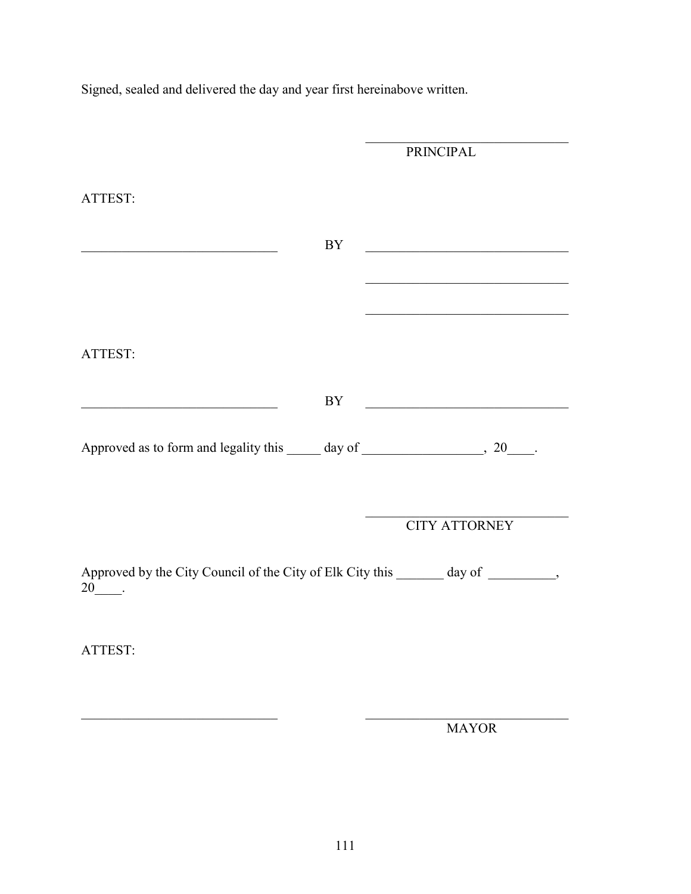Signed, sealed and delivered the day and year first hereinabove written.

|                                                                                                                      |           | <b>PRINCIPAL</b>                                                                                                     |  |
|----------------------------------------------------------------------------------------------------------------------|-----------|----------------------------------------------------------------------------------------------------------------------|--|
|                                                                                                                      |           |                                                                                                                      |  |
| ATTEST:                                                                                                              |           |                                                                                                                      |  |
|                                                                                                                      |           |                                                                                                                      |  |
|                                                                                                                      |           |                                                                                                                      |  |
| <u> 1989 - Johann John Stone, mars eta bainar eta mondo eta mondo eta mondo eta mondo eta mondo eta mondo eta mo</u> | <b>BY</b> |                                                                                                                      |  |
|                                                                                                                      |           |                                                                                                                      |  |
|                                                                                                                      |           | the control of the control of the control of the control of the control of                                           |  |
|                                                                                                                      |           |                                                                                                                      |  |
|                                                                                                                      |           |                                                                                                                      |  |
|                                                                                                                      |           |                                                                                                                      |  |
| ATTEST:                                                                                                              |           |                                                                                                                      |  |
|                                                                                                                      |           |                                                                                                                      |  |
|                                                                                                                      |           |                                                                                                                      |  |
|                                                                                                                      | BY        | <u> 1980 - Johann Barn, mars ann an t-Amhain Aonaich an t-Amhain Aonaich an t-Amhain Aonaich an t-Amhain Aonaich</u> |  |
|                                                                                                                      |           |                                                                                                                      |  |
|                                                                                                                      |           |                                                                                                                      |  |
|                                                                                                                      |           |                                                                                                                      |  |
|                                                                                                                      |           |                                                                                                                      |  |
|                                                                                                                      |           |                                                                                                                      |  |
|                                                                                                                      |           | <b>CITY ATTORNEY</b>                                                                                                 |  |
|                                                                                                                      |           |                                                                                                                      |  |
|                                                                                                                      |           |                                                                                                                      |  |
| Approved by the City Council of the City of Elk City this _______ day of ________,                                   |           |                                                                                                                      |  |
| $20$ .                                                                                                               |           |                                                                                                                      |  |
|                                                                                                                      |           |                                                                                                                      |  |
|                                                                                                                      |           |                                                                                                                      |  |
| ATTEST:                                                                                                              |           |                                                                                                                      |  |
|                                                                                                                      |           |                                                                                                                      |  |
|                                                                                                                      |           |                                                                                                                      |  |
|                                                                                                                      |           |                                                                                                                      |  |
|                                                                                                                      |           |                                                                                                                      |  |

MAYOR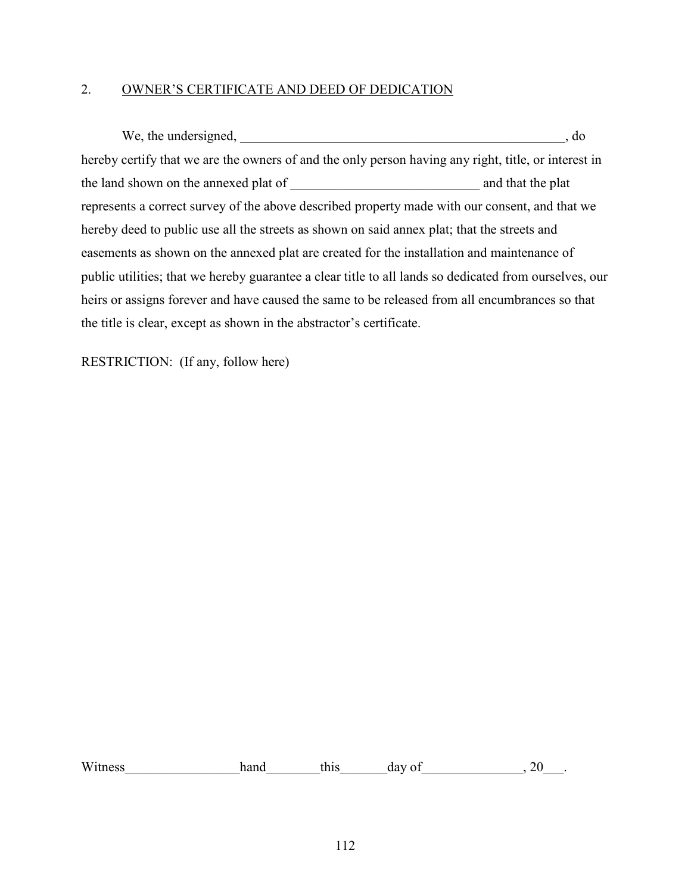### 2. OWNER'S CERTIFICATE AND DEED OF DEDICATION

We, the undersigned, \_\_\_\_\_\_\_\_\_\_\_\_\_\_\_\_\_\_\_\_\_\_\_\_\_\_\_\_\_\_\_\_\_\_\_\_\_\_\_\_\_\_\_\_\_\_\_\_, do hereby certify that we are the owners of and the only person having any right, title, or interest in the land shown on the annexed plat of  $\qquad$  and that the plat represents a correct survey of the above described property made with our consent, and that we hereby deed to public use all the streets as shown on said annex plat; that the streets and easements as shown on the annexed plat are created for the installation and maintenance of public utilities; that we hereby guarantee a clear title to all lands so dedicated from ourselves, our heirs or assigns forever and have caused the same to be released from all encumbrances so that the title is clear, except as shown in the abstractor's certificate.

RESTRICTION: (If any, follow here)

Witness hand this day of  $\sim$ , 20.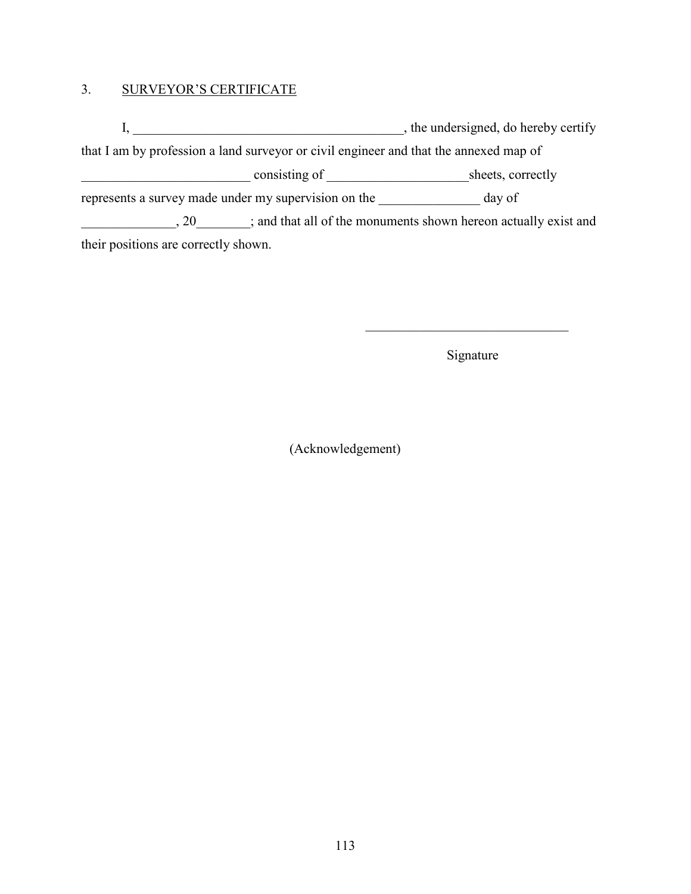### 3. SURVEYOR'S CERTIFICATE

I, \_\_\_\_\_\_\_\_\_\_\_\_\_\_\_\_\_\_\_\_\_\_\_\_\_\_\_\_\_\_\_\_\_\_\_\_\_\_\_\_, the undersigned, do hereby certify that I am by profession a land surveyor or civil engineer and that the annexed map of \_\_\_\_\_\_\_\_\_\_\_\_\_\_\_\_\_\_\_\_\_\_\_\_\_ consisting of \_\_\_\_\_\_\_\_\_\_\_\_\_\_\_\_\_\_\_\_\_sheets, correctly represents a survey made under my supervision on the \_\_\_\_\_\_\_\_\_\_\_\_\_\_\_ day of \_\_\_\_\_\_\_\_\_\_\_\_\_\_\_, 20\_\_\_\_\_\_\_\_; and that all of the monuments shown hereon actually exist and their positions are correctly shown.

Signature

\_\_\_\_\_\_\_\_\_\_\_\_\_\_\_\_\_\_\_\_\_\_\_\_\_\_\_\_\_\_

(Acknowledgement)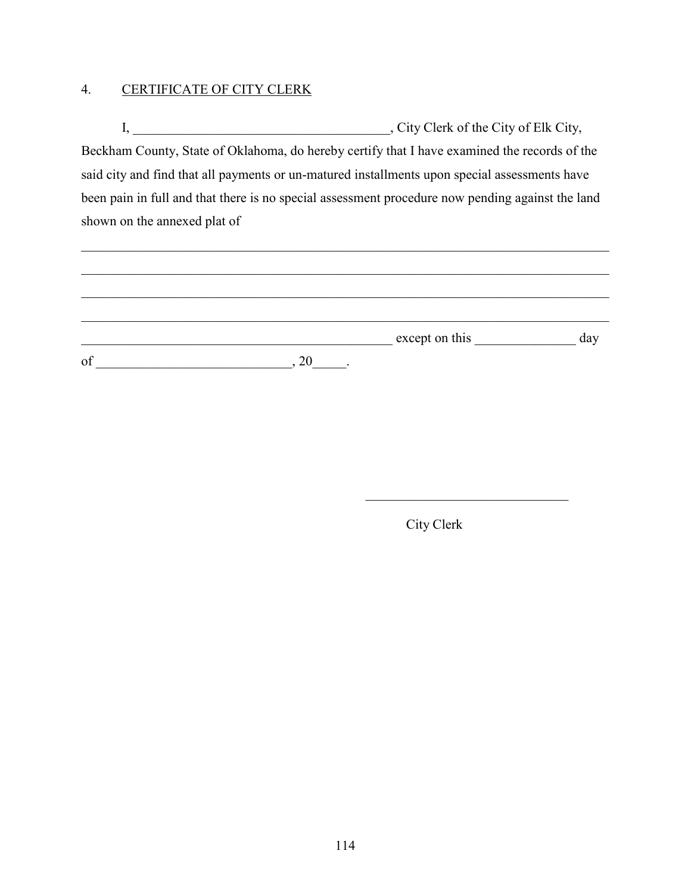# 4. CERTIFICATE OF CITY CLERK

I, \_\_\_\_\_\_\_\_\_\_\_\_\_\_\_\_\_\_\_\_\_\_\_\_\_\_\_\_\_\_\_\_\_\_\_\_\_\_, City Clerk of the City of Elk City, Beckham County, State of Oklahoma, do hereby certify that I have examined the records of the said city and find that all payments or un-matured installments upon special assessments have been pain in full and that there is no special assessment procedure now pending against the land shown on the annexed plat of

|    |    | except on this | day |
|----|----|----------------|-----|
| of | 20 |                |     |

City Clerk

 $\mathcal{L}_\text{max}$  , where  $\mathcal{L}_\text{max}$  and  $\mathcal{L}_\text{max}$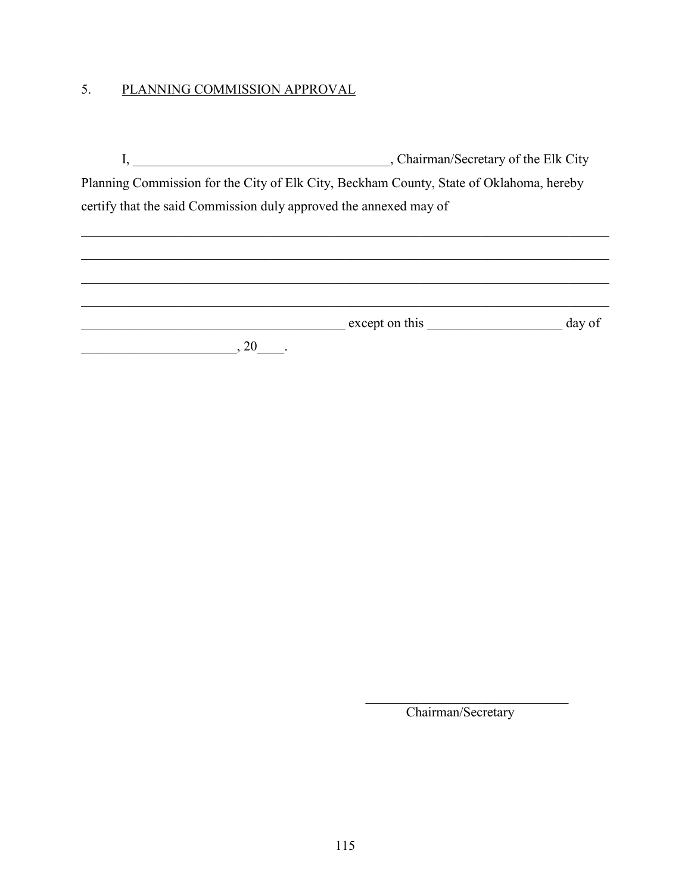# 5. PLANNING COMMISSION APPROVAL

|                                                                                         | , Chairman/Secretary of the Elk City |
|-----------------------------------------------------------------------------------------|--------------------------------------|
| Planning Commission for the City of Elk City, Beckham County, State of Oklahoma, hereby |                                      |
| certify that the said Commission duly approved the annexed may of                       |                                      |

| except on this | day of |
|----------------|--------|
|                |        |
|                |        |

\_\_\_\_\_\_\_\_\_\_\_\_\_\_\_\_\_\_\_\_\_\_\_\_\_\_\_\_\_\_\_\_\_\_\_\_\_\_\_\_\_\_\_\_\_\_\_\_\_\_\_\_\_\_\_\_\_\_\_\_\_\_\_\_\_\_\_\_\_\_\_\_\_\_\_\_\_\_

\_\_\_\_\_\_\_\_\_\_\_\_\_\_\_\_\_\_\_\_\_\_\_\_\_\_\_\_\_\_ Chairman/Secretary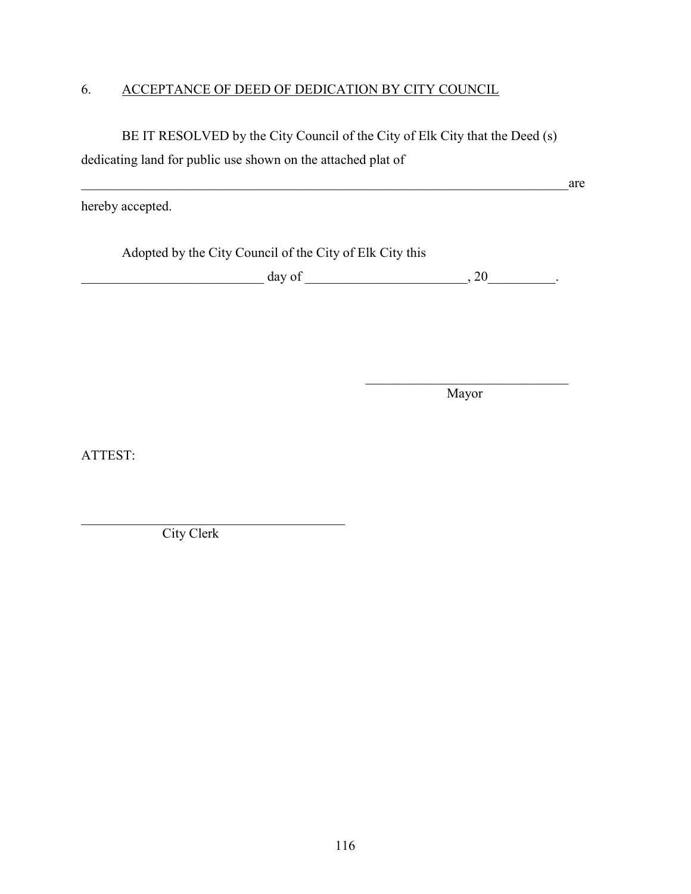### 6. ACCEPTANCE OF DEED OF DEDICATION BY CITY COUNCIL

BE IT RESOLVED by the City Council of the City of Elk City that the Deed (s) dedicating land for public use shown on the attached plat of

hereby accepted.

Adopted by the City Council of the City of Elk City this

 $\qquad \qquad \text{day of} \qquad \qquad 0.20$ 

\_\_\_\_\_\_\_\_\_\_\_\_\_\_\_\_\_\_\_\_\_\_\_\_\_\_\_\_\_\_ Mayor

 $\overline{a}$  are

ATTEST:

City Clerk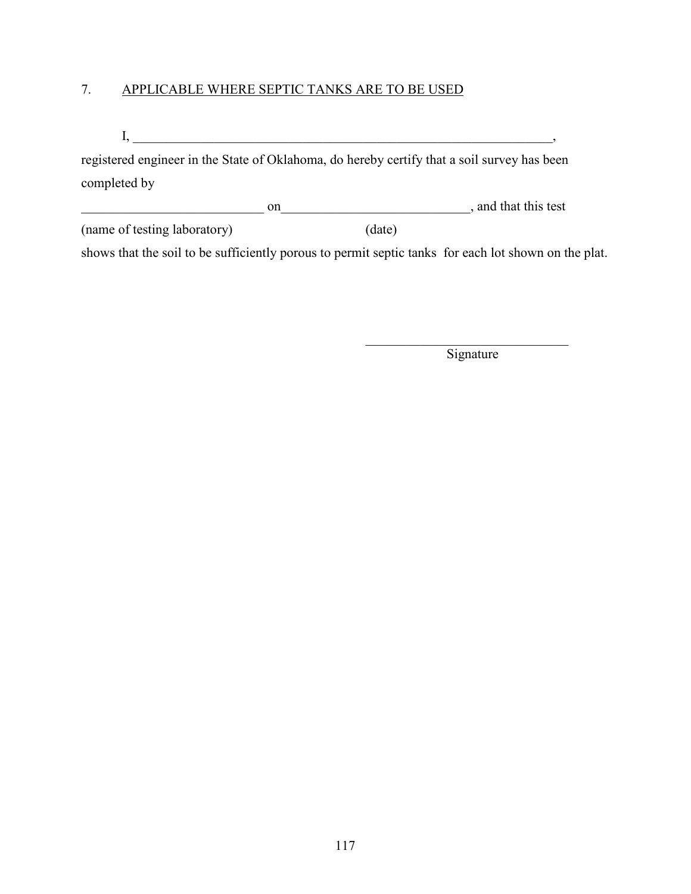# 7. APPLICABLE WHERE SEPTIC TANKS ARE TO BE USED

 $I, \underline{\hspace{1cm}}$ 

registered engineer in the State of Oklahoma, do hereby certify that a soil survey has been completed by

|                              |  |        | , and that this test |
|------------------------------|--|--------|----------------------|
| (name of testing laboratory) |  | (date) |                      |

shows that the soil to be sufficiently porous to permit septic tanks for each lot shown on the plat.

 $\mathcal{L}_\text{max}$  , where  $\mathcal{L}_\text{max}$  and  $\mathcal{L}_\text{max}$ **Signature**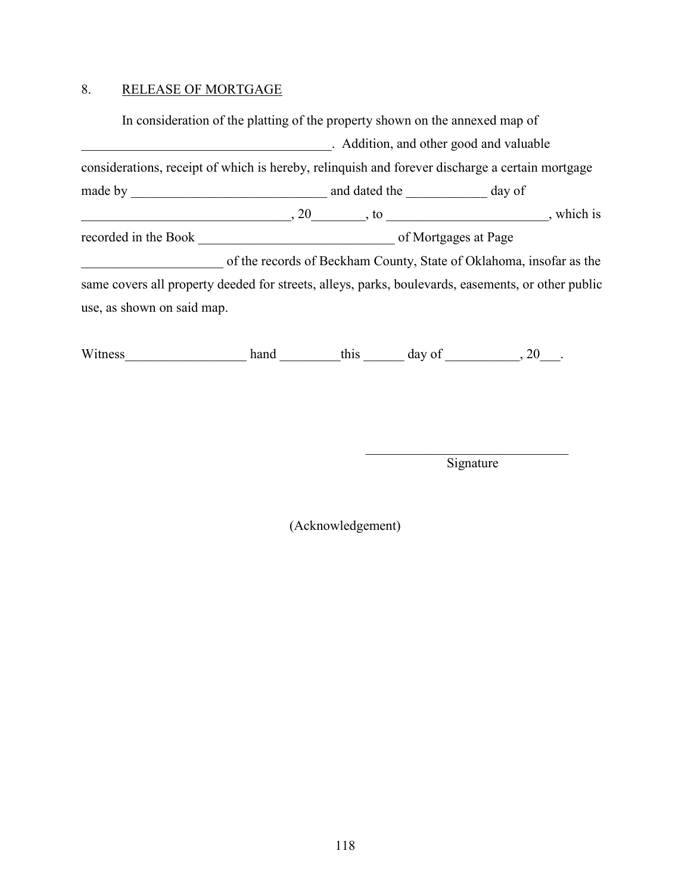### 8. RELEASE OF MORTGAGE

In consideration of the platting of the property shown on the annexed map of \_\_\_\_\_\_\_\_\_\_\_\_\_\_\_\_\_\_\_\_\_\_\_\_\_\_\_\_\_\_\_\_\_\_\_\_\_. Addition, and other good and valuable considerations, receipt of which is hereby, relinquish and forever discharge a certain mortgage made by \_\_\_\_\_\_\_\_\_\_\_\_\_\_\_\_\_\_\_\_\_\_\_\_\_\_\_\_\_ and dated the \_\_\_\_\_\_\_\_\_\_\_\_ day of  $\begin{array}{c}\n 0.20 \\
 -0.301 \\
 -0.500\n \end{array}$ , which is recorded in the Book \_\_\_\_\_\_\_\_\_\_\_\_\_\_\_\_\_\_\_\_\_\_\_\_\_\_\_\_\_ of Mortgages at Page \_\_\_\_\_\_\_\_\_\_\_\_\_\_\_\_\_\_\_\_\_ of the records of Beckham County, State of Oklahoma, insofar as the same covers all property deeded for streets, alleys, parks, boulevards, easements, or other public use, as shown on said map.

Witness hand hand this day of 30 millions 30 millions and the state of  $\frac{1}{2}$  day of  $\frac{1}{2}$ .

\_\_\_\_\_\_\_\_\_\_\_\_\_\_\_\_\_\_\_\_\_\_\_\_\_\_\_\_\_\_ Signature

(Acknowledgement)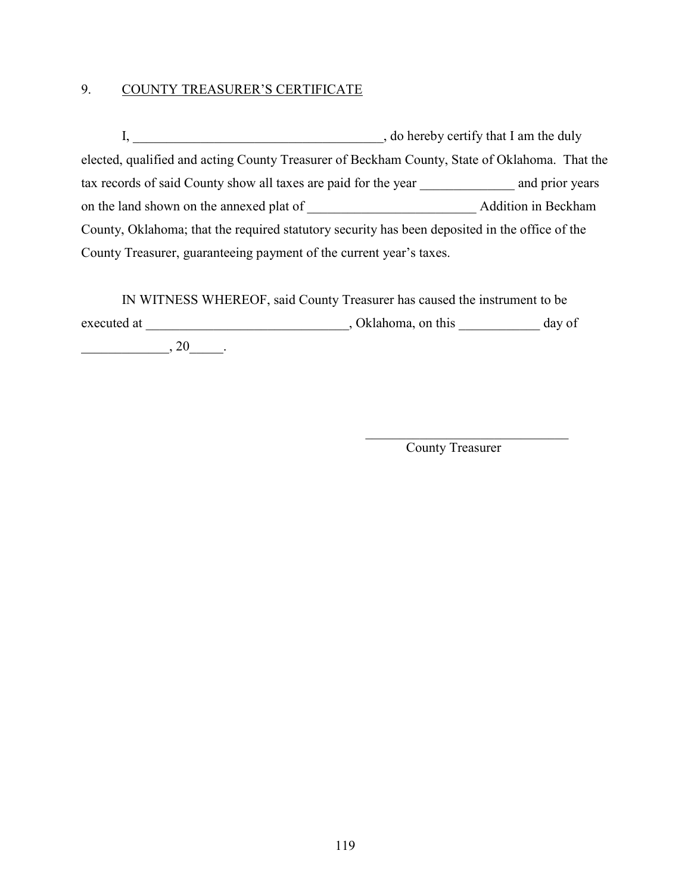### 9. COUNTY TREASURER'S CERTIFICATE

I, \_\_\_\_\_\_\_\_\_\_\_\_\_\_\_\_\_\_\_\_\_\_\_\_\_\_\_\_\_\_\_\_\_\_\_\_\_, do hereby certify that I am the duly elected, qualified and acting County Treasurer of Beckham County, State of Oklahoma. That the tax records of said County show all taxes are paid for the year \_\_\_\_\_\_\_\_\_\_\_\_\_\_ and prior years on the land shown on the annexed plat of **Addition** in Beckham County, Oklahoma; that the required statutory security has been deposited in the office of the County Treasurer, guaranteeing payment of the current year's taxes.

IN WITNESS WHEREOF, said County Treasurer has caused the instrument to be executed at \_\_\_\_\_\_\_\_\_\_\_\_\_\_\_\_\_\_\_\_\_\_\_\_\_\_\_\_, Oklahoma, on this \_\_\_\_\_\_\_\_\_\_\_\_ day of  $\overline{\phantom{20}0}$ . 20\_\_\_\_\_.

County Treasurer